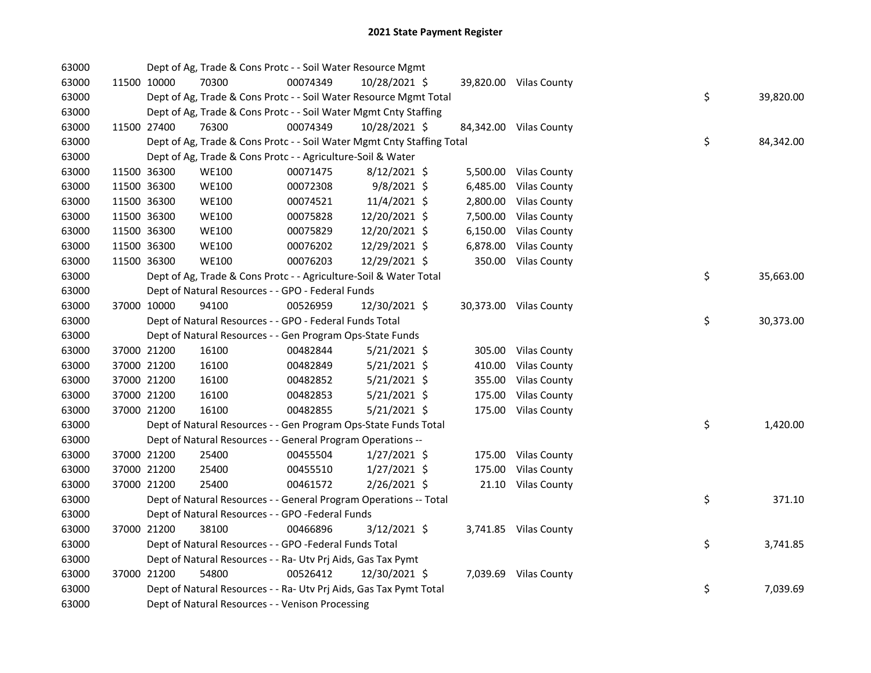| 63000 |             | Dept of Ag, Trade & Cons Protc - - Soil Water Resource Mgmt            |          |                |        |                        |    |           |
|-------|-------------|------------------------------------------------------------------------|----------|----------------|--------|------------------------|----|-----------|
| 63000 | 11500 10000 | 70300                                                                  | 00074349 | 10/28/2021 \$  |        | 39,820.00 Vilas County |    |           |
| 63000 |             | Dept of Ag, Trade & Cons Protc - - Soil Water Resource Mgmt Total      |          |                |        |                        | \$ | 39,820.00 |
| 63000 |             | Dept of Ag, Trade & Cons Protc - - Soil Water Mgmt Cnty Staffing       |          |                |        |                        |    |           |
| 63000 | 11500 27400 | 76300                                                                  | 00074349 | 10/28/2021 \$  |        | 84,342.00 Vilas County |    |           |
| 63000 |             | Dept of Ag, Trade & Cons Protc - - Soil Water Mgmt Cnty Staffing Total |          |                |        |                        | \$ | 84,342.00 |
| 63000 |             | Dept of Ag, Trade & Cons Protc - - Agriculture-Soil & Water            |          |                |        |                        |    |           |
| 63000 | 11500 36300 | <b>WE100</b>                                                           | 00071475 | $8/12/2021$ \$ |        | 5,500.00 Vilas County  |    |           |
| 63000 | 11500 36300 | <b>WE100</b>                                                           | 00072308 | 9/8/2021 \$    |        | 6,485.00 Vilas County  |    |           |
| 63000 | 11500 36300 | <b>WE100</b>                                                           | 00074521 | 11/4/2021 \$   |        | 2,800.00 Vilas County  |    |           |
| 63000 | 11500 36300 | <b>WE100</b>                                                           | 00075828 | 12/20/2021 \$  |        | 7,500.00 Vilas County  |    |           |
| 63000 | 11500 36300 | <b>WE100</b>                                                           | 00075829 | 12/20/2021 \$  |        | 6,150.00 Vilas County  |    |           |
| 63000 | 11500 36300 | <b>WE100</b>                                                           | 00076202 | 12/29/2021 \$  |        | 6,878.00 Vilas County  |    |           |
| 63000 | 11500 36300 | <b>WE100</b>                                                           | 00076203 | 12/29/2021 \$  |        | 350.00 Vilas County    |    |           |
| 63000 |             | Dept of Ag, Trade & Cons Protc - - Agriculture-Soil & Water Total      |          |                |        |                        | \$ | 35,663.00 |
| 63000 |             | Dept of Natural Resources - - GPO - Federal Funds                      |          |                |        |                        |    |           |
| 63000 | 37000 10000 | 94100                                                                  | 00526959 | 12/30/2021 \$  |        | 30,373.00 Vilas County |    |           |
| 63000 |             | Dept of Natural Resources - - GPO - Federal Funds Total                |          |                |        |                        | \$ | 30,373.00 |
| 63000 |             | Dept of Natural Resources - - Gen Program Ops-State Funds              |          |                |        |                        |    |           |
| 63000 | 37000 21200 | 16100                                                                  | 00482844 | $5/21/2021$ \$ |        | 305.00 Vilas County    |    |           |
| 63000 | 37000 21200 | 16100                                                                  | 00482849 | $5/21/2021$ \$ |        | 410.00 Vilas County    |    |           |
| 63000 | 37000 21200 | 16100                                                                  | 00482852 | $5/21/2021$ \$ | 355.00 | <b>Vilas County</b>    |    |           |
| 63000 | 37000 21200 | 16100                                                                  | 00482853 | $5/21/2021$ \$ | 175.00 | <b>Vilas County</b>    |    |           |
| 63000 | 37000 21200 | 16100                                                                  | 00482855 | $5/21/2021$ \$ |        | 175.00 Vilas County    |    |           |
| 63000 |             | Dept of Natural Resources - - Gen Program Ops-State Funds Total        |          |                |        |                        | \$ | 1,420.00  |
| 63000 |             | Dept of Natural Resources - - General Program Operations --            |          |                |        |                        |    |           |
| 63000 | 37000 21200 | 25400                                                                  | 00455504 | $1/27/2021$ \$ |        | 175.00 Vilas County    |    |           |
| 63000 | 37000 21200 | 25400                                                                  | 00455510 | $1/27/2021$ \$ |        | 175.00 Vilas County    |    |           |
| 63000 | 37000 21200 | 25400                                                                  | 00461572 | $2/26/2021$ \$ |        | 21.10 Vilas County     |    |           |
| 63000 |             | Dept of Natural Resources - - General Program Operations -- Total      |          |                |        |                        | \$ | 371.10    |
| 63000 |             | Dept of Natural Resources - - GPO -Federal Funds                       |          |                |        |                        |    |           |
| 63000 | 37000 21200 | 38100                                                                  | 00466896 | 3/12/2021 \$   |        | 3,741.85 Vilas County  |    |           |
| 63000 |             | Dept of Natural Resources - - GPO -Federal Funds Total                 |          |                |        |                        | \$ | 3,741.85  |
| 63000 |             | Dept of Natural Resources - - Ra- Utv Prj Aids, Gas Tax Pymt           |          |                |        |                        |    |           |
| 63000 | 37000 21200 | 54800                                                                  | 00526412 | 12/30/2021 \$  |        | 7,039.69 Vilas County  |    |           |
| 63000 |             | Dept of Natural Resources - - Ra- Utv Prj Aids, Gas Tax Pymt Total     |          |                |        |                        | \$ | 7,039.69  |
| 63000 |             | Dept of Natural Resources - - Venison Processing                       |          |                |        |                        |    |           |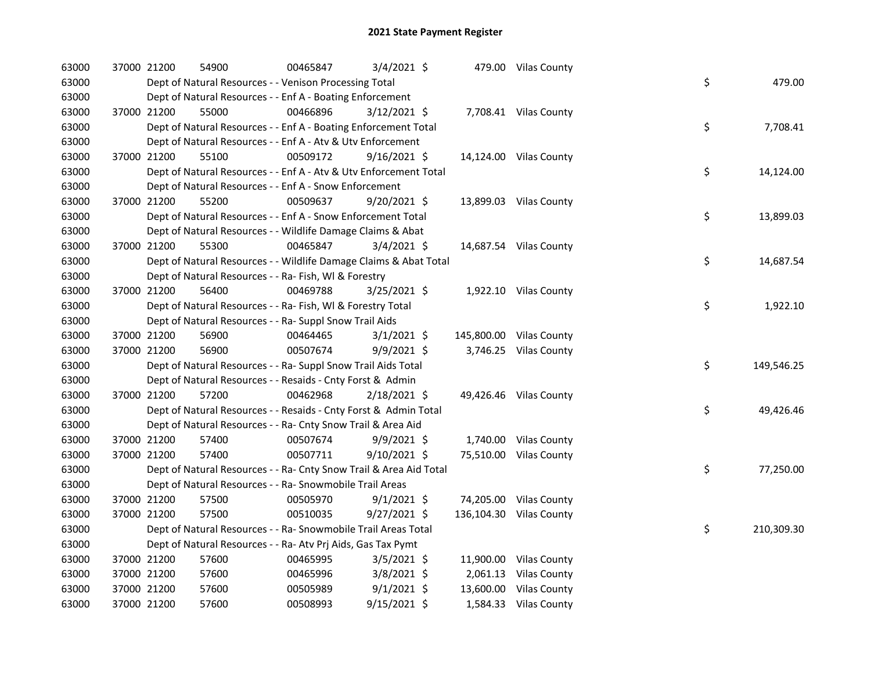| 63000 | 37000 21200 | 54900                                                              | 00465847 | 3/4/2021 \$    |  | 479.00 Vilas County     |    |            |
|-------|-------------|--------------------------------------------------------------------|----------|----------------|--|-------------------------|----|------------|
| 63000 |             | Dept of Natural Resources - - Venison Processing Total             |          |                |  |                         | \$ | 479.00     |
| 63000 |             | Dept of Natural Resources - - Enf A - Boating Enforcement          |          |                |  |                         |    |            |
| 63000 | 37000 21200 | 55000                                                              | 00466896 | $3/12/2021$ \$ |  | 7,708.41 Vilas County   |    |            |
| 63000 |             | Dept of Natural Resources - - Enf A - Boating Enforcement Total    |          |                |  |                         | \$ | 7,708.41   |
| 63000 |             | Dept of Natural Resources - - Enf A - Atv & Utv Enforcement        |          |                |  |                         |    |            |
| 63000 | 37000 21200 | 55100                                                              | 00509172 | $9/16/2021$ \$ |  | 14,124.00 Vilas County  |    |            |
| 63000 |             | Dept of Natural Resources - - Enf A - Atv & Utv Enforcement Total  |          |                |  |                         | \$ | 14,124.00  |
| 63000 |             | Dept of Natural Resources - - Enf A - Snow Enforcement             |          |                |  |                         |    |            |
| 63000 | 37000 21200 | 55200                                                              | 00509637 | $9/20/2021$ \$ |  | 13,899.03 Vilas County  |    |            |
| 63000 |             | Dept of Natural Resources - - Enf A - Snow Enforcement Total       |          |                |  |                         | \$ | 13,899.03  |
| 63000 |             | Dept of Natural Resources - - Wildlife Damage Claims & Abat        |          |                |  |                         |    |            |
| 63000 | 37000 21200 | 55300                                                              | 00465847 | $3/4/2021$ \$  |  | 14,687.54 Vilas County  |    |            |
| 63000 |             | Dept of Natural Resources - - Wildlife Damage Claims & Abat Total  |          |                |  |                         | \$ | 14,687.54  |
| 63000 |             | Dept of Natural Resources - - Ra- Fish, WI & Forestry              |          |                |  |                         |    |            |
| 63000 | 37000 21200 | 56400                                                              | 00469788 | 3/25/2021 \$   |  | 1,922.10 Vilas County   |    |            |
| 63000 |             | Dept of Natural Resources - - Ra- Fish, WI & Forestry Total        |          |                |  |                         | \$ | 1,922.10   |
| 63000 |             | Dept of Natural Resources - - Ra- Suppl Snow Trail Aids            |          |                |  |                         |    |            |
| 63000 | 37000 21200 | 56900                                                              | 00464465 | $3/1/2021$ \$  |  | 145,800.00 Vilas County |    |            |
| 63000 | 37000 21200 | 56900                                                              | 00507674 | 9/9/2021 \$    |  | 3,746.25 Vilas County   |    |            |
| 63000 |             | Dept of Natural Resources - - Ra- Suppl Snow Trail Aids Total      |          |                |  |                         | \$ | 149,546.25 |
| 63000 |             | Dept of Natural Resources - - Resaids - Cnty Forst & Admin         |          |                |  |                         |    |            |
| 63000 | 37000 21200 | 57200                                                              | 00462968 | $2/18/2021$ \$ |  | 49,426.46 Vilas County  |    |            |
| 63000 |             | Dept of Natural Resources - - Resaids - Cnty Forst & Admin Total   |          |                |  |                         | \$ | 49,426.46  |
| 63000 |             | Dept of Natural Resources - - Ra- Cnty Snow Trail & Area Aid       |          |                |  |                         |    |            |
| 63000 | 37000 21200 | 57400                                                              | 00507674 | $9/9/2021$ \$  |  | 1,740.00 Vilas County   |    |            |
| 63000 | 37000 21200 | 57400                                                              | 00507711 | $9/10/2021$ \$ |  | 75,510.00 Vilas County  |    |            |
| 63000 |             | Dept of Natural Resources - - Ra- Cnty Snow Trail & Area Aid Total |          |                |  |                         | \$ | 77,250.00  |
| 63000 |             | Dept of Natural Resources - - Ra- Snowmobile Trail Areas           |          |                |  |                         |    |            |
| 63000 | 37000 21200 | 57500                                                              | 00505970 | $9/1/2021$ \$  |  | 74,205.00 Vilas County  |    |            |
| 63000 | 37000 21200 | 57500                                                              | 00510035 | $9/27/2021$ \$ |  | 136,104.30 Vilas County |    |            |
| 63000 |             | Dept of Natural Resources - - Ra- Snowmobile Trail Areas Total     |          |                |  |                         | \$ | 210,309.30 |
| 63000 |             | Dept of Natural Resources - - Ra- Atv Prj Aids, Gas Tax Pymt       |          |                |  |                         |    |            |
| 63000 | 37000 21200 | 57600                                                              | 00465995 | $3/5/2021$ \$  |  | 11,900.00 Vilas County  |    |            |
| 63000 | 37000 21200 | 57600                                                              | 00465996 | 3/8/2021 \$    |  | 2,061.13 Vilas County   |    |            |
| 63000 | 37000 21200 | 57600                                                              | 00505989 | $9/1/2021$ \$  |  | 13,600.00 Vilas County  |    |            |
| 63000 | 37000 21200 | 57600                                                              | 00508993 | $9/15/2021$ \$ |  | 1,584.33 Vilas County   |    |            |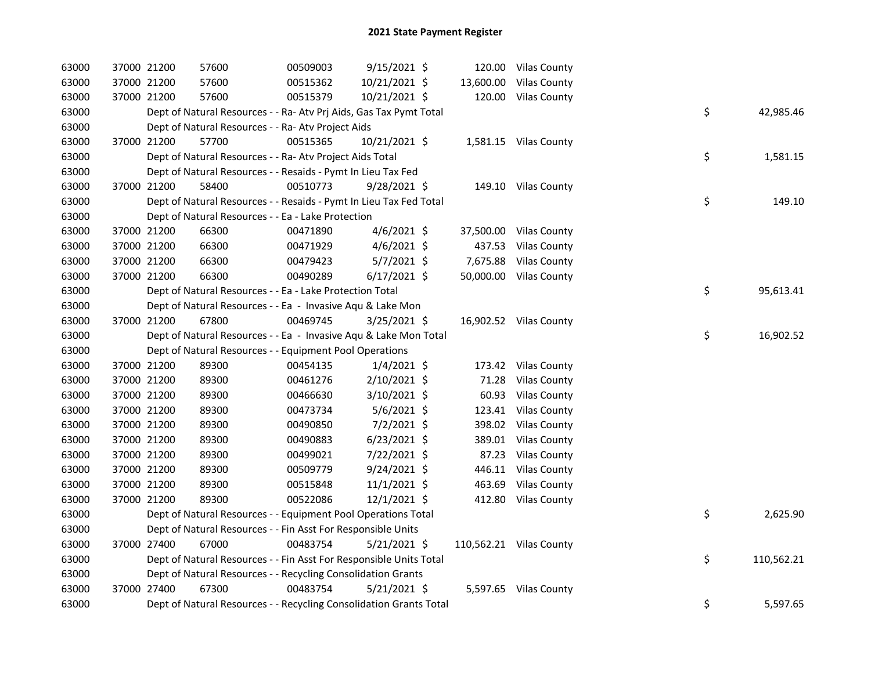| 63000 | 37000 21200 | 57600                                                              | 00509003 | 9/15/2021 \$   |       | 120.00 Vilas County     |    |            |
|-------|-------------|--------------------------------------------------------------------|----------|----------------|-------|-------------------------|----|------------|
| 63000 | 37000 21200 | 57600                                                              | 00515362 | 10/21/2021 \$  |       | 13,600.00 Vilas County  |    |            |
| 63000 | 37000 21200 | 57600                                                              | 00515379 | 10/21/2021 \$  |       | 120.00 Vilas County     |    |            |
| 63000 |             | Dept of Natural Resources - - Ra- Atv Prj Aids, Gas Tax Pymt Total |          |                |       |                         | \$ | 42,985.46  |
| 63000 |             | Dept of Natural Resources - - Ra- Atv Project Aids                 |          |                |       |                         |    |            |
| 63000 | 37000 21200 | 57700                                                              | 00515365 | 10/21/2021 \$  |       | 1,581.15 Vilas County   |    |            |
| 63000 |             | Dept of Natural Resources - - Ra- Atv Project Aids Total           |          |                |       |                         | \$ | 1,581.15   |
| 63000 |             | Dept of Natural Resources - - Resaids - Pymt In Lieu Tax Fed       |          |                |       |                         |    |            |
| 63000 | 37000 21200 | 58400                                                              | 00510773 | $9/28/2021$ \$ |       | 149.10 Vilas County     |    |            |
| 63000 |             | Dept of Natural Resources - - Resaids - Pymt In Lieu Tax Fed Total |          |                |       |                         | \$ | 149.10     |
| 63000 |             | Dept of Natural Resources - - Ea - Lake Protection                 |          |                |       |                         |    |            |
| 63000 | 37000 21200 | 66300                                                              | 00471890 | $4/6/2021$ \$  |       | 37,500.00 Vilas County  |    |            |
| 63000 | 37000 21200 | 66300                                                              | 00471929 | $4/6/2021$ \$  |       | 437.53 Vilas County     |    |            |
| 63000 | 37000 21200 | 66300                                                              | 00479423 | 5/7/2021 \$    |       | 7,675.88 Vilas County   |    |            |
| 63000 | 37000 21200 | 66300                                                              | 00490289 | $6/17/2021$ \$ |       | 50,000.00 Vilas County  |    |            |
| 63000 |             | Dept of Natural Resources - - Ea - Lake Protection Total           |          |                |       |                         | \$ | 95,613.41  |
| 63000 |             | Dept of Natural Resources - - Ea - Invasive Aqu & Lake Mon         |          |                |       |                         |    |            |
| 63000 | 37000 21200 | 67800                                                              | 00469745 | $3/25/2021$ \$ |       | 16,902.52 Vilas County  |    |            |
| 63000 |             | Dept of Natural Resources - - Ea - Invasive Aqu & Lake Mon Total   |          |                |       |                         | \$ | 16,902.52  |
| 63000 |             | Dept of Natural Resources - - Equipment Pool Operations            |          |                |       |                         |    |            |
| 63000 | 37000 21200 | 89300                                                              | 00454135 | 1/4/2021 \$    |       | 173.42 Vilas County     |    |            |
| 63000 | 37000 21200 | 89300                                                              | 00461276 | 2/10/2021 \$   | 71.28 | <b>Vilas County</b>     |    |            |
| 63000 | 37000 21200 | 89300                                                              | 00466630 | 3/10/2021 \$   |       | 60.93 Vilas County      |    |            |
| 63000 | 37000 21200 | 89300                                                              | 00473734 | $5/6/2021$ \$  |       | 123.41 Vilas County     |    |            |
| 63000 | 37000 21200 | 89300                                                              | 00490850 | $7/2/2021$ \$  |       | 398.02 Vilas County     |    |            |
| 63000 | 37000 21200 | 89300                                                              | 00490883 | $6/23/2021$ \$ |       | 389.01 Vilas County     |    |            |
| 63000 | 37000 21200 | 89300                                                              | 00499021 | 7/22/2021 \$   |       | 87.23 Vilas County      |    |            |
| 63000 | 37000 21200 | 89300                                                              | 00509779 | $9/24/2021$ \$ |       | 446.11 Vilas County     |    |            |
| 63000 | 37000 21200 | 89300                                                              | 00515848 | $11/1/2021$ \$ |       | 463.69 Vilas County     |    |            |
| 63000 | 37000 21200 | 89300                                                              | 00522086 | $12/1/2021$ \$ |       | 412.80 Vilas County     |    |            |
| 63000 |             | Dept of Natural Resources - - Equipment Pool Operations Total      |          |                |       |                         | \$ | 2,625.90   |
| 63000 |             | Dept of Natural Resources - - Fin Asst For Responsible Units       |          |                |       |                         |    |            |
| 63000 | 37000 27400 | 67000                                                              | 00483754 | $5/21/2021$ \$ |       | 110,562.21 Vilas County |    |            |
| 63000 |             | Dept of Natural Resources - - Fin Asst For Responsible Units Total |          |                |       |                         | \$ | 110,562.21 |
| 63000 |             | Dept of Natural Resources - - Recycling Consolidation Grants       |          |                |       |                         |    |            |
| 63000 | 37000 27400 | 67300                                                              | 00483754 | $5/21/2021$ \$ |       | 5,597.65 Vilas County   |    |            |
| 63000 |             | Dept of Natural Resources - - Recycling Consolidation Grants Total |          |                |       |                         | \$ | 5,597.65   |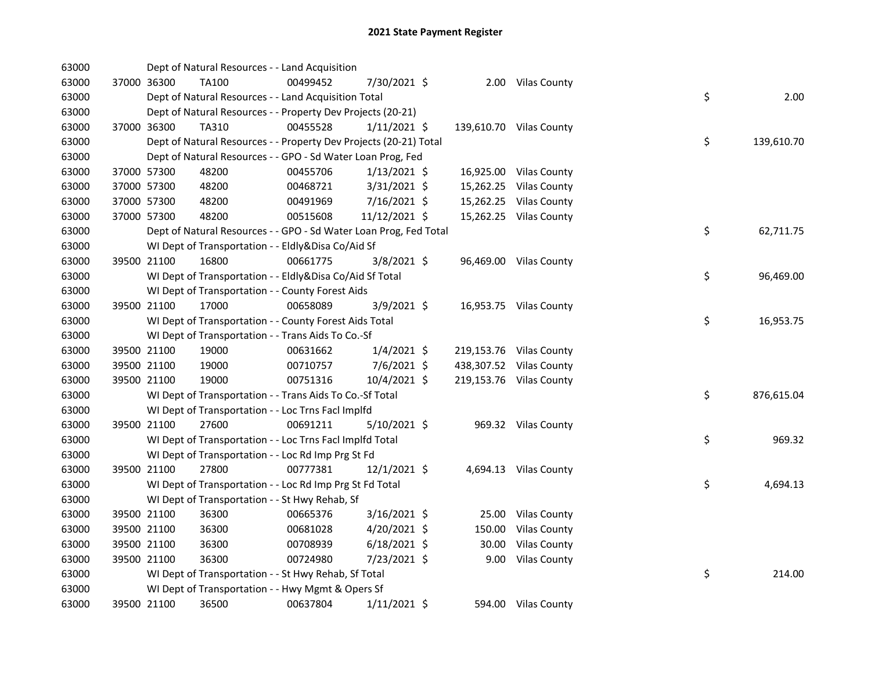| 63000 |             | Dept of Natural Resources - - Land Acquisition                    |          |                |        |                         |    |            |
|-------|-------------|-------------------------------------------------------------------|----------|----------------|--------|-------------------------|----|------------|
| 63000 | 37000 36300 | TA100                                                             | 00499452 | 7/30/2021 \$   |        | 2.00 Vilas County       |    |            |
| 63000 |             | Dept of Natural Resources - - Land Acquisition Total              |          |                |        |                         | \$ | 2.00       |
| 63000 |             | Dept of Natural Resources - - Property Dev Projects (20-21)       |          |                |        |                         |    |            |
| 63000 | 37000 36300 | TA310                                                             | 00455528 | $1/11/2021$ \$ |        | 139,610.70 Vilas County |    |            |
| 63000 |             | Dept of Natural Resources - - Property Dev Projects (20-21) Total |          |                |        |                         | \$ | 139,610.70 |
| 63000 |             | Dept of Natural Resources - - GPO - Sd Water Loan Prog, Fed       |          |                |        |                         |    |            |
| 63000 | 37000 57300 | 48200                                                             | 00455706 | $1/13/2021$ \$ |        | 16,925.00 Vilas County  |    |            |
| 63000 | 37000 57300 | 48200                                                             | 00468721 | 3/31/2021 \$   |        | 15,262.25 Vilas County  |    |            |
| 63000 | 37000 57300 | 48200                                                             | 00491969 | 7/16/2021 \$   |        | 15,262.25 Vilas County  |    |            |
| 63000 | 37000 57300 | 48200                                                             | 00515608 | 11/12/2021 \$  |        | 15,262.25 Vilas County  |    |            |
| 63000 |             | Dept of Natural Resources - - GPO - Sd Water Loan Prog, Fed Total |          |                |        |                         | \$ | 62,711.75  |
| 63000 |             | WI Dept of Transportation - - Eldly&Disa Co/Aid Sf                |          |                |        |                         |    |            |
| 63000 | 39500 21100 | 16800                                                             | 00661775 | 3/8/2021 \$    |        | 96,469.00 Vilas County  |    |            |
| 63000 |             | WI Dept of Transportation - - Eldly&Disa Co/Aid Sf Total          |          |                |        |                         | \$ | 96,469.00  |
| 63000 |             | WI Dept of Transportation - - County Forest Aids                  |          |                |        |                         |    |            |
| 63000 | 39500 21100 | 17000                                                             | 00658089 | $3/9/2021$ \$  |        | 16,953.75 Vilas County  |    |            |
| 63000 |             | WI Dept of Transportation - - County Forest Aids Total            |          |                |        |                         | \$ | 16,953.75  |
| 63000 |             | WI Dept of Transportation - - Trans Aids To Co.-Sf                |          |                |        |                         |    |            |
| 63000 | 39500 21100 | 19000                                                             | 00631662 | $1/4/2021$ \$  |        | 219,153.76 Vilas County |    |            |
| 63000 | 39500 21100 | 19000                                                             | 00710757 | $7/6/2021$ \$  |        | 438,307.52 Vilas County |    |            |
| 63000 | 39500 21100 | 19000                                                             | 00751316 | 10/4/2021 \$   |        | 219,153.76 Vilas County |    |            |
| 63000 |             | WI Dept of Transportation - - Trans Aids To Co.-Sf Total          |          |                |        |                         | \$ | 876,615.04 |
| 63000 |             | WI Dept of Transportation - - Loc Trns Facl Implfd                |          |                |        |                         |    |            |
| 63000 | 39500 21100 | 27600                                                             | 00691211 | 5/10/2021 \$   |        | 969.32 Vilas County     |    |            |
| 63000 |             | WI Dept of Transportation - - Loc Trns Facl Implfd Total          |          |                |        |                         | \$ | 969.32     |
| 63000 |             | WI Dept of Transportation - - Loc Rd Imp Prg St Fd                |          |                |        |                         |    |            |
| 63000 | 39500 21100 | 27800                                                             | 00777381 | 12/1/2021 \$   |        | 4,694.13 Vilas County   |    |            |
| 63000 |             | WI Dept of Transportation - - Loc Rd Imp Prg St Fd Total          |          |                |        |                         | \$ | 4,694.13   |
| 63000 |             | WI Dept of Transportation - - St Hwy Rehab, Sf                    |          |                |        |                         |    |            |
| 63000 | 39500 21100 | 36300                                                             | 00665376 | $3/16/2021$ \$ |        | 25.00 Vilas County      |    |            |
| 63000 | 39500 21100 | 36300                                                             | 00681028 | $4/20/2021$ \$ | 150.00 | <b>Vilas County</b>     |    |            |
| 63000 | 39500 21100 | 36300                                                             | 00708939 | $6/18/2021$ \$ | 30.00  | <b>Vilas County</b>     |    |            |
| 63000 | 39500 21100 | 36300                                                             | 00724980 | 7/23/2021 \$   | 9.00   | <b>Vilas County</b>     |    |            |
| 63000 |             | WI Dept of Transportation - - St Hwy Rehab, Sf Total              |          |                |        |                         | \$ | 214.00     |
| 63000 |             | WI Dept of Transportation - - Hwy Mgmt & Opers Sf                 |          |                |        |                         |    |            |
| 63000 | 39500 21100 | 36500                                                             | 00637804 | $1/11/2021$ \$ |        | 594.00 Vilas County     |    |            |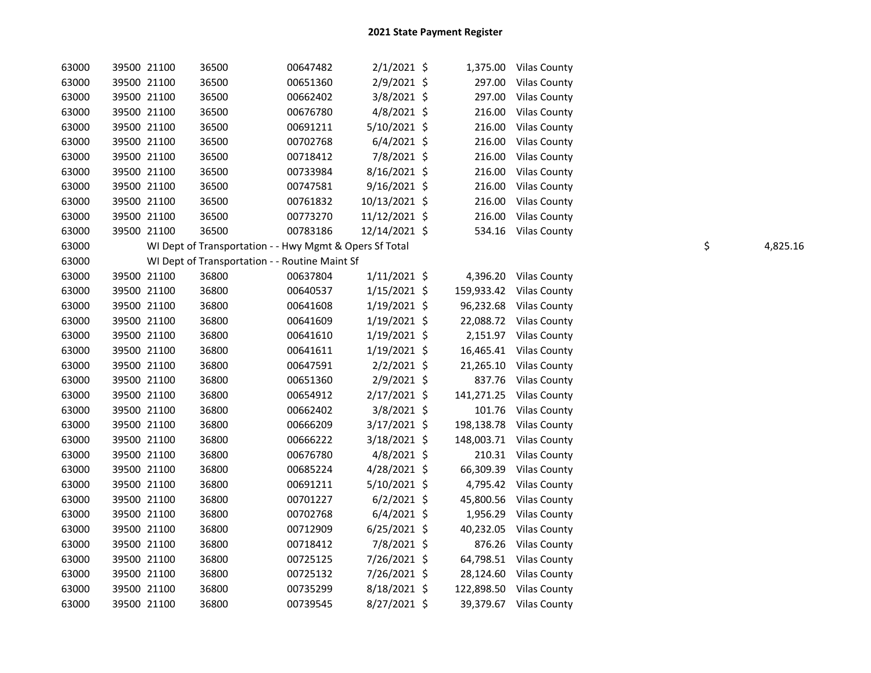| 63000 | 39500 21100 | 36500 | 00647482                                                | $2/1/2021$ \$  |        | 1,375.00 Vilas County   |    |          |
|-------|-------------|-------|---------------------------------------------------------|----------------|--------|-------------------------|----|----------|
| 63000 | 39500 21100 | 36500 | 00651360                                                | 2/9/2021 \$    |        | 297.00 Vilas County     |    |          |
| 63000 | 39500 21100 | 36500 | 00662402                                                | 3/8/2021 \$    | 297.00 | <b>Vilas County</b>     |    |          |
| 63000 | 39500 21100 | 36500 | 00676780                                                | $4/8/2021$ \$  | 216.00 | <b>Vilas County</b>     |    |          |
| 63000 | 39500 21100 | 36500 | 00691211                                                | $5/10/2021$ \$ | 216.00 | <b>Vilas County</b>     |    |          |
| 63000 | 39500 21100 | 36500 | 00702768                                                | $6/4/2021$ \$  | 216.00 | <b>Vilas County</b>     |    |          |
| 63000 | 39500 21100 | 36500 | 00718412                                                | 7/8/2021 \$    | 216.00 | <b>Vilas County</b>     |    |          |
| 63000 | 39500 21100 | 36500 | 00733984                                                | $8/16/2021$ \$ | 216.00 | <b>Vilas County</b>     |    |          |
| 63000 | 39500 21100 | 36500 | 00747581                                                | $9/16/2021$ \$ | 216.00 | <b>Vilas County</b>     |    |          |
| 63000 | 39500 21100 | 36500 | 00761832                                                | 10/13/2021 \$  | 216.00 | <b>Vilas County</b>     |    |          |
| 63000 | 39500 21100 | 36500 | 00773270                                                | 11/12/2021 \$  | 216.00 | Vilas County            |    |          |
| 63000 | 39500 21100 | 36500 | 00783186                                                | 12/14/2021 \$  |        | 534.16 Vilas County     |    |          |
| 63000 |             |       | WI Dept of Transportation - - Hwy Mgmt & Opers Sf Total |                |        |                         | \$ | 4,825.16 |
| 63000 |             |       | WI Dept of Transportation - - Routine Maint Sf          |                |        |                         |    |          |
| 63000 | 39500 21100 | 36800 | 00637804                                                | $1/11/2021$ \$ |        | 4,396.20 Vilas County   |    |          |
| 63000 | 39500 21100 | 36800 | 00640537                                                | $1/15/2021$ \$ |        | 159,933.42 Vilas County |    |          |
| 63000 | 39500 21100 | 36800 | 00641608                                                | $1/19/2021$ \$ |        | 96,232.68 Vilas County  |    |          |
| 63000 | 39500 21100 | 36800 | 00641609                                                | $1/19/2021$ \$ |        | 22,088.72 Vilas County  |    |          |
| 63000 | 39500 21100 | 36800 | 00641610                                                | $1/19/2021$ \$ |        | 2,151.97 Vilas County   |    |          |
| 63000 | 39500 21100 | 36800 | 00641611                                                | 1/19/2021 \$   |        | 16,465.41 Vilas County  |    |          |
| 63000 | 39500 21100 | 36800 | 00647591                                                | $2/2/2021$ \$  |        | 21,265.10 Vilas County  |    |          |
| 63000 | 39500 21100 | 36800 | 00651360                                                | 2/9/2021 \$    |        | 837.76 Vilas County     |    |          |
| 63000 | 39500 21100 | 36800 | 00654912                                                | $2/17/2021$ \$ |        | 141,271.25 Vilas County |    |          |
| 63000 | 39500 21100 | 36800 | 00662402                                                | 3/8/2021 \$    |        | 101.76 Vilas County     |    |          |
| 63000 | 39500 21100 | 36800 | 00666209                                                | $3/17/2021$ \$ |        | 198,138.78 Vilas County |    |          |
| 63000 | 39500 21100 | 36800 | 00666222                                                | $3/18/2021$ \$ |        | 148,003.71 Vilas County |    |          |
| 63000 | 39500 21100 | 36800 | 00676780                                                | $4/8/2021$ \$  |        | 210.31 Vilas County     |    |          |
| 63000 | 39500 21100 | 36800 | 00685224                                                | $4/28/2021$ \$ |        | 66,309.39 Vilas County  |    |          |
| 63000 | 39500 21100 | 36800 | 00691211                                                | 5/10/2021 \$   |        | 4,795.42 Vilas County   |    |          |
| 63000 | 39500 21100 | 36800 | 00701227                                                | $6/2/2021$ \$  |        | 45,800.56 Vilas County  |    |          |
| 63000 | 39500 21100 | 36800 | 00702768                                                | $6/4/2021$ \$  |        | 1,956.29 Vilas County   |    |          |
| 63000 | 39500 21100 | 36800 | 00712909                                                | $6/25/2021$ \$ |        | 40,232.05 Vilas County  |    |          |
| 63000 | 39500 21100 | 36800 | 00718412                                                | 7/8/2021 \$    |        | 876.26 Vilas County     |    |          |
| 63000 | 39500 21100 | 36800 | 00725125                                                | 7/26/2021 \$   |        | 64,798.51 Vilas County  |    |          |
| 63000 | 39500 21100 | 36800 | 00725132                                                | 7/26/2021 \$   |        | 28,124.60 Vilas County  |    |          |
| 63000 | 39500 21100 | 36800 | 00735299                                                | 8/18/2021 \$   |        | 122,898.50 Vilas County |    |          |
| 63000 | 39500 21100 | 36800 | 00739545                                                | 8/27/2021 \$   |        | 39,379.67 Vilas County  |    |          |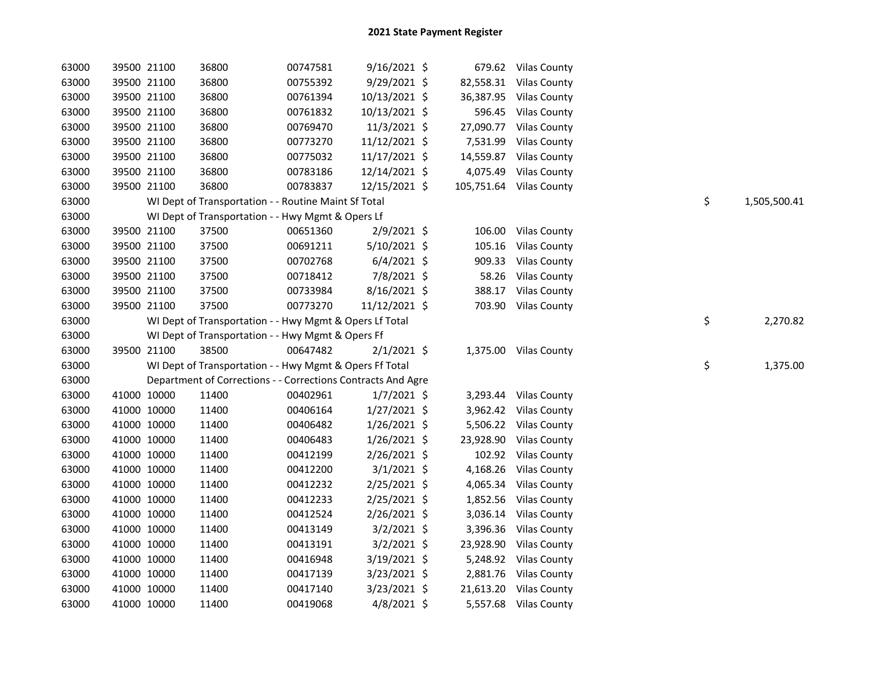| 63000 |             | 39500 21100 | 36800                                                        | 00747581 | $9/16/2021$ \$ |          | 679.62 Vilas County     |    |              |
|-------|-------------|-------------|--------------------------------------------------------------|----------|----------------|----------|-------------------------|----|--------------|
| 63000 |             | 39500 21100 | 36800                                                        | 00755392 | 9/29/2021 \$   |          | 82,558.31 Vilas County  |    |              |
| 63000 |             | 39500 21100 | 36800                                                        | 00761394 | 10/13/2021 \$  |          | 36,387.95 Vilas County  |    |              |
| 63000 |             | 39500 21100 | 36800                                                        | 00761832 | 10/13/2021 \$  |          | 596.45 Vilas County     |    |              |
| 63000 |             | 39500 21100 | 36800                                                        | 00769470 | 11/3/2021 \$   |          | 27,090.77 Vilas County  |    |              |
| 63000 |             | 39500 21100 | 36800                                                        | 00773270 | 11/12/2021 \$  | 7,531.99 | <b>Vilas County</b>     |    |              |
| 63000 |             | 39500 21100 | 36800                                                        | 00775032 | 11/17/2021 \$  |          | 14,559.87 Vilas County  |    |              |
| 63000 |             | 39500 21100 | 36800                                                        | 00783186 | 12/14/2021 \$  | 4,075.49 | <b>Vilas County</b>     |    |              |
| 63000 | 39500 21100 |             | 36800                                                        | 00783837 | 12/15/2021 \$  |          | 105,751.64 Vilas County |    |              |
| 63000 |             |             | WI Dept of Transportation - - Routine Maint Sf Total         |          |                |          |                         | \$ | 1,505,500.41 |
| 63000 |             |             | WI Dept of Transportation - - Hwy Mgmt & Opers Lf            |          |                |          |                         |    |              |
| 63000 |             | 39500 21100 | 37500                                                        | 00651360 | $2/9/2021$ \$  | 106.00   | <b>Vilas County</b>     |    |              |
| 63000 |             | 39500 21100 | 37500                                                        | 00691211 | 5/10/2021 \$   | 105.16   | <b>Vilas County</b>     |    |              |
| 63000 |             | 39500 21100 | 37500                                                        | 00702768 | $6/4/2021$ \$  | 909.33   | <b>Vilas County</b>     |    |              |
| 63000 |             | 39500 21100 | 37500                                                        | 00718412 | 7/8/2021 \$    | 58.26    | <b>Vilas County</b>     |    |              |
| 63000 |             | 39500 21100 | 37500                                                        | 00733984 | 8/16/2021 \$   | 388.17   | <b>Vilas County</b>     |    |              |
| 63000 |             | 39500 21100 | 37500                                                        | 00773270 | 11/12/2021 \$  |          | 703.90 Vilas County     |    |              |
| 63000 |             |             | WI Dept of Transportation - - Hwy Mgmt & Opers Lf Total      |          |                |          |                         | \$ | 2,270.82     |
| 63000 |             |             | WI Dept of Transportation - - Hwy Mgmt & Opers Ff            |          |                |          |                         |    |              |
| 63000 |             | 39500 21100 | 38500                                                        | 00647482 | $2/1/2021$ \$  |          | 1,375.00 Vilas County   |    |              |
| 63000 |             |             | WI Dept of Transportation - - Hwy Mgmt & Opers Ff Total      |          |                |          |                         | \$ | 1,375.00     |
| 63000 |             |             | Department of Corrections - - Corrections Contracts And Agre |          |                |          |                         |    |              |
| 63000 |             | 41000 10000 | 11400                                                        | 00402961 | $1/7/2021$ \$  | 3,293.44 | <b>Vilas County</b>     |    |              |
| 63000 |             | 41000 10000 | 11400                                                        | 00406164 | $1/27/2021$ \$ | 3,962.42 | <b>Vilas County</b>     |    |              |
| 63000 |             | 41000 10000 | 11400                                                        | 00406482 | $1/26/2021$ \$ |          | 5,506.22 Vilas County   |    |              |
| 63000 |             | 41000 10000 | 11400                                                        | 00406483 | $1/26/2021$ \$ |          | 23,928.90 Vilas County  |    |              |
| 63000 |             | 41000 10000 | 11400                                                        | 00412199 | 2/26/2021 \$   |          | 102.92 Vilas County     |    |              |
| 63000 |             | 41000 10000 | 11400                                                        | 00412200 | $3/1/2021$ \$  |          | 4,168.26 Vilas County   |    |              |
| 63000 |             | 41000 10000 | 11400                                                        | 00412232 | $2/25/2021$ \$ | 4,065.34 | <b>Vilas County</b>     |    |              |
| 63000 |             | 41000 10000 | 11400                                                        | 00412233 | $2/25/2021$ \$ | 1,852.56 | <b>Vilas County</b>     |    |              |
| 63000 |             | 41000 10000 | 11400                                                        | 00412524 | 2/26/2021 \$   |          | 3,036.14 Vilas County   |    |              |
| 63000 |             | 41000 10000 | 11400                                                        | 00413149 | $3/2/2021$ \$  |          | 3,396.36 Vilas County   |    |              |
| 63000 |             | 41000 10000 | 11400                                                        | 00413191 | $3/2/2021$ \$  |          | 23,928.90 Vilas County  |    |              |
| 63000 |             | 41000 10000 | 11400                                                        | 00416948 | $3/19/2021$ \$ |          | 5,248.92 Vilas County   |    |              |
| 63000 | 41000 10000 |             | 11400                                                        | 00417139 | $3/23/2021$ \$ |          | 2,881.76 Vilas County   |    |              |
| 63000 | 41000 10000 |             | 11400                                                        | 00417140 | 3/23/2021 \$   |          | 21,613.20 Vilas County  |    |              |
| 63000 |             | 41000 10000 | 11400                                                        | 00419068 | $4/8/2021$ \$  |          | 5,557.68 Vilas County   |    |              |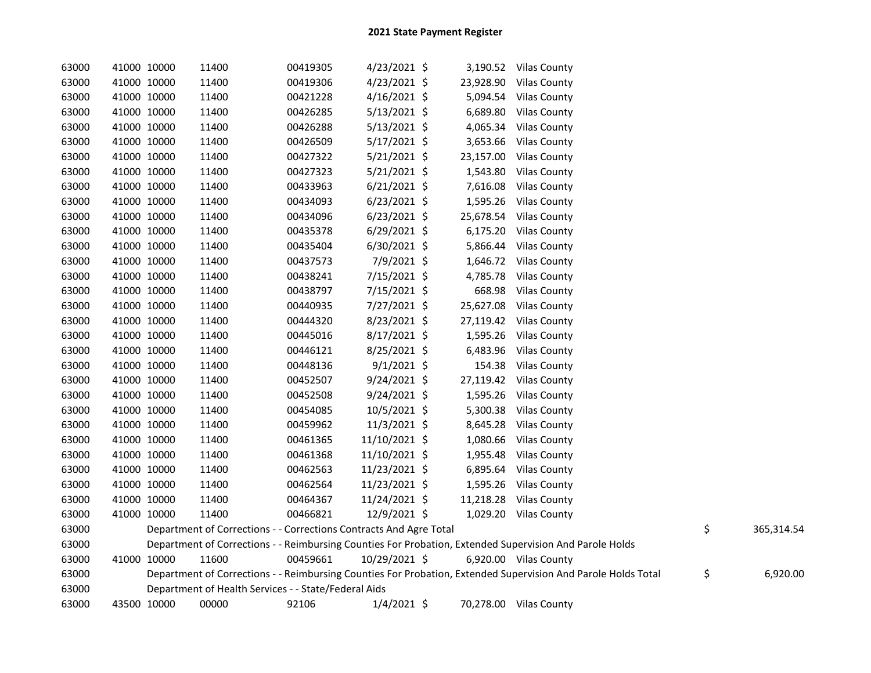| 63000 |             | 41000 10000 | 11400                                                              | 00419305 | $4/23/2021$ \$ |          | 3,190.52 Vilas County                                                                                         |                  |
|-------|-------------|-------------|--------------------------------------------------------------------|----------|----------------|----------|---------------------------------------------------------------------------------------------------------------|------------------|
| 63000 | 41000 10000 |             | 11400                                                              | 00419306 | $4/23/2021$ \$ |          | 23,928.90 Vilas County                                                                                        |                  |
| 63000 | 41000 10000 |             | 11400                                                              | 00421228 | $4/16/2021$ \$ |          | 5,094.54 Vilas County                                                                                         |                  |
| 63000 | 41000 10000 |             | 11400                                                              | 00426285 | $5/13/2021$ \$ |          | 6,689.80 Vilas County                                                                                         |                  |
| 63000 | 41000 10000 |             | 11400                                                              | 00426288 | 5/13/2021 \$   | 4,065.34 | <b>Vilas County</b>                                                                                           |                  |
| 63000 | 41000 10000 |             | 11400                                                              | 00426509 | $5/17/2021$ \$ |          | 3,653.66 Vilas County                                                                                         |                  |
| 63000 | 41000 10000 |             | 11400                                                              | 00427322 | $5/21/2021$ \$ |          | 23,157.00 Vilas County                                                                                        |                  |
| 63000 |             | 41000 10000 | 11400                                                              | 00427323 | $5/21/2021$ \$ |          | 1,543.80 Vilas County                                                                                         |                  |
| 63000 |             | 41000 10000 | 11400                                                              | 00433963 | $6/21/2021$ \$ | 7,616.08 | <b>Vilas County</b>                                                                                           |                  |
| 63000 |             | 41000 10000 | 11400                                                              | 00434093 | $6/23/2021$ \$ |          | 1,595.26 Vilas County                                                                                         |                  |
| 63000 |             | 41000 10000 | 11400                                                              | 00434096 | $6/23/2021$ \$ |          | 25,678.54 Vilas County                                                                                        |                  |
| 63000 |             | 41000 10000 | 11400                                                              | 00435378 | $6/29/2021$ \$ |          | 6,175.20 Vilas County                                                                                         |                  |
| 63000 |             | 41000 10000 | 11400                                                              | 00435404 | 6/30/2021 \$   | 5,866.44 | <b>Vilas County</b>                                                                                           |                  |
| 63000 |             | 41000 10000 | 11400                                                              | 00437573 | 7/9/2021 \$    |          | 1,646.72 Vilas County                                                                                         |                  |
| 63000 |             | 41000 10000 | 11400                                                              | 00438241 | 7/15/2021 \$   | 4,785.78 | <b>Vilas County</b>                                                                                           |                  |
| 63000 |             | 41000 10000 | 11400                                                              | 00438797 | 7/15/2021 \$   | 668.98   | <b>Vilas County</b>                                                                                           |                  |
| 63000 |             | 41000 10000 | 11400                                                              | 00440935 | 7/27/2021 \$   |          | 25,627.08 Vilas County                                                                                        |                  |
| 63000 |             | 41000 10000 | 11400                                                              | 00444320 | 8/23/2021 \$   |          | 27,119.42 Vilas County                                                                                        |                  |
| 63000 |             | 41000 10000 | 11400                                                              | 00445016 | $8/17/2021$ \$ |          | 1,595.26 Vilas County                                                                                         |                  |
| 63000 |             | 41000 10000 | 11400                                                              | 00446121 | 8/25/2021 \$   |          | 6,483.96 Vilas County                                                                                         |                  |
| 63000 |             | 41000 10000 | 11400                                                              | 00448136 | $9/1/2021$ \$  |          | 154.38 Vilas County                                                                                           |                  |
| 63000 |             | 41000 10000 | 11400                                                              | 00452507 | 9/24/2021 \$   |          | 27,119.42 Vilas County                                                                                        |                  |
| 63000 |             | 41000 10000 | 11400                                                              | 00452508 | 9/24/2021 \$   |          | 1,595.26 Vilas County                                                                                         |                  |
| 63000 |             | 41000 10000 | 11400                                                              | 00454085 | 10/5/2021 \$   | 5,300.38 | <b>Vilas County</b>                                                                                           |                  |
| 63000 |             | 41000 10000 | 11400                                                              | 00459962 | 11/3/2021 \$   | 8,645.28 | <b>Vilas County</b>                                                                                           |                  |
| 63000 |             | 41000 10000 | 11400                                                              | 00461365 | 11/10/2021 \$  |          | 1,080.66 Vilas County                                                                                         |                  |
| 63000 |             | 41000 10000 | 11400                                                              | 00461368 | 11/10/2021 \$  |          | 1,955.48 Vilas County                                                                                         |                  |
| 63000 |             | 41000 10000 | 11400                                                              | 00462563 | 11/23/2021 \$  | 6,895.64 | <b>Vilas County</b>                                                                                           |                  |
| 63000 |             | 41000 10000 | 11400                                                              | 00462564 | 11/23/2021 \$  |          | 1,595.26 Vilas County                                                                                         |                  |
| 63000 |             | 41000 10000 | 11400                                                              | 00464367 | 11/24/2021 \$  |          | 11,218.28 Vilas County                                                                                        |                  |
| 63000 | 41000 10000 |             | 11400                                                              | 00466821 | 12/9/2021 \$   |          | 1,029.20 Vilas County                                                                                         |                  |
| 63000 |             |             | Department of Corrections - - Corrections Contracts And Agre Total |          |                |          |                                                                                                               | \$<br>365,314.54 |
| 63000 |             |             |                                                                    |          |                |          | Department of Corrections - - Reimbursing Counties For Probation, Extended Supervision And Parole Holds       |                  |
| 63000 |             | 41000 10000 | 11600                                                              | 00459661 | 10/29/2021 \$  |          | 6,920.00 Vilas County                                                                                         |                  |
| 63000 |             |             |                                                                    |          |                |          | Department of Corrections - - Reimbursing Counties For Probation, Extended Supervision And Parole Holds Total | \$<br>6,920.00   |
| 63000 |             |             | Department of Health Services - - State/Federal Aids               |          |                |          |                                                                                                               |                  |
| 63000 |             | 43500 10000 | 00000                                                              | 92106    | $1/4/2021$ \$  |          | 70,278.00 Vilas County                                                                                        |                  |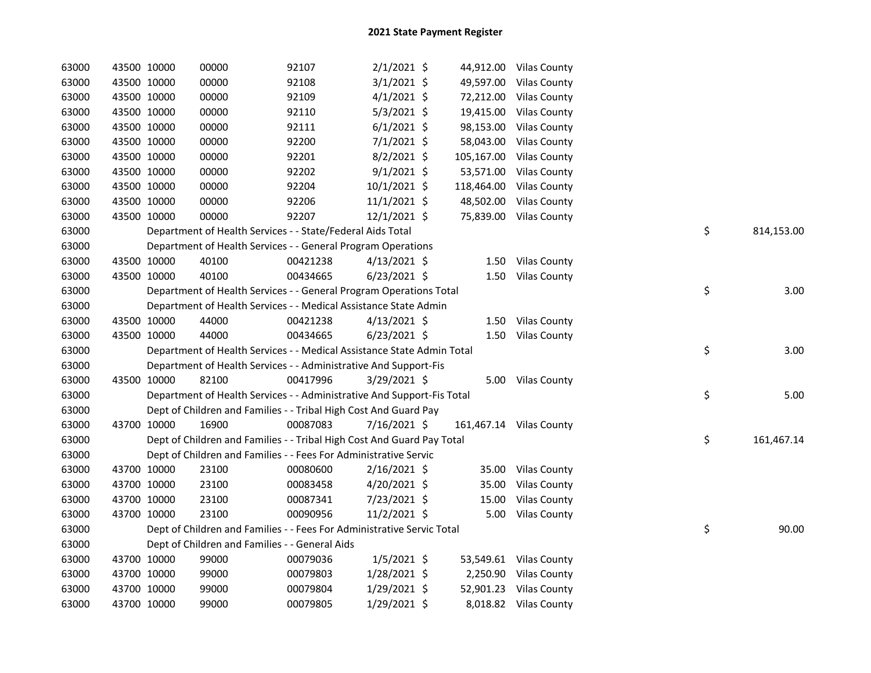| 63000 |             | 43500 10000 | 00000                                                                  | 92107    | $2/1/2021$ \$  |            | 44,912.00 Vilas County  |    |            |
|-------|-------------|-------------|------------------------------------------------------------------------|----------|----------------|------------|-------------------------|----|------------|
| 63000 |             | 43500 10000 | 00000                                                                  | 92108    | $3/1/2021$ \$  |            | 49,597.00 Vilas County  |    |            |
| 63000 |             | 43500 10000 | 00000                                                                  | 92109    | $4/1/2021$ \$  |            | 72,212.00 Vilas County  |    |            |
| 63000 |             | 43500 10000 | 00000                                                                  | 92110    | $5/3/2021$ \$  |            | 19,415.00 Vilas County  |    |            |
| 63000 |             | 43500 10000 | 00000                                                                  | 92111    | $6/1/2021$ \$  |            | 98,153.00 Vilas County  |    |            |
| 63000 |             | 43500 10000 | 00000                                                                  | 92200    | $7/1/2021$ \$  |            | 58,043.00 Vilas County  |    |            |
| 63000 |             | 43500 10000 | 00000                                                                  | 92201    | $8/2/2021$ \$  |            | 105,167.00 Vilas County |    |            |
| 63000 |             | 43500 10000 | 00000                                                                  | 92202    | $9/1/2021$ \$  |            | 53,571.00 Vilas County  |    |            |
| 63000 |             | 43500 10000 | 00000                                                                  | 92204    | 10/1/2021 \$   | 118,464.00 | <b>Vilas County</b>     |    |            |
| 63000 |             | 43500 10000 | 00000                                                                  | 92206    | $11/1/2021$ \$ | 48,502.00  | <b>Vilas County</b>     |    |            |
| 63000 |             | 43500 10000 | 00000                                                                  | 92207    | 12/1/2021 \$   |            | 75,839.00 Vilas County  |    |            |
| 63000 |             |             | Department of Health Services - - State/Federal Aids Total             |          |                |            |                         | \$ | 814,153.00 |
| 63000 |             |             | Department of Health Services - - General Program Operations           |          |                |            |                         |    |            |
| 63000 |             | 43500 10000 | 40100                                                                  | 00421238 | $4/13/2021$ \$ |            | 1.50 Vilas County       |    |            |
| 63000 |             | 43500 10000 | 40100                                                                  | 00434665 | $6/23/2021$ \$ |            | 1.50 Vilas County       |    |            |
| 63000 |             |             | Department of Health Services - - General Program Operations Total     |          |                |            |                         | \$ | 3.00       |
| 63000 |             |             | Department of Health Services - - Medical Assistance State Admin       |          |                |            |                         |    |            |
| 63000 |             | 43500 10000 | 44000                                                                  | 00421238 | $4/13/2021$ \$ |            | 1.50 Vilas County       |    |            |
| 63000 |             | 43500 10000 | 44000                                                                  | 00434665 | $6/23/2021$ \$ |            | 1.50 Vilas County       |    |            |
| 63000 |             |             | Department of Health Services - - Medical Assistance State Admin Total |          |                |            |                         | \$ | 3.00       |
| 63000 |             |             | Department of Health Services - - Administrative And Support-Fis       |          |                |            |                         |    |            |
| 63000 |             | 43500 10000 | 82100                                                                  | 00417996 | $3/29/2021$ \$ |            | 5.00 Vilas County       |    |            |
| 63000 |             |             | Department of Health Services - - Administrative And Support-Fis Total |          |                |            |                         | \$ | 5.00       |
| 63000 |             |             | Dept of Children and Families - - Tribal High Cost And Guard Pay       |          |                |            |                         |    |            |
| 63000 |             | 43700 10000 | 16900                                                                  | 00087083 | 7/16/2021 \$   |            | 161,467.14 Vilas County |    |            |
| 63000 |             |             | Dept of Children and Families - - Tribal High Cost And Guard Pay Total |          |                |            |                         | \$ | 161,467.14 |
| 63000 |             |             | Dept of Children and Families - - Fees For Administrative Servic       |          |                |            |                         |    |            |
| 63000 |             | 43700 10000 | 23100                                                                  | 00080600 | 2/16/2021 \$   |            | 35.00 Vilas County      |    |            |
| 63000 |             | 43700 10000 | 23100                                                                  | 00083458 | $4/20/2021$ \$ | 35.00      | <b>Vilas County</b>     |    |            |
| 63000 |             | 43700 10000 | 23100                                                                  | 00087341 | 7/23/2021 \$   | 15.00      | <b>Vilas County</b>     |    |            |
| 63000 |             |             |                                                                        |          |                | 5.00       | <b>Vilas County</b>     |    |            |
|       | 43700 10000 |             | 23100                                                                  | 00090956 | 11/2/2021 \$   |            |                         |    |            |
| 63000 |             |             | Dept of Children and Families - - Fees For Administrative Servic Total |          |                |            |                         | \$ | 90.00      |
| 63000 |             |             | Dept of Children and Families - - General Aids                         |          |                |            |                         |    |            |
| 63000 |             | 43700 10000 | 99000                                                                  | 00079036 | $1/5/2021$ \$  |            | 53,549.61 Vilas County  |    |            |
| 63000 |             | 43700 10000 | 99000                                                                  | 00079803 | 1/28/2021 \$   | 2,250.90   | <b>Vilas County</b>     |    |            |
| 63000 |             | 43700 10000 | 99000                                                                  | 00079804 | $1/29/2021$ \$ |            | 52,901.23 Vilas County  |    |            |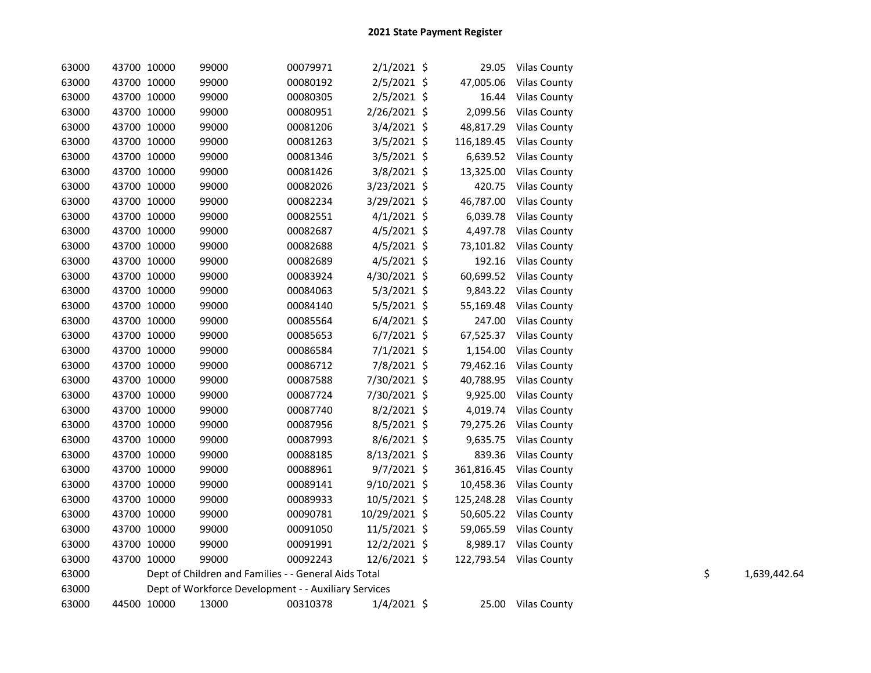| 63000 | 43700 10000 | 99000                                                | 00079971 | $2/1/2021$ \$  |            | 29.05 Vilas County      |    |              |
|-------|-------------|------------------------------------------------------|----------|----------------|------------|-------------------------|----|--------------|
| 63000 | 43700 10000 | 99000                                                | 00080192 | 2/5/2021 \$    | 47,005.06  | <b>Vilas County</b>     |    |              |
| 63000 | 43700 10000 | 99000                                                | 00080305 | $2/5/2021$ \$  | 16.44      | <b>Vilas County</b>     |    |              |
| 63000 | 43700 10000 | 99000                                                | 00080951 | 2/26/2021 \$   | 2,099.56   | <b>Vilas County</b>     |    |              |
| 63000 | 43700 10000 | 99000                                                | 00081206 | $3/4/2021$ \$  |            | 48,817.29 Vilas County  |    |              |
| 63000 | 43700 10000 | 99000                                                | 00081263 | $3/5/2021$ \$  |            | 116,189.45 Vilas County |    |              |
| 63000 | 43700 10000 | 99000                                                | 00081346 | $3/5/2021$ \$  |            | 6,639.52 Vilas County   |    |              |
| 63000 | 43700 10000 | 99000                                                | 00081426 | $3/8/2021$ \$  |            | 13,325.00 Vilas County  |    |              |
| 63000 | 43700 10000 | 99000                                                | 00082026 | 3/23/2021 \$   | 420.75     | <b>Vilas County</b>     |    |              |
| 63000 | 43700 10000 | 99000                                                | 00082234 | $3/29/2021$ \$ | 46,787.00  | <b>Vilas County</b>     |    |              |
| 63000 | 43700 10000 | 99000                                                | 00082551 | $4/1/2021$ \$  | 6,039.78   | <b>Vilas County</b>     |    |              |
| 63000 | 43700 10000 | 99000                                                | 00082687 | $4/5/2021$ \$  |            | 4,497.78 Vilas County   |    |              |
| 63000 | 43700 10000 | 99000                                                | 00082688 | $4/5/2021$ \$  |            | 73,101.82 Vilas County  |    |              |
| 63000 | 43700 10000 | 99000                                                | 00082689 | $4/5/2021$ \$  |            | 192.16 Vilas County     |    |              |
| 63000 | 43700 10000 | 99000                                                | 00083924 | 4/30/2021 \$   |            | 60,699.52 Vilas County  |    |              |
| 63000 | 43700 10000 | 99000                                                | 00084063 | $5/3/2021$ \$  |            | 9,843.22 Vilas County   |    |              |
| 63000 | 43700 10000 | 99000                                                | 00084140 | $5/5/2021$ \$  |            | 55,169.48 Vilas County  |    |              |
| 63000 | 43700 10000 | 99000                                                | 00085564 | $6/4/2021$ \$  |            | 247.00 Vilas County     |    |              |
| 63000 | 43700 10000 | 99000                                                | 00085653 | $6/7/2021$ \$  |            | 67,525.37 Vilas County  |    |              |
| 63000 | 43700 10000 | 99000                                                | 00086584 | $7/1/2021$ \$  |            | 1,154.00 Vilas County   |    |              |
| 63000 | 43700 10000 | 99000                                                | 00086712 | 7/8/2021 \$    | 79,462.16  | <b>Vilas County</b>     |    |              |
| 63000 | 43700 10000 | 99000                                                | 00087588 | 7/30/2021 \$   | 40,788.95  | <b>Vilas County</b>     |    |              |
| 63000 | 43700 10000 | 99000                                                | 00087724 | 7/30/2021 \$   | 9,925.00   | <b>Vilas County</b>     |    |              |
| 63000 | 43700 10000 | 99000                                                | 00087740 | $8/2/2021$ \$  | 4,019.74   | <b>Vilas County</b>     |    |              |
| 63000 | 43700 10000 | 99000                                                | 00087956 | $8/5/2021$ \$  |            | 79,275.26 Vilas County  |    |              |
| 63000 | 43700 10000 | 99000                                                | 00087993 | 8/6/2021 \$    |            | 9,635.75 Vilas County   |    |              |
| 63000 | 43700 10000 | 99000                                                | 00088185 | 8/13/2021 \$   |            | 839.36 Vilas County     |    |              |
| 63000 | 43700 10000 | 99000                                                | 00088961 | $9/7/2021$ \$  |            | 361,816.45 Vilas County |    |              |
| 63000 | 43700 10000 | 99000                                                | 00089141 | $9/10/2021$ \$ | 10,458.36  | Vilas County            |    |              |
| 63000 | 43700 10000 | 99000                                                | 00089933 | 10/5/2021 \$   | 125,248.28 | <b>Vilas County</b>     |    |              |
| 63000 | 43700 10000 | 99000                                                | 00090781 | 10/29/2021 \$  |            | 50,605.22 Vilas County  |    |              |
| 63000 | 43700 10000 | 99000                                                | 00091050 | 11/5/2021 \$   |            | 59,065.59 Vilas County  |    |              |
| 63000 | 43700 10000 | 99000                                                | 00091991 | 12/2/2021 \$   |            | 8,989.17 Vilas County   |    |              |
| 63000 | 43700 10000 | 99000                                                | 00092243 | 12/6/2021 \$   |            | 122,793.54 Vilas County |    |              |
| 63000 |             | Dept of Children and Families - - General Aids Total |          |                |            |                         | \$ | 1,639,442.64 |
| 63000 |             | Dept of Workforce Development - - Auxiliary Services |          |                |            |                         |    |              |
| 63000 | 44500 10000 | 13000                                                | 00310378 | $1/4/2021$ \$  |            | 25.00 Vilas County      |    |              |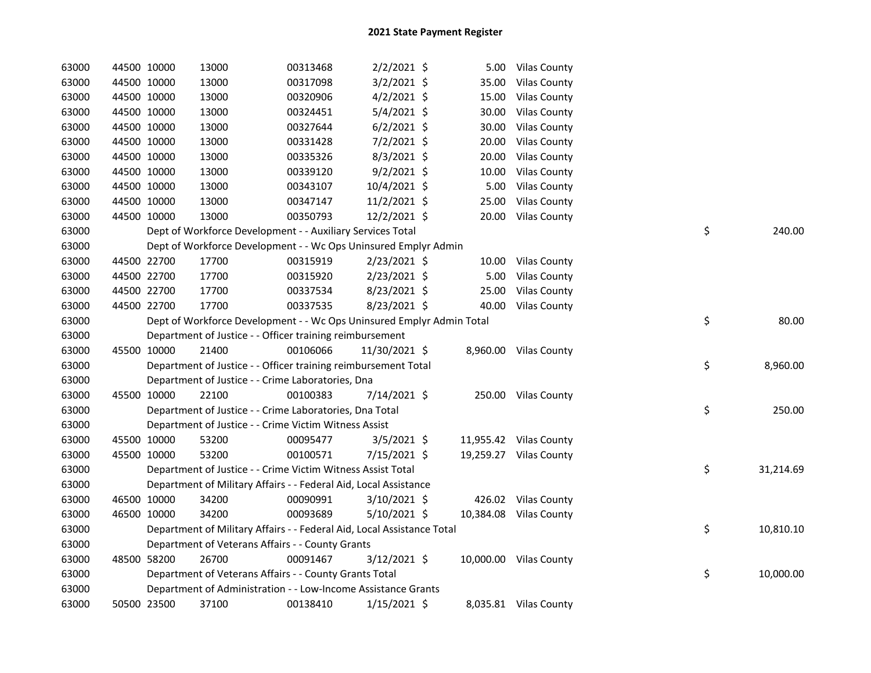| 63000 | 44500 10000 | 13000                                                                  | 00313468 | $2/2/2021$ \$  |       | 5.00 Vilas County      |    |           |
|-------|-------------|------------------------------------------------------------------------|----------|----------------|-------|------------------------|----|-----------|
| 63000 | 44500 10000 | 13000                                                                  | 00317098 | 3/2/2021 \$    | 35.00 | <b>Vilas County</b>    |    |           |
| 63000 | 44500 10000 | 13000                                                                  | 00320906 | $4/2/2021$ \$  | 15.00 | <b>Vilas County</b>    |    |           |
| 63000 | 44500 10000 | 13000                                                                  | 00324451 | 5/4/2021 \$    | 30.00 | <b>Vilas County</b>    |    |           |
| 63000 | 44500 10000 | 13000                                                                  | 00327644 | $6/2/2021$ \$  | 30.00 | <b>Vilas County</b>    |    |           |
| 63000 | 44500 10000 | 13000                                                                  | 00331428 | 7/2/2021 \$    | 20.00 | <b>Vilas County</b>    |    |           |
| 63000 | 44500 10000 | 13000                                                                  | 00335326 | 8/3/2021 \$    | 20.00 | <b>Vilas County</b>    |    |           |
| 63000 | 44500 10000 | 13000                                                                  | 00339120 | $9/2/2021$ \$  | 10.00 | <b>Vilas County</b>    |    |           |
| 63000 | 44500 10000 | 13000                                                                  | 00343107 | 10/4/2021 \$   | 5.00  | <b>Vilas County</b>    |    |           |
| 63000 | 44500 10000 | 13000                                                                  | 00347147 | 11/2/2021 \$   | 25.00 | <b>Vilas County</b>    |    |           |
| 63000 | 44500 10000 | 13000                                                                  | 00350793 | 12/2/2021 \$   |       | 20.00 Vilas County     |    |           |
| 63000 |             | Dept of Workforce Development - - Auxiliary Services Total             |          |                |       |                        | \$ | 240.00    |
| 63000 |             | Dept of Workforce Development - - Wc Ops Uninsured Emplyr Admin        |          |                |       |                        |    |           |
| 63000 | 44500 22700 | 17700                                                                  | 00315919 | $2/23/2021$ \$ |       | 10.00 Vilas County     |    |           |
| 63000 | 44500 22700 | 17700                                                                  | 00315920 | 2/23/2021 \$   | 5.00  | <b>Vilas County</b>    |    |           |
| 63000 | 44500 22700 | 17700                                                                  | 00337534 | 8/23/2021 \$   | 25.00 | <b>Vilas County</b>    |    |           |
| 63000 | 44500 22700 | 17700                                                                  | 00337535 | 8/23/2021 \$   |       | 40.00 Vilas County     |    |           |
| 63000 |             | Dept of Workforce Development - - Wc Ops Uninsured Emplyr Admin Total  |          |                |       |                        | \$ | 80.00     |
| 63000 |             | Department of Justice - - Officer training reimbursement               |          |                |       |                        |    |           |
| 63000 | 45500 10000 | 21400                                                                  | 00106066 | 11/30/2021 \$  |       | 8,960.00 Vilas County  |    |           |
| 63000 |             | Department of Justice - - Officer training reimbursement Total         |          |                |       |                        | \$ | 8,960.00  |
| 63000 |             | Department of Justice - - Crime Laboratories, Dna                      |          |                |       |                        |    |           |
| 63000 | 45500 10000 | 22100                                                                  | 00100383 | 7/14/2021 \$   |       | 250.00 Vilas County    |    |           |
| 63000 |             | Department of Justice - - Crime Laboratories, Dna Total                |          |                |       |                        | \$ | 250.00    |
| 63000 |             | Department of Justice - - Crime Victim Witness Assist                  |          |                |       |                        |    |           |
| 63000 | 45500 10000 | 53200                                                                  | 00095477 | $3/5/2021$ \$  |       | 11,955.42 Vilas County |    |           |
| 63000 | 45500 10000 | 53200                                                                  | 00100571 | 7/15/2021 \$   |       | 19,259.27 Vilas County |    |           |
| 63000 |             | Department of Justice - - Crime Victim Witness Assist Total            |          |                |       |                        | \$ | 31,214.69 |
| 63000 |             | Department of Military Affairs - - Federal Aid, Local Assistance       |          |                |       |                        |    |           |
| 63000 | 46500 10000 | 34200                                                                  | 00090991 | 3/10/2021 \$   |       | 426.02 Vilas County    |    |           |
| 63000 | 46500 10000 | 34200                                                                  | 00093689 | $5/10/2021$ \$ |       | 10,384.08 Vilas County |    |           |
| 63000 |             | Department of Military Affairs - - Federal Aid, Local Assistance Total |          |                |       |                        | \$ | 10,810.10 |
| 63000 |             | Department of Veterans Affairs - - County Grants                       |          |                |       |                        |    |           |
| 63000 | 48500 58200 | 26700                                                                  | 00091467 | 3/12/2021 \$   |       | 10,000.00 Vilas County |    |           |
| 63000 |             | Department of Veterans Affairs - - County Grants Total                 |          |                |       |                        | \$ | 10,000.00 |
| 63000 |             | Department of Administration - - Low-Income Assistance Grants          |          |                |       |                        |    |           |
| 63000 | 50500 23500 | 37100                                                                  | 00138410 | $1/15/2021$ \$ |       | 8,035.81 Vilas County  |    |           |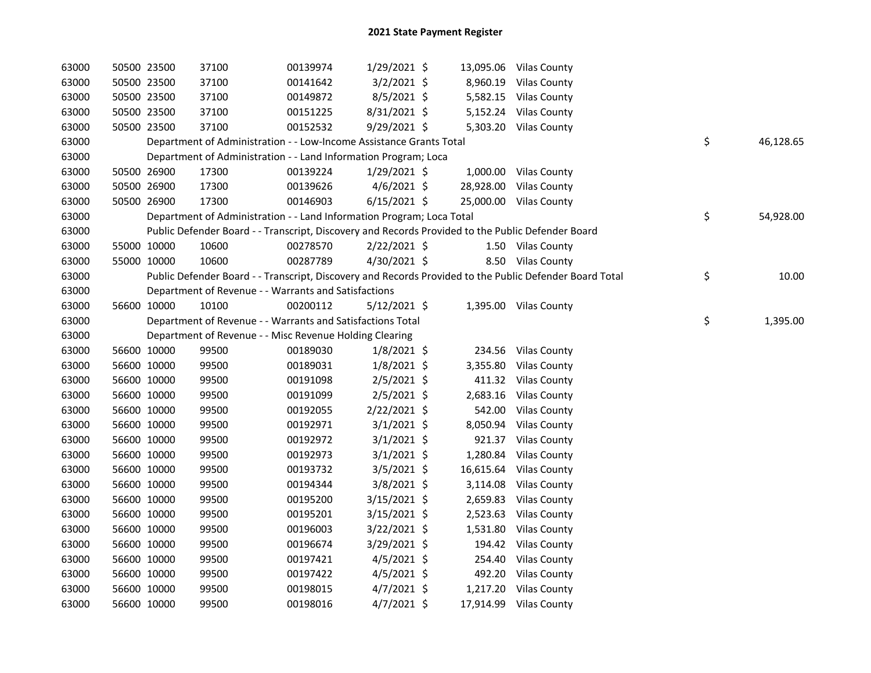| 63000 | 50500 23500 | 37100                                                                                             | 00139974 | 1/29/2021 \$   |          | 13,095.06 Vilas County                                                                                  |                 |
|-------|-------------|---------------------------------------------------------------------------------------------------|----------|----------------|----------|---------------------------------------------------------------------------------------------------------|-----------------|
| 63000 | 50500 23500 | 37100                                                                                             | 00141642 | $3/2/2021$ \$  |          | 8,960.19 Vilas County                                                                                   |                 |
| 63000 | 50500 23500 | 37100                                                                                             | 00149872 | $8/5/2021$ \$  |          | 5,582.15 Vilas County                                                                                   |                 |
| 63000 | 50500 23500 | 37100                                                                                             | 00151225 | 8/31/2021 \$   |          | 5,152.24 Vilas County                                                                                   |                 |
| 63000 | 50500 23500 | 37100                                                                                             | 00152532 | 9/29/2021 \$   |          | 5,303.20 Vilas County                                                                                   |                 |
| 63000 |             | Department of Administration - - Low-Income Assistance Grants Total                               |          |                |          |                                                                                                         | \$<br>46,128.65 |
| 63000 |             | Department of Administration - - Land Information Program; Loca                                   |          |                |          |                                                                                                         |                 |
| 63000 | 50500 26900 | 17300                                                                                             | 00139224 | $1/29/2021$ \$ |          | 1,000.00 Vilas County                                                                                   |                 |
| 63000 | 50500 26900 | 17300                                                                                             | 00139626 | $4/6/2021$ \$  |          | 28,928.00 Vilas County                                                                                  |                 |
| 63000 | 50500 26900 | 17300                                                                                             | 00146903 | $6/15/2021$ \$ |          | 25,000.00 Vilas County                                                                                  |                 |
| 63000 |             | Department of Administration - - Land Information Program; Loca Total                             |          |                |          |                                                                                                         | \$<br>54,928.00 |
| 63000 |             | Public Defender Board - - Transcript, Discovery and Records Provided to the Public Defender Board |          |                |          |                                                                                                         |                 |
| 63000 | 55000 10000 | 10600                                                                                             | 00278570 | 2/22/2021 \$   |          | 1.50 Vilas County                                                                                       |                 |
| 63000 | 55000 10000 | 10600                                                                                             | 00287789 | 4/30/2021 \$   |          | 8.50 Vilas County                                                                                       |                 |
| 63000 |             |                                                                                                   |          |                |          | Public Defender Board - - Transcript, Discovery and Records Provided to the Public Defender Board Total | \$<br>10.00     |
| 63000 |             | Department of Revenue - - Warrants and Satisfactions                                              |          |                |          |                                                                                                         |                 |
| 63000 | 56600 10000 | 10100                                                                                             | 00200112 | $5/12/2021$ \$ |          | 1,395.00 Vilas County                                                                                   |                 |
| 63000 |             | Department of Revenue - - Warrants and Satisfactions Total                                        |          |                |          |                                                                                                         | \$<br>1,395.00  |
| 63000 |             | Department of Revenue - - Misc Revenue Holding Clearing                                           |          |                |          |                                                                                                         |                 |
| 63000 | 56600 10000 | 99500                                                                                             | 00189030 | $1/8/2021$ \$  |          | 234.56 Vilas County                                                                                     |                 |
| 63000 | 56600 10000 | 99500                                                                                             | 00189031 | $1/8/2021$ \$  | 3,355.80 | <b>Vilas County</b>                                                                                     |                 |
| 63000 | 56600 10000 | 99500                                                                                             | 00191098 | $2/5/2021$ \$  |          | 411.32 Vilas County                                                                                     |                 |
| 63000 | 56600 10000 | 99500                                                                                             | 00191099 | $2/5/2021$ \$  |          | 2,683.16 Vilas County                                                                                   |                 |
| 63000 | 56600 10000 | 99500                                                                                             | 00192055 | 2/22/2021 \$   |          | 542.00 Vilas County                                                                                     |                 |
| 63000 | 56600 10000 | 99500                                                                                             | 00192971 | $3/1/2021$ \$  |          | 8,050.94 Vilas County                                                                                   |                 |
| 63000 | 56600 10000 | 99500                                                                                             | 00192972 | $3/1/2021$ \$  |          | 921.37 Vilas County                                                                                     |                 |
| 63000 | 56600 10000 | 99500                                                                                             | 00192973 | $3/1/2021$ \$  |          | 1,280.84 Vilas County                                                                                   |                 |
| 63000 | 56600 10000 | 99500                                                                                             | 00193732 | $3/5/2021$ \$  |          | 16,615.64 Vilas County                                                                                  |                 |
| 63000 | 56600 10000 | 99500                                                                                             | 00194344 | $3/8/2021$ \$  |          | 3,114.08 Vilas County                                                                                   |                 |
| 63000 | 56600 10000 | 99500                                                                                             | 00195200 | $3/15/2021$ \$ |          | 2,659.83 Vilas County                                                                                   |                 |
| 63000 | 56600 10000 | 99500                                                                                             | 00195201 | $3/15/2021$ \$ |          | 2,523.63 Vilas County                                                                                   |                 |
| 63000 | 56600 10000 | 99500                                                                                             | 00196003 | $3/22/2021$ \$ |          | 1,531.80 Vilas County                                                                                   |                 |
| 63000 | 56600 10000 | 99500                                                                                             | 00196674 | 3/29/2021 \$   |          | 194.42 Vilas County                                                                                     |                 |
| 63000 | 56600 10000 | 99500                                                                                             | 00197421 | $4/5/2021$ \$  |          | 254.40 Vilas County                                                                                     |                 |
| 63000 | 56600 10000 | 99500                                                                                             | 00197422 | $4/5/2021$ \$  |          | 492.20 Vilas County                                                                                     |                 |
| 63000 | 56600 10000 | 99500                                                                                             | 00198015 | $4/7/2021$ \$  |          | 1,217.20 Vilas County                                                                                   |                 |
| 63000 | 56600 10000 | 99500                                                                                             | 00198016 | $4/7/2021$ \$  |          | 17,914.99 Vilas County                                                                                  |                 |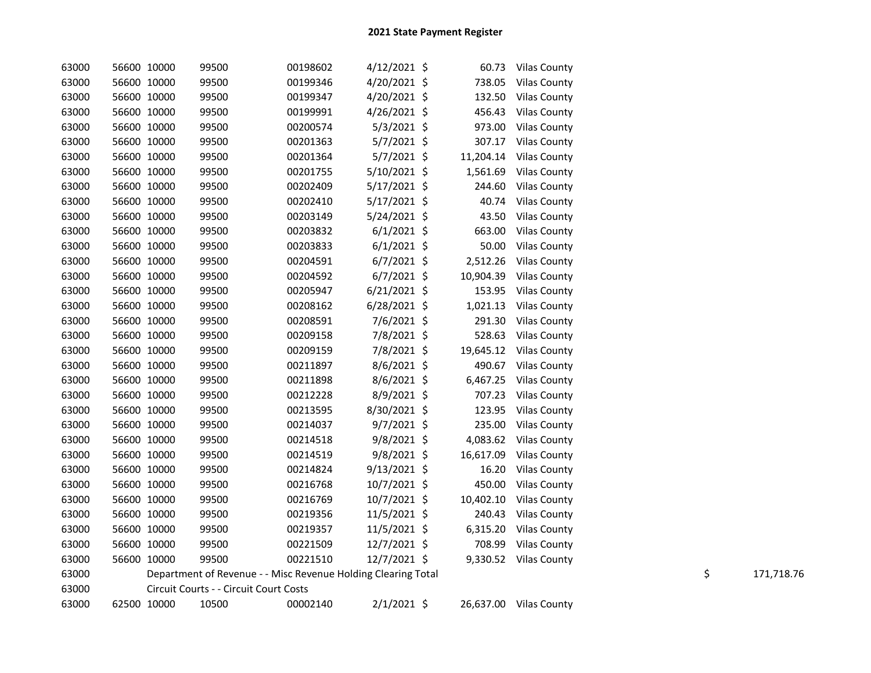| 63000 | 56600 10000 | 99500                                                         | 00198602 | $4/12/2021$ \$ |           | 60.73 Vilas County     |    |            |
|-------|-------------|---------------------------------------------------------------|----------|----------------|-----------|------------------------|----|------------|
| 63000 | 56600 10000 | 99500                                                         | 00199346 | 4/20/2021 \$   | 738.05    | <b>Vilas County</b>    |    |            |
| 63000 | 56600 10000 | 99500                                                         | 00199347 | 4/20/2021 \$   | 132.50    | <b>Vilas County</b>    |    |            |
| 63000 | 56600 10000 | 99500                                                         | 00199991 | $4/26/2021$ \$ |           | 456.43 Vilas County    |    |            |
| 63000 | 56600 10000 | 99500                                                         | 00200574 | $5/3/2021$ \$  |           | 973.00 Vilas County    |    |            |
| 63000 | 56600 10000 | 99500                                                         | 00201363 | $5/7/2021$ \$  |           | 307.17 Vilas County    |    |            |
| 63000 | 56600 10000 | 99500                                                         | 00201364 | $5/7/2021$ \$  | 11,204.14 | <b>Vilas County</b>    |    |            |
| 63000 | 56600 10000 | 99500                                                         | 00201755 | $5/10/2021$ \$ | 1,561.69  | <b>Vilas County</b>    |    |            |
| 63000 | 56600 10000 | 99500                                                         | 00202409 | $5/17/2021$ \$ | 244.60    | <b>Vilas County</b>    |    |            |
| 63000 | 56600 10000 | 99500                                                         | 00202410 | $5/17/2021$ \$ | 40.74     | <b>Vilas County</b>    |    |            |
| 63000 | 56600 10000 | 99500                                                         | 00203149 | 5/24/2021 \$   | 43.50     | <b>Vilas County</b>    |    |            |
| 63000 | 56600 10000 | 99500                                                         | 00203832 | $6/1/2021$ \$  | 663.00    | <b>Vilas County</b>    |    |            |
| 63000 | 56600 10000 | 99500                                                         | 00203833 | $6/1/2021$ \$  | 50.00     | <b>Vilas County</b>    |    |            |
| 63000 | 56600 10000 | 99500                                                         | 00204591 | $6/7/2021$ \$  |           | 2,512.26 Vilas County  |    |            |
| 63000 | 56600 10000 | 99500                                                         | 00204592 | $6/7/2021$ \$  |           | 10,904.39 Vilas County |    |            |
| 63000 | 56600 10000 | 99500                                                         | 00205947 | $6/21/2021$ \$ |           | 153.95 Vilas County    |    |            |
| 63000 | 56600 10000 | 99500                                                         | 00208162 | $6/28/2021$ \$ | 1,021.13  | <b>Vilas County</b>    |    |            |
| 63000 | 56600 10000 | 99500                                                         | 00208591 | 7/6/2021 \$    | 291.30    | <b>Vilas County</b>    |    |            |
| 63000 | 56600 10000 | 99500                                                         | 00209158 | 7/8/2021 \$    | 528.63    | <b>Vilas County</b>    |    |            |
| 63000 | 56600 10000 | 99500                                                         | 00209159 | 7/8/2021 \$    | 19,645.12 | <b>Vilas County</b>    |    |            |
| 63000 | 56600 10000 | 99500                                                         | 00211897 | $8/6/2021$ \$  | 490.67    | <b>Vilas County</b>    |    |            |
| 63000 | 56600 10000 | 99500                                                         | 00211898 | 8/6/2021 \$    |           | 6,467.25 Vilas County  |    |            |
| 63000 | 56600 10000 | 99500                                                         | 00212228 | 8/9/2021 \$    | 707.23    | <b>Vilas County</b>    |    |            |
| 63000 | 56600 10000 | 99500                                                         | 00213595 | 8/30/2021 \$   |           | 123.95 Vilas County    |    |            |
| 63000 | 56600 10000 | 99500                                                         | 00214037 | $9/7/2021$ \$  | 235.00    | <b>Vilas County</b>    |    |            |
| 63000 | 56600 10000 | 99500                                                         | 00214518 | 9/8/2021 \$    |           | 4,083.62 Vilas County  |    |            |
| 63000 | 56600 10000 | 99500                                                         | 00214519 | $9/8/2021$ \$  | 16,617.09 | <b>Vilas County</b>    |    |            |
| 63000 | 56600 10000 | 99500                                                         | 00214824 | $9/13/2021$ \$ | 16.20     | <b>Vilas County</b>    |    |            |
| 63000 | 56600 10000 | 99500                                                         | 00216768 | 10/7/2021 \$   | 450.00    | <b>Vilas County</b>    |    |            |
| 63000 | 56600 10000 | 99500                                                         | 00216769 | 10/7/2021 \$   | 10,402.10 | <b>Vilas County</b>    |    |            |
| 63000 | 56600 10000 | 99500                                                         | 00219356 | $11/5/2021$ \$ |           | 240.43 Vilas County    |    |            |
| 63000 | 56600 10000 | 99500                                                         | 00219357 | $11/5/2021$ \$ |           | 6,315.20 Vilas County  |    |            |
| 63000 | 56600 10000 | 99500                                                         | 00221509 | 12/7/2021 \$   | 708.99    | <b>Vilas County</b>    |    |            |
| 63000 | 56600 10000 | 99500                                                         | 00221510 | 12/7/2021 \$   |           | 9,330.52 Vilas County  |    |            |
| 63000 |             | Department of Revenue - - Misc Revenue Holding Clearing Total |          |                |           |                        | \$ | 171,718.76 |
| 63000 |             | Circuit Courts - - Circuit Court Costs                        |          |                |           |                        |    |            |
| 63000 | 62500 10000 | 10500                                                         | 00002140 | $2/1/2021$ \$  |           | 26,637.00 Vilas County |    |            |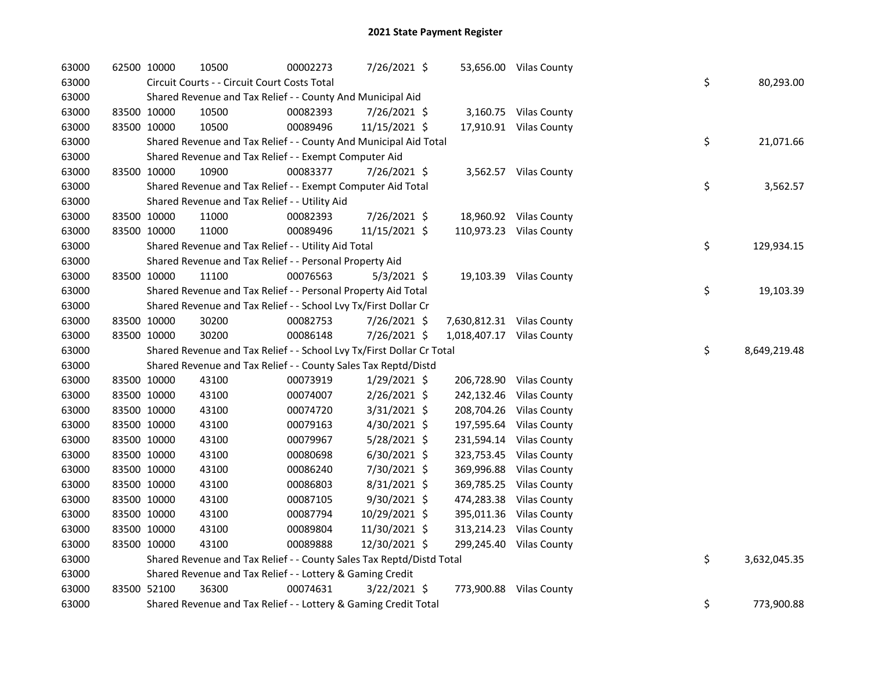| 63000 |             | 62500 10000 | 10500                                                                 | 00002273 | 7/26/2021 \$   |                           | 53,656.00 Vilas County  |    |              |
|-------|-------------|-------------|-----------------------------------------------------------------------|----------|----------------|---------------------------|-------------------------|----|--------------|
| 63000 |             |             | Circuit Courts - - Circuit Court Costs Total                          |          |                |                           |                         | \$ | 80,293.00    |
| 63000 |             |             | Shared Revenue and Tax Relief - - County And Municipal Aid            |          |                |                           |                         |    |              |
| 63000 |             | 83500 10000 | 10500                                                                 | 00082393 | 7/26/2021 \$   |                           | 3,160.75 Vilas County   |    |              |
| 63000 |             | 83500 10000 | 10500                                                                 | 00089496 | 11/15/2021 \$  |                           | 17,910.91 Vilas County  |    |              |
| 63000 |             |             | Shared Revenue and Tax Relief - - County And Municipal Aid Total      |          |                |                           |                         | \$ | 21,071.66    |
| 63000 |             |             | Shared Revenue and Tax Relief - - Exempt Computer Aid                 |          |                |                           |                         |    |              |
| 63000 |             | 83500 10000 | 10900                                                                 | 00083377 | 7/26/2021 \$   |                           | 3,562.57 Vilas County   |    |              |
| 63000 |             |             | Shared Revenue and Tax Relief - - Exempt Computer Aid Total           |          |                |                           |                         | \$ | 3,562.57     |
| 63000 |             |             | Shared Revenue and Tax Relief - - Utility Aid                         |          |                |                           |                         |    |              |
| 63000 |             | 83500 10000 | 11000                                                                 | 00082393 | 7/26/2021 \$   |                           | 18,960.92 Vilas County  |    |              |
| 63000 |             | 83500 10000 | 11000                                                                 | 00089496 | 11/15/2021 \$  |                           | 110,973.23 Vilas County |    |              |
| 63000 |             |             | Shared Revenue and Tax Relief - - Utility Aid Total                   |          |                |                           |                         | \$ | 129,934.15   |
| 63000 |             |             | Shared Revenue and Tax Relief - - Personal Property Aid               |          |                |                           |                         |    |              |
| 63000 |             | 83500 10000 | 11100                                                                 | 00076563 | $5/3/2021$ \$  |                           | 19,103.39 Vilas County  |    |              |
| 63000 |             |             | Shared Revenue and Tax Relief - - Personal Property Aid Total         |          |                |                           |                         | \$ | 19,103.39    |
| 63000 |             |             | Shared Revenue and Tax Relief - - School Lvy Tx/First Dollar Cr       |          |                |                           |                         |    |              |
| 63000 |             | 83500 10000 | 30200                                                                 | 00082753 | 7/26/2021 \$   | 7,630,812.31 Vilas County |                         |    |              |
| 63000 |             | 83500 10000 | 30200                                                                 | 00086148 | 7/26/2021 \$   | 1,018,407.17 Vilas County |                         |    |              |
| 63000 |             |             | Shared Revenue and Tax Relief - - School Lvy Tx/First Dollar Cr Total |          |                |                           |                         | \$ | 8,649,219.48 |
| 63000 |             |             | Shared Revenue and Tax Relief - - County Sales Tax Reptd/Distd        |          |                |                           |                         |    |              |
| 63000 |             | 83500 10000 | 43100                                                                 | 00073919 | 1/29/2021 \$   |                           | 206,728.90 Vilas County |    |              |
| 63000 |             | 83500 10000 | 43100                                                                 | 00074007 | 2/26/2021 \$   |                           | 242,132.46 Vilas County |    |              |
| 63000 |             | 83500 10000 | 43100                                                                 | 00074720 | 3/31/2021 \$   |                           | 208,704.26 Vilas County |    |              |
| 63000 |             | 83500 10000 | 43100                                                                 | 00079163 | 4/30/2021 \$   |                           | 197,595.64 Vilas County |    |              |
| 63000 |             | 83500 10000 | 43100                                                                 | 00079967 | $5/28/2021$ \$ |                           | 231,594.14 Vilas County |    |              |
| 63000 | 83500 10000 |             | 43100                                                                 | 00080698 | $6/30/2021$ \$ |                           | 323,753.45 Vilas County |    |              |
| 63000 | 83500 10000 |             | 43100                                                                 | 00086240 | 7/30/2021 \$   |                           | 369,996.88 Vilas County |    |              |
| 63000 | 83500 10000 |             | 43100                                                                 | 00086803 | $8/31/2021$ \$ |                           | 369,785.25 Vilas County |    |              |
| 63000 |             | 83500 10000 | 43100                                                                 | 00087105 | $9/30/2021$ \$ |                           | 474,283.38 Vilas County |    |              |
| 63000 | 83500 10000 |             | 43100                                                                 | 00087794 | 10/29/2021 \$  |                           | 395,011.36 Vilas County |    |              |
| 63000 | 83500 10000 |             | 43100                                                                 | 00089804 | 11/30/2021 \$  |                           | 313,214.23 Vilas County |    |              |
| 63000 |             | 83500 10000 | 43100                                                                 | 00089888 | 12/30/2021 \$  |                           | 299,245.40 Vilas County |    |              |
| 63000 |             |             | Shared Revenue and Tax Relief - - County Sales Tax Reptd/Distd Total  |          |                |                           |                         | \$ | 3,632,045.35 |
| 63000 |             |             | Shared Revenue and Tax Relief - - Lottery & Gaming Credit             |          |                |                           |                         |    |              |
| 63000 |             | 83500 52100 | 36300                                                                 | 00074631 | 3/22/2021 \$   |                           | 773,900.88 Vilas County |    |              |
| 63000 |             |             | Shared Revenue and Tax Relief - - Lottery & Gaming Credit Total       |          |                |                           |                         | \$ | 773,900.88   |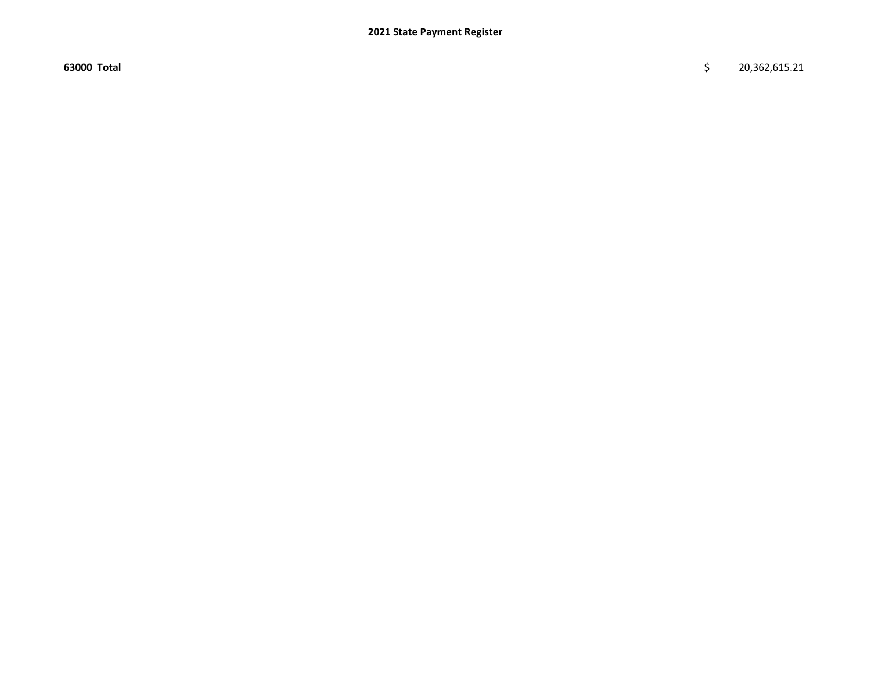63000 Total \$ 20,362,615.21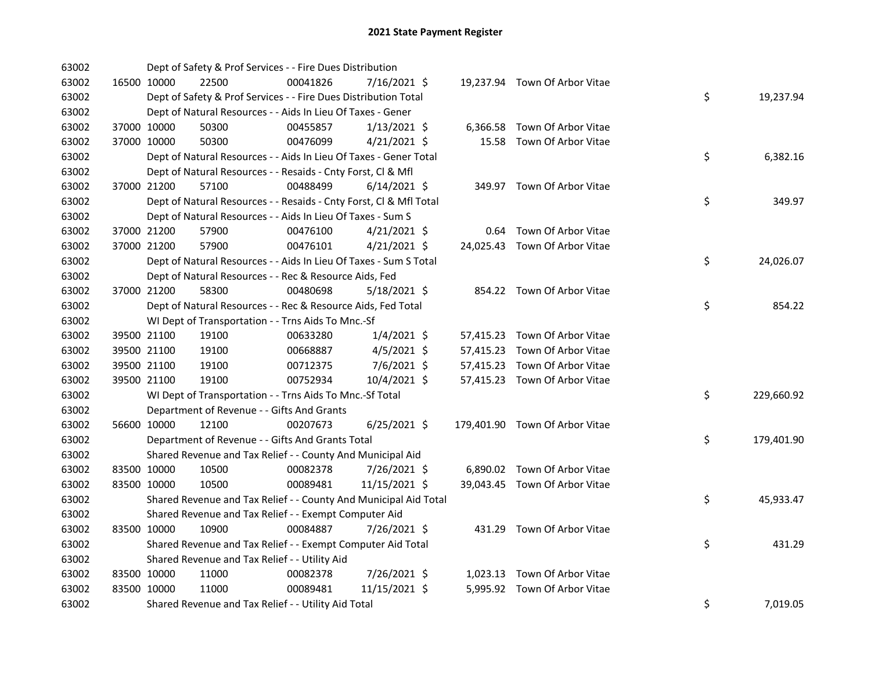| 63002 |             | Dept of Safety & Prof Services - - Fire Dues Distribution          |          |                |  |                                |    |            |
|-------|-------------|--------------------------------------------------------------------|----------|----------------|--|--------------------------------|----|------------|
| 63002 | 16500 10000 | 22500                                                              | 00041826 | 7/16/2021 \$   |  | 19,237.94 Town Of Arbor Vitae  |    |            |
| 63002 |             | Dept of Safety & Prof Services - - Fire Dues Distribution Total    |          |                |  |                                | \$ | 19,237.94  |
| 63002 |             | Dept of Natural Resources - - Aids In Lieu Of Taxes - Gener        |          |                |  |                                |    |            |
| 63002 | 37000 10000 | 50300                                                              | 00455857 | $1/13/2021$ \$ |  | 6,366.58 Town Of Arbor Vitae   |    |            |
| 63002 | 37000 10000 | 50300                                                              | 00476099 | $4/21/2021$ \$ |  | 15.58 Town Of Arbor Vitae      |    |            |
| 63002 |             | Dept of Natural Resources - - Aids In Lieu Of Taxes - Gener Total  |          |                |  |                                | \$ | 6,382.16   |
| 63002 |             | Dept of Natural Resources - - Resaids - Cnty Forst, Cl & Mfl       |          |                |  |                                |    |            |
| 63002 | 37000 21200 | 57100                                                              | 00488499 | $6/14/2021$ \$ |  | 349.97 Town Of Arbor Vitae     |    |            |
| 63002 |             | Dept of Natural Resources - - Resaids - Cnty Forst, CI & Mfl Total |          |                |  |                                | \$ | 349.97     |
| 63002 |             | Dept of Natural Resources - - Aids In Lieu Of Taxes - Sum S        |          |                |  |                                |    |            |
| 63002 | 37000 21200 | 57900                                                              | 00476100 | $4/21/2021$ \$ |  | 0.64 Town Of Arbor Vitae       |    |            |
| 63002 | 37000 21200 | 57900                                                              | 00476101 | $4/21/2021$ \$ |  | 24,025.43 Town Of Arbor Vitae  |    |            |
| 63002 |             | Dept of Natural Resources - - Aids In Lieu Of Taxes - Sum S Total  |          |                |  |                                | \$ | 24,026.07  |
| 63002 |             | Dept of Natural Resources - - Rec & Resource Aids, Fed             |          |                |  |                                |    |            |
| 63002 | 37000 21200 | 58300                                                              | 00480698 | 5/18/2021 \$   |  | 854.22 Town Of Arbor Vitae     |    |            |
| 63002 |             | Dept of Natural Resources - - Rec & Resource Aids, Fed Total       |          |                |  |                                | \$ | 854.22     |
| 63002 |             | WI Dept of Transportation - - Trns Aids To Mnc.-Sf                 |          |                |  |                                |    |            |
| 63002 | 39500 21100 | 19100                                                              | 00633280 | $1/4/2021$ \$  |  | 57,415.23 Town Of Arbor Vitae  |    |            |
| 63002 | 39500 21100 | 19100                                                              | 00668887 | 4/5/2021 \$    |  | 57,415.23 Town Of Arbor Vitae  |    |            |
| 63002 | 39500 21100 | 19100                                                              | 00712375 | 7/6/2021 \$    |  | 57,415.23 Town Of Arbor Vitae  |    |            |
| 63002 | 39500 21100 | 19100                                                              | 00752934 | 10/4/2021 \$   |  | 57,415.23 Town Of Arbor Vitae  |    |            |
| 63002 |             | WI Dept of Transportation - - Trns Aids To Mnc.-Sf Total           |          |                |  |                                | \$ | 229,660.92 |
| 63002 |             | Department of Revenue - - Gifts And Grants                         |          |                |  |                                |    |            |
| 63002 | 56600 10000 | 12100                                                              | 00207673 | $6/25/2021$ \$ |  | 179,401.90 Town Of Arbor Vitae |    |            |
| 63002 |             | Department of Revenue - - Gifts And Grants Total                   |          |                |  |                                | \$ | 179,401.90 |
| 63002 |             | Shared Revenue and Tax Relief - - County And Municipal Aid         |          |                |  |                                |    |            |
| 63002 | 83500 10000 | 10500                                                              | 00082378 | 7/26/2021 \$   |  | 6,890.02 Town Of Arbor Vitae   |    |            |
| 63002 | 83500 10000 | 10500                                                              | 00089481 | 11/15/2021 \$  |  | 39,043.45 Town Of Arbor Vitae  |    |            |
| 63002 |             | Shared Revenue and Tax Relief - - County And Municipal Aid Total   |          |                |  |                                | \$ | 45,933.47  |
| 63002 |             | Shared Revenue and Tax Relief - - Exempt Computer Aid              |          |                |  |                                |    |            |
| 63002 | 83500 10000 | 10900                                                              | 00084887 | 7/26/2021 \$   |  | 431.29 Town Of Arbor Vitae     |    |            |
| 63002 |             | Shared Revenue and Tax Relief - - Exempt Computer Aid Total        |          |                |  |                                | \$ | 431.29     |
| 63002 |             | Shared Revenue and Tax Relief - - Utility Aid                      |          |                |  |                                |    |            |
| 63002 | 83500 10000 | 11000                                                              | 00082378 | 7/26/2021 \$   |  | 1,023.13 Town Of Arbor Vitae   |    |            |
| 63002 | 83500 10000 | 11000                                                              | 00089481 | 11/15/2021 \$  |  | 5,995.92 Town Of Arbor Vitae   |    |            |
| 63002 |             | Shared Revenue and Tax Relief - - Utility Aid Total                |          |                |  |                                | \$ | 7,019.05   |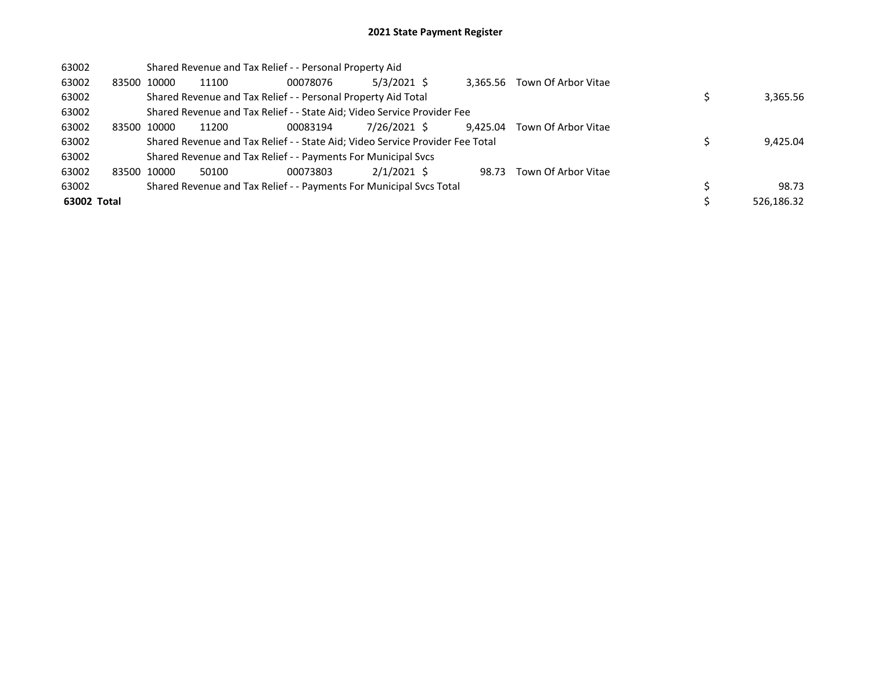## 2021 State Payment Register

| 63002       |             |       | Shared Revenue and Tax Relief - - Personal Property Aid                       |          |               |          |                              |            |
|-------------|-------------|-------|-------------------------------------------------------------------------------|----------|---------------|----------|------------------------------|------------|
| 63002       | 83500 10000 |       | 11100                                                                         | 00078076 | $5/3/2021$ \$ |          | 3.365.56 Town Of Arbor Vitae |            |
| 63002       |             |       | Shared Revenue and Tax Relief - - Personal Property Aid Total                 |          |               |          |                              | 3,365.56   |
| 63002       |             |       | Shared Revenue and Tax Relief - - State Aid; Video Service Provider Fee       |          |               |          |                              |            |
| 63002       | 83500       | 10000 | 11200                                                                         | 00083194 | 7/26/2021 \$  | 9.425.04 | Town Of Arbor Vitae          |            |
| 63002       |             |       | Shared Revenue and Tax Relief - - State Aid; Video Service Provider Fee Total |          |               | 9,425.04 |                              |            |
| 63002       |             |       | Shared Revenue and Tax Relief - - Payments For Municipal Svcs                 |          |               |          |                              |            |
| 63002       | 83500 10000 |       | 50100                                                                         | 00073803 | $2/1/2021$ \$ | 98.73    | Town Of Arbor Vitae          |            |
| 63002       |             |       | Shared Revenue and Tax Relief - - Payments For Municipal Svcs Total           |          |               |          |                              | 98.73      |
| 63002 Total |             |       |                                                                               |          |               |          |                              | 526.186.32 |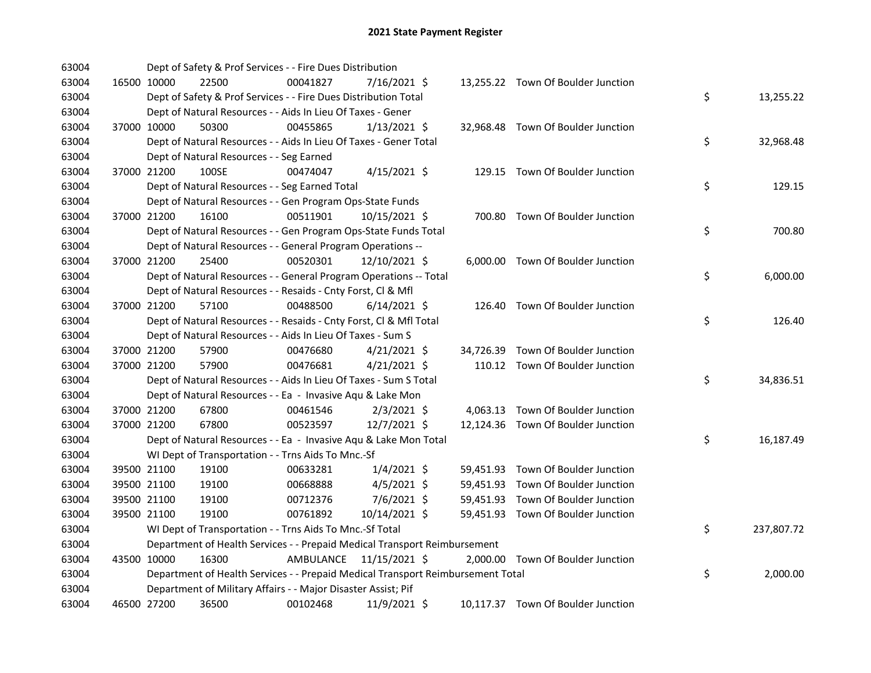| 63004 |             | Dept of Safety & Prof Services - - Fire Dues Distribution                       |           |                |  |                                    |    |            |
|-------|-------------|---------------------------------------------------------------------------------|-----------|----------------|--|------------------------------------|----|------------|
| 63004 | 16500 10000 | 22500                                                                           | 00041827  | 7/16/2021 \$   |  | 13,255.22 Town Of Boulder Junction |    |            |
| 63004 |             | Dept of Safety & Prof Services - - Fire Dues Distribution Total                 |           |                |  |                                    | \$ | 13,255.22  |
| 63004 |             | Dept of Natural Resources - - Aids In Lieu Of Taxes - Gener                     |           |                |  |                                    |    |            |
| 63004 | 37000 10000 | 50300                                                                           | 00455865  | $1/13/2021$ \$ |  | 32,968.48 Town Of Boulder Junction |    |            |
| 63004 |             | Dept of Natural Resources - - Aids In Lieu Of Taxes - Gener Total               |           |                |  |                                    | \$ | 32,968.48  |
| 63004 |             | Dept of Natural Resources - - Seg Earned                                        |           |                |  |                                    |    |            |
| 63004 | 37000 21200 | 100SE                                                                           | 00474047  | $4/15/2021$ \$ |  | 129.15 Town Of Boulder Junction    |    |            |
| 63004 |             | Dept of Natural Resources - - Seg Earned Total                                  |           |                |  |                                    | \$ | 129.15     |
| 63004 |             | Dept of Natural Resources - - Gen Program Ops-State Funds                       |           |                |  |                                    |    |            |
| 63004 | 37000 21200 | 16100                                                                           | 00511901  | 10/15/2021 \$  |  | 700.80 Town Of Boulder Junction    |    |            |
| 63004 |             | Dept of Natural Resources - - Gen Program Ops-State Funds Total                 |           |                |  |                                    | \$ | 700.80     |
| 63004 |             | Dept of Natural Resources - - General Program Operations --                     |           |                |  |                                    |    |            |
| 63004 | 37000 21200 | 25400                                                                           | 00520301  | 12/10/2021 \$  |  | 6,000.00 Town Of Boulder Junction  |    |            |
| 63004 |             | Dept of Natural Resources - - General Program Operations -- Total               |           |                |  |                                    | \$ | 6,000.00   |
| 63004 |             | Dept of Natural Resources - - Resaids - Cnty Forst, Cl & Mfl                    |           |                |  |                                    |    |            |
| 63004 | 37000 21200 | 57100                                                                           | 00488500  | $6/14/2021$ \$ |  | 126.40 Town Of Boulder Junction    |    |            |
| 63004 |             | Dept of Natural Resources - - Resaids - Cnty Forst, Cl & Mfl Total              |           |                |  |                                    | \$ | 126.40     |
| 63004 |             | Dept of Natural Resources - - Aids In Lieu Of Taxes - Sum S                     |           |                |  |                                    |    |            |
| 63004 | 37000 21200 | 57900                                                                           | 00476680  | $4/21/2021$ \$ |  | 34,726.39 Town Of Boulder Junction |    |            |
| 63004 | 37000 21200 | 57900                                                                           | 00476681  | $4/21/2021$ \$ |  | 110.12 Town Of Boulder Junction    |    |            |
| 63004 |             | Dept of Natural Resources - - Aids In Lieu Of Taxes - Sum S Total               |           |                |  |                                    | \$ | 34,836.51  |
| 63004 |             | Dept of Natural Resources - - Ea - Invasive Aqu & Lake Mon                      |           |                |  |                                    |    |            |
| 63004 | 37000 21200 | 67800                                                                           | 00461546  | $2/3/2021$ \$  |  | 4,063.13 Town Of Boulder Junction  |    |            |
| 63004 | 37000 21200 | 67800                                                                           | 00523597  | 12/7/2021 \$   |  | 12,124.36 Town Of Boulder Junction |    |            |
| 63004 |             | Dept of Natural Resources - - Ea - Invasive Aqu & Lake Mon Total                |           |                |  |                                    | \$ | 16,187.49  |
| 63004 |             | WI Dept of Transportation - - Trns Aids To Mnc.-Sf                              |           |                |  |                                    |    |            |
| 63004 | 39500 21100 | 19100                                                                           | 00633281  | $1/4/2021$ \$  |  | 59,451.93 Town Of Boulder Junction |    |            |
| 63004 | 39500 21100 | 19100                                                                           | 00668888  | $4/5/2021$ \$  |  | 59,451.93 Town Of Boulder Junction |    |            |
| 63004 | 39500 21100 | 19100                                                                           | 00712376  | 7/6/2021 \$    |  | 59,451.93 Town Of Boulder Junction |    |            |
| 63004 | 39500 21100 | 19100                                                                           | 00761892  | 10/14/2021 \$  |  | 59,451.93 Town Of Boulder Junction |    |            |
| 63004 |             | WI Dept of Transportation - - Trns Aids To Mnc.-Sf Total                        |           |                |  |                                    | \$ | 237,807.72 |
| 63004 |             | Department of Health Services - - Prepaid Medical Transport Reimbursement       |           |                |  |                                    |    |            |
| 63004 | 43500 10000 | 16300                                                                           | AMBULANCE | 11/15/2021 \$  |  | 2,000.00 Town Of Boulder Junction  |    |            |
| 63004 |             | Department of Health Services - - Prepaid Medical Transport Reimbursement Total |           |                |  |                                    | \$ | 2,000.00   |
| 63004 |             | Department of Military Affairs - - Major Disaster Assist; Pif                   |           |                |  |                                    |    |            |
| 63004 | 46500 27200 | 36500                                                                           | 00102468  | 11/9/2021 \$   |  | 10,117.37 Town Of Boulder Junction |    |            |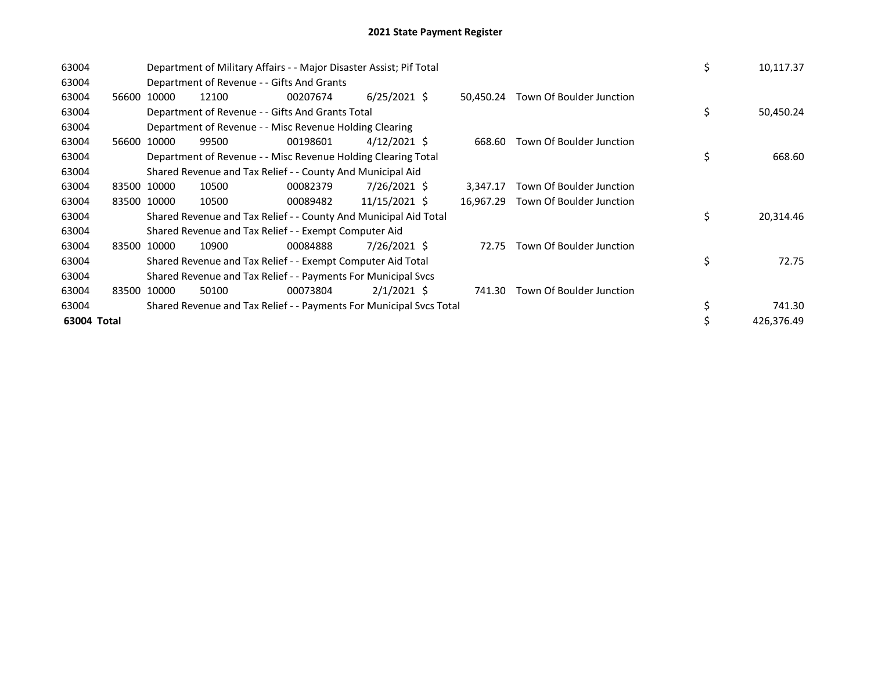| 63004       |             | Department of Military Affairs - - Major Disaster Assist; Pif Total | \$<br>10,117.37                                                     |          |                |           |                          |                 |
|-------------|-------------|---------------------------------------------------------------------|---------------------------------------------------------------------|----------|----------------|-----------|--------------------------|-----------------|
| 63004       |             |                                                                     | Department of Revenue - - Gifts And Grants                          |          |                |           |                          |                 |
| 63004       | 56600       | 10000                                                               | 12100                                                               | 00207674 | $6/25/2021$ \$ | 50.450.24 | Town Of Boulder Junction |                 |
| 63004       |             |                                                                     | Department of Revenue - - Gifts And Grants Total                    |          |                |           |                          | \$<br>50,450.24 |
| 63004       |             |                                                                     | Department of Revenue - - Misc Revenue Holding Clearing             |          |                |           |                          |                 |
| 63004       | 56600       | 10000                                                               | 99500                                                               | 00198601 | $4/12/2021$ \$ | 668.60    | Town Of Boulder Junction |                 |
| 63004       |             |                                                                     | Department of Revenue - - Misc Revenue Holding Clearing Total       |          | \$<br>668.60   |           |                          |                 |
| 63004       |             |                                                                     | Shared Revenue and Tax Relief - - County And Municipal Aid          |          |                |           |                          |                 |
| 63004       | 83500 10000 |                                                                     | 10500                                                               | 00082379 | 7/26/2021 \$   | 3,347.17  | Town Of Boulder Junction |                 |
| 63004       |             | 83500 10000                                                         | 10500                                                               | 00089482 | 11/15/2021 \$  | 16,967.29 | Town Of Boulder Junction |                 |
| 63004       |             |                                                                     | Shared Revenue and Tax Relief - - County And Municipal Aid Total    |          |                |           |                          | \$<br>20,314.46 |
| 63004       |             |                                                                     | Shared Revenue and Tax Relief - - Exempt Computer Aid               |          |                |           |                          |                 |
| 63004       | 83500       | 10000                                                               | 10900                                                               | 00084888 | 7/26/2021 \$   | 72.75     | Town Of Boulder Junction |                 |
| 63004       |             |                                                                     | Shared Revenue and Tax Relief - - Exempt Computer Aid Total         |          |                |           |                          | \$<br>72.75     |
| 63004       |             |                                                                     | Shared Revenue and Tax Relief - - Payments For Municipal Svcs       |          |                |           |                          |                 |
| 63004       | 83500       | 10000                                                               | 50100                                                               | 00073804 | $2/1/2021$ \$  | 741.30    | Town Of Boulder Junction |                 |
| 63004       |             |                                                                     | Shared Revenue and Tax Relief - - Payments For Municipal Svcs Total |          |                |           |                          | 741.30          |
| 63004 Total |             |                                                                     |                                                                     |          |                |           |                          | 426,376.49      |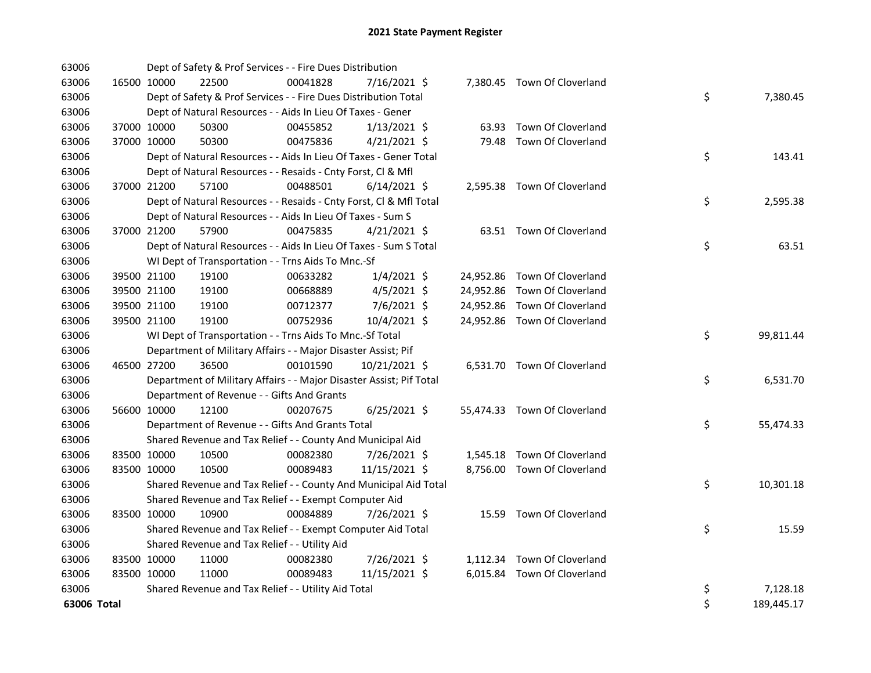| 63006       |             |             | Dept of Safety & Prof Services - - Fire Dues Distribution           |          |                |       |                              |    |            |
|-------------|-------------|-------------|---------------------------------------------------------------------|----------|----------------|-------|------------------------------|----|------------|
| 63006       |             | 16500 10000 | 22500                                                               | 00041828 | 7/16/2021 \$   |       | 7,380.45 Town Of Cloverland  |    |            |
| 63006       |             |             | Dept of Safety & Prof Services - - Fire Dues Distribution Total     |          |                |       |                              | \$ | 7,380.45   |
| 63006       |             |             | Dept of Natural Resources - - Aids In Lieu Of Taxes - Gener         |          |                |       |                              |    |            |
| 63006       |             | 37000 10000 | 50300                                                               | 00455852 | $1/13/2021$ \$ | 63.93 | Town Of Cloverland           |    |            |
| 63006       |             | 37000 10000 | 50300                                                               | 00475836 | $4/21/2021$ \$ |       | 79.48 Town Of Cloverland     |    |            |
| 63006       |             |             | Dept of Natural Resources - - Aids In Lieu Of Taxes - Gener Total   |          |                |       |                              | \$ | 143.41     |
| 63006       |             |             | Dept of Natural Resources - - Resaids - Cnty Forst, Cl & Mfl        |          |                |       |                              |    |            |
| 63006       |             | 37000 21200 | 57100                                                               | 00488501 | $6/14/2021$ \$ |       | 2,595.38 Town Of Cloverland  |    |            |
| 63006       |             |             | Dept of Natural Resources - - Resaids - Cnty Forst, Cl & Mfl Total  |          |                |       |                              | \$ | 2,595.38   |
| 63006       |             |             | Dept of Natural Resources - - Aids In Lieu Of Taxes - Sum S         |          |                |       |                              |    |            |
| 63006       |             | 37000 21200 | 57900                                                               | 00475835 | $4/21/2021$ \$ |       | 63.51 Town Of Cloverland     |    |            |
| 63006       |             |             | Dept of Natural Resources - - Aids In Lieu Of Taxes - Sum S Total   |          |                |       |                              | \$ | 63.51      |
| 63006       |             |             | WI Dept of Transportation - - Trns Aids To Mnc.-Sf                  |          |                |       |                              |    |            |
| 63006       |             | 39500 21100 | 19100                                                               | 00633282 | $1/4/2021$ \$  |       | 24,952.86 Town Of Cloverland |    |            |
| 63006       |             | 39500 21100 | 19100                                                               | 00668889 | $4/5/2021$ \$  |       | 24,952.86 Town Of Cloverland |    |            |
| 63006       |             | 39500 21100 | 19100                                                               | 00712377 | 7/6/2021 \$    |       | 24,952.86 Town Of Cloverland |    |            |
| 63006       |             | 39500 21100 | 19100                                                               | 00752936 | 10/4/2021 \$   |       | 24,952.86 Town Of Cloverland |    |            |
| 63006       |             |             | WI Dept of Transportation - - Trns Aids To Mnc.-Sf Total            |          |                |       |                              | \$ | 99,811.44  |
| 63006       |             |             | Department of Military Affairs - - Major Disaster Assist; Pif       |          |                |       |                              |    |            |
| 63006       |             | 46500 27200 | 36500                                                               | 00101590 | 10/21/2021 \$  |       | 6,531.70 Town Of Cloverland  |    |            |
| 63006       |             |             | Department of Military Affairs - - Major Disaster Assist; Pif Total |          |                |       |                              | \$ | 6,531.70   |
| 63006       |             |             | Department of Revenue - - Gifts And Grants                          |          |                |       |                              |    |            |
| 63006       |             | 56600 10000 | 12100                                                               | 00207675 | $6/25/2021$ \$ |       | 55,474.33 Town Of Cloverland |    |            |
| 63006       |             |             | Department of Revenue - - Gifts And Grants Total                    |          |                |       |                              | \$ | 55,474.33  |
| 63006       |             |             | Shared Revenue and Tax Relief - - County And Municipal Aid          |          |                |       |                              |    |            |
| 63006       |             | 83500 10000 | 10500                                                               | 00082380 | 7/26/2021 \$   |       | 1,545.18 Town Of Cloverland  |    |            |
| 63006       | 83500 10000 |             | 10500                                                               | 00089483 | 11/15/2021 \$  |       | 8,756.00 Town Of Cloverland  |    |            |
| 63006       |             |             | Shared Revenue and Tax Relief - - County And Municipal Aid Total    |          |                |       |                              | \$ | 10,301.18  |
| 63006       |             |             | Shared Revenue and Tax Relief - - Exempt Computer Aid               |          |                |       |                              |    |            |
| 63006       | 83500 10000 |             | 10900                                                               | 00084889 | 7/26/2021 \$   |       | 15.59 Town Of Cloverland     |    |            |
| 63006       |             |             | Shared Revenue and Tax Relief - - Exempt Computer Aid Total         |          |                |       |                              | \$ | 15.59      |
| 63006       |             |             | Shared Revenue and Tax Relief - - Utility Aid                       |          |                |       |                              |    |            |
| 63006       | 83500 10000 |             | 11000                                                               | 00082380 | 7/26/2021 \$   |       | 1,112.34 Town Of Cloverland  |    |            |
| 63006       | 83500 10000 |             | 11000                                                               | 00089483 | 11/15/2021 \$  |       | 6,015.84 Town Of Cloverland  |    |            |
| 63006       |             |             | Shared Revenue and Tax Relief - - Utility Aid Total                 |          |                |       |                              | \$ | 7,128.18   |
| 63006 Total |             |             |                                                                     |          |                |       |                              | \$ | 189,445.17 |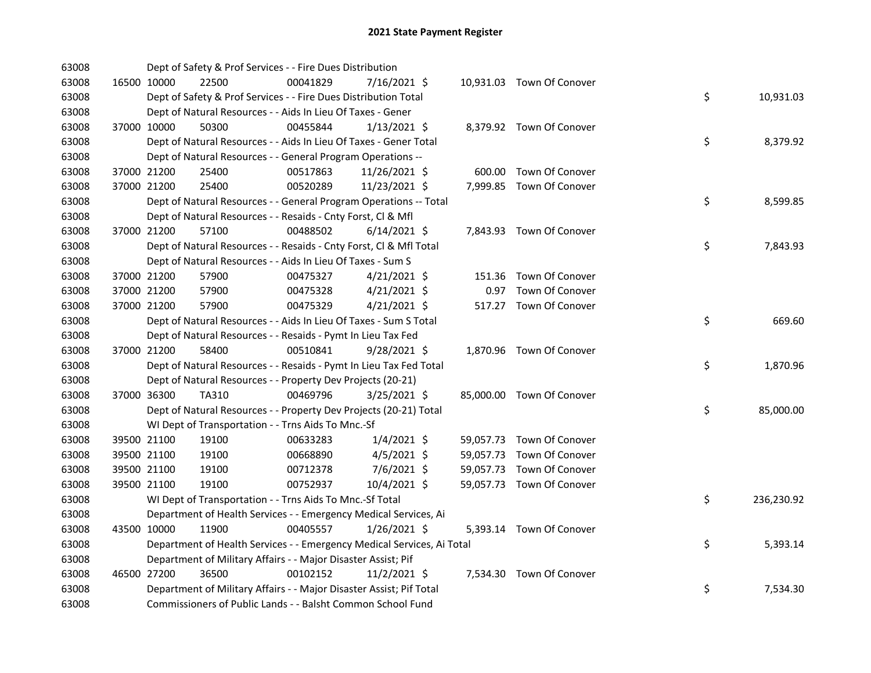| 63008 |             | Dept of Safety & Prof Services - - Fire Dues Distribution              |          |                |  |                           |    |            |
|-------|-------------|------------------------------------------------------------------------|----------|----------------|--|---------------------------|----|------------|
| 63008 | 16500 10000 | 22500                                                                  | 00041829 | 7/16/2021 \$   |  | 10,931.03 Town Of Conover |    |            |
| 63008 |             | Dept of Safety & Prof Services - - Fire Dues Distribution Total        |          |                |  |                           | \$ | 10,931.03  |
| 63008 |             | Dept of Natural Resources - - Aids In Lieu Of Taxes - Gener            |          |                |  |                           |    |            |
| 63008 | 37000 10000 | 50300                                                                  | 00455844 | $1/13/2021$ \$ |  | 8,379.92 Town Of Conover  |    |            |
| 63008 |             | Dept of Natural Resources - - Aids In Lieu Of Taxes - Gener Total      |          |                |  |                           | \$ | 8,379.92   |
| 63008 |             | Dept of Natural Resources - - General Program Operations --            |          |                |  |                           |    |            |
| 63008 | 37000 21200 | 25400                                                                  | 00517863 | 11/26/2021 \$  |  | 600.00 Town Of Conover    |    |            |
| 63008 | 37000 21200 | 25400                                                                  | 00520289 | 11/23/2021 \$  |  | 7,999.85 Town Of Conover  |    |            |
| 63008 |             | Dept of Natural Resources - - General Program Operations -- Total      |          |                |  |                           | \$ | 8,599.85   |
| 63008 |             | Dept of Natural Resources - - Resaids - Cnty Forst, Cl & Mfl           |          |                |  |                           |    |            |
| 63008 | 37000 21200 | 57100                                                                  | 00488502 | $6/14/2021$ \$ |  | 7,843.93 Town Of Conover  |    |            |
| 63008 |             | Dept of Natural Resources - - Resaids - Cnty Forst, Cl & Mfl Total     |          |                |  |                           | \$ | 7,843.93   |
| 63008 |             | Dept of Natural Resources - - Aids In Lieu Of Taxes - Sum S            |          |                |  |                           |    |            |
| 63008 | 37000 21200 | 57900                                                                  | 00475327 | $4/21/2021$ \$ |  | 151.36 Town Of Conover    |    |            |
| 63008 | 37000 21200 | 57900                                                                  | 00475328 | $4/21/2021$ \$ |  | 0.97 Town Of Conover      |    |            |
| 63008 | 37000 21200 | 57900                                                                  | 00475329 | $4/21/2021$ \$ |  | 517.27 Town Of Conover    |    |            |
| 63008 |             | Dept of Natural Resources - - Aids In Lieu Of Taxes - Sum S Total      |          |                |  |                           | \$ | 669.60     |
| 63008 |             | Dept of Natural Resources - - Resaids - Pymt In Lieu Tax Fed           |          |                |  |                           |    |            |
| 63008 | 37000 21200 | 58400                                                                  | 00510841 | $9/28/2021$ \$ |  | 1,870.96 Town Of Conover  |    |            |
| 63008 |             | Dept of Natural Resources - - Resaids - Pymt In Lieu Tax Fed Total     |          |                |  |                           | \$ | 1,870.96   |
| 63008 |             | Dept of Natural Resources - - Property Dev Projects (20-21)            |          |                |  |                           |    |            |
| 63008 | 37000 36300 | TA310                                                                  | 00469796 | $3/25/2021$ \$ |  | 85,000.00 Town Of Conover |    |            |
| 63008 |             | Dept of Natural Resources - - Property Dev Projects (20-21) Total      |          |                |  |                           | \$ | 85,000.00  |
| 63008 |             | WI Dept of Transportation - - Trns Aids To Mnc.-Sf                     |          |                |  |                           |    |            |
| 63008 | 39500 21100 | 19100                                                                  | 00633283 | $1/4/2021$ \$  |  | 59,057.73 Town Of Conover |    |            |
| 63008 | 39500 21100 | 19100                                                                  | 00668890 | $4/5/2021$ \$  |  | 59,057.73 Town Of Conover |    |            |
| 63008 | 39500 21100 | 19100                                                                  | 00712378 | 7/6/2021 \$    |  | 59,057.73 Town Of Conover |    |            |
| 63008 | 39500 21100 | 19100                                                                  | 00752937 | 10/4/2021 \$   |  | 59,057.73 Town Of Conover |    |            |
| 63008 |             | WI Dept of Transportation - - Trns Aids To Mnc.-Sf Total               |          |                |  |                           | \$ | 236,230.92 |
| 63008 |             | Department of Health Services - - Emergency Medical Services, Ai       |          |                |  |                           |    |            |
| 63008 | 43500 10000 | 11900                                                                  | 00405557 | $1/26/2021$ \$ |  | 5,393.14 Town Of Conover  |    |            |
| 63008 |             | Department of Health Services - - Emergency Medical Services, Ai Total |          |                |  |                           | \$ | 5,393.14   |
| 63008 |             | Department of Military Affairs - - Major Disaster Assist; Pif          |          |                |  |                           |    |            |
| 63008 | 46500 27200 | 36500                                                                  | 00102152 | $11/2/2021$ \$ |  | 7,534.30 Town Of Conover  |    |            |
| 63008 |             | Department of Military Affairs - - Major Disaster Assist; Pif Total    |          |                |  |                           | \$ | 7,534.30   |
| 63008 |             | Commissioners of Public Lands - - Balsht Common School Fund            |          |                |  |                           |    |            |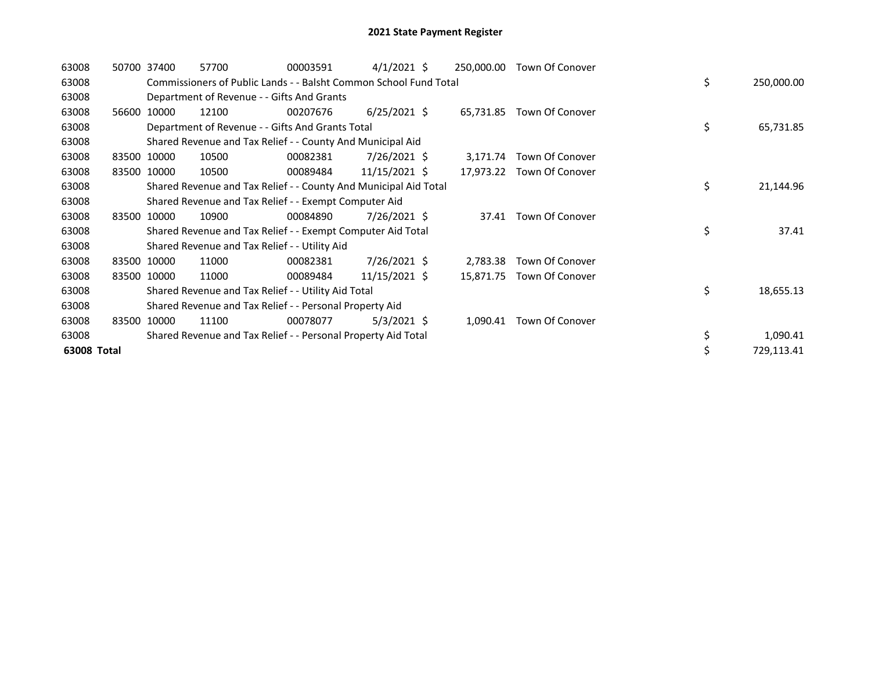| 63008       |       | 50700 37400 | 57700                                                             | 00003591 | $4/1/2021$ \$   | 250,000.00 | Town Of Conover           |    |            |
|-------------|-------|-------------|-------------------------------------------------------------------|----------|-----------------|------------|---------------------------|----|------------|
| 63008       |       |             | Commissioners of Public Lands - - Balsht Common School Fund Total |          |                 |            |                           | \$ | 250,000.00 |
| 63008       |       |             | Department of Revenue - - Gifts And Grants                        |          |                 |            |                           |    |            |
| 63008       | 56600 | 10000       | 12100                                                             | 00207676 | $6/25/2021$ \$  |            | 65,731.85 Town Of Conover |    |            |
| 63008       |       |             | Department of Revenue - - Gifts And Grants Total                  |          |                 |            |                           | \$ | 65,731.85  |
| 63008       |       |             | Shared Revenue and Tax Relief - - County And Municipal Aid        |          |                 |            |                           |    |            |
| 63008       |       | 83500 10000 | 10500                                                             | 00082381 | $7/26/2021$ \$  | 3,171.74   | Town Of Conover           |    |            |
| 63008       |       | 83500 10000 | 10500                                                             | 00089484 | $11/15/2021$ \$ |            | 17,973.22 Town Of Conover |    |            |
| 63008       |       |             | Shared Revenue and Tax Relief - - County And Municipal Aid Total  |          |                 |            |                           | \$ | 21,144.96  |
| 63008       |       |             | Shared Revenue and Tax Relief - - Exempt Computer Aid             |          |                 |            |                           |    |            |
| 63008       |       | 83500 10000 | 10900                                                             | 00084890 | $7/26/2021$ \$  | 37.41      | Town Of Conover           |    |            |
| 63008       |       |             | Shared Revenue and Tax Relief - - Exempt Computer Aid Total       |          |                 |            |                           | \$ | 37.41      |
| 63008       |       |             | Shared Revenue and Tax Relief - - Utility Aid                     |          |                 |            |                           |    |            |
| 63008       |       | 83500 10000 | 11000                                                             | 00082381 | 7/26/2021 \$    | 2,783.38   | Town Of Conover           |    |            |
| 63008       |       | 83500 10000 | 11000                                                             | 00089484 | 11/15/2021 \$   | 15,871.75  | Town Of Conover           |    |            |
| 63008       |       |             | Shared Revenue and Tax Relief - - Utility Aid Total               |          |                 |            |                           | \$ | 18,655.13  |
| 63008       |       |             | Shared Revenue and Tax Relief - - Personal Property Aid           |          |                 |            |                           |    |            |
| 63008       |       | 83500 10000 | 11100                                                             | 00078077 | $5/3/2021$ \$   | 1,090.41   | Town Of Conover           |    |            |
| 63008       |       |             | Shared Revenue and Tax Relief - - Personal Property Aid Total     |          |                 |            |                           | \$ | 1,090.41   |
| 63008 Total |       |             |                                                                   |          |                 |            |                           | \$ | 729,113.41 |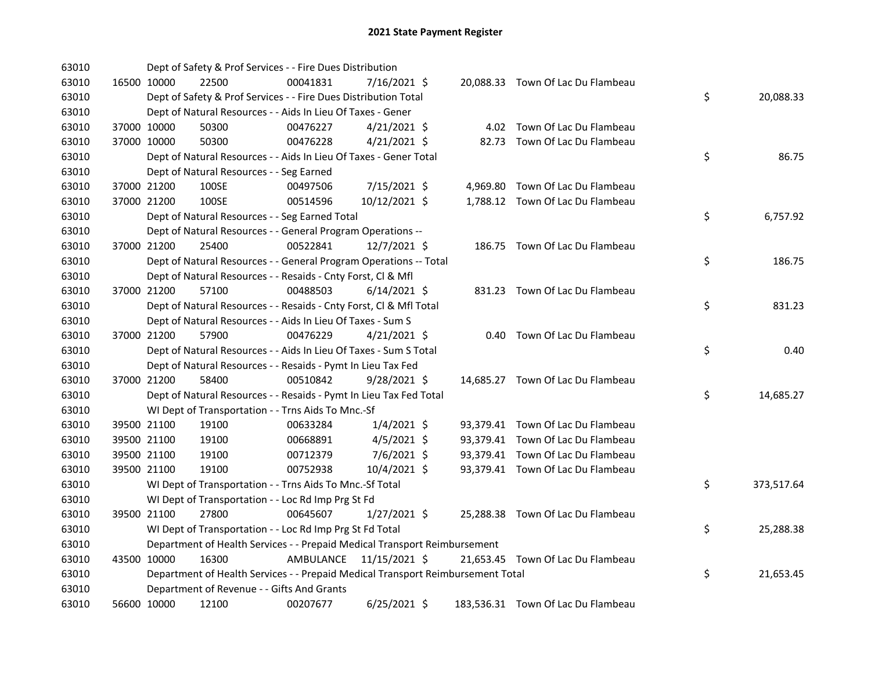| 63010 |             | Dept of Safety & Prof Services - - Fire Dues Distribution                       |           |                |  |                                    |    |            |
|-------|-------------|---------------------------------------------------------------------------------|-----------|----------------|--|------------------------------------|----|------------|
| 63010 | 16500 10000 | 22500                                                                           | 00041831  | 7/16/2021 \$   |  | 20,088.33 Town Of Lac Du Flambeau  |    |            |
| 63010 |             | Dept of Safety & Prof Services - - Fire Dues Distribution Total                 |           |                |  |                                    | \$ | 20,088.33  |
| 63010 |             | Dept of Natural Resources - - Aids In Lieu Of Taxes - Gener                     |           |                |  |                                    |    |            |
| 63010 | 37000 10000 | 50300                                                                           | 00476227  | $4/21/2021$ \$ |  | 4.02 Town Of Lac Du Flambeau       |    |            |
| 63010 | 37000 10000 | 50300                                                                           | 00476228  | $4/21/2021$ \$ |  | 82.73 Town Of Lac Du Flambeau      |    |            |
| 63010 |             | Dept of Natural Resources - - Aids In Lieu Of Taxes - Gener Total               |           |                |  |                                    | \$ | 86.75      |
| 63010 |             | Dept of Natural Resources - - Seg Earned                                        |           |                |  |                                    |    |            |
| 63010 | 37000 21200 | 100SE                                                                           | 00497506  | 7/15/2021 \$   |  | 4,969.80 Town Of Lac Du Flambeau   |    |            |
| 63010 | 37000 21200 | 100SE                                                                           | 00514596  | 10/12/2021 \$  |  | 1,788.12 Town Of Lac Du Flambeau   |    |            |
| 63010 |             | Dept of Natural Resources - - Seg Earned Total                                  |           |                |  |                                    | \$ | 6,757.92   |
| 63010 |             | Dept of Natural Resources - - General Program Operations --                     |           |                |  |                                    |    |            |
| 63010 | 37000 21200 | 25400                                                                           | 00522841  | 12/7/2021 \$   |  | 186.75 Town Of Lac Du Flambeau     |    |            |
| 63010 |             | Dept of Natural Resources - - General Program Operations -- Total               |           |                |  |                                    | \$ | 186.75     |
| 63010 |             | Dept of Natural Resources - - Resaids - Cnty Forst, Cl & Mfl                    |           |                |  |                                    |    |            |
| 63010 | 37000 21200 | 57100                                                                           | 00488503  | $6/14/2021$ \$ |  | 831.23 Town Of Lac Du Flambeau     |    |            |
| 63010 |             | Dept of Natural Resources - - Resaids - Cnty Forst, Cl & Mfl Total              |           |                |  |                                    | \$ | 831.23     |
| 63010 |             | Dept of Natural Resources - - Aids In Lieu Of Taxes - Sum S                     |           |                |  |                                    |    |            |
| 63010 | 37000 21200 | 57900                                                                           | 00476229  | $4/21/2021$ \$ |  | 0.40 Town Of Lac Du Flambeau       |    |            |
| 63010 |             | Dept of Natural Resources - - Aids In Lieu Of Taxes - Sum S Total               |           |                |  |                                    | \$ | 0.40       |
| 63010 |             | Dept of Natural Resources - - Resaids - Pymt In Lieu Tax Fed                    |           |                |  |                                    |    |            |
| 63010 | 37000 21200 | 58400                                                                           | 00510842  | 9/28/2021 \$   |  | 14,685.27 Town Of Lac Du Flambeau  |    |            |
| 63010 |             | Dept of Natural Resources - - Resaids - Pymt In Lieu Tax Fed Total              |           |                |  |                                    | \$ | 14,685.27  |
| 63010 |             | WI Dept of Transportation - - Trns Aids To Mnc.-Sf                              |           |                |  |                                    |    |            |
| 63010 | 39500 21100 | 19100                                                                           | 00633284  | $1/4/2021$ \$  |  | 93,379.41 Town Of Lac Du Flambeau  |    |            |
| 63010 | 39500 21100 | 19100                                                                           | 00668891  | $4/5/2021$ \$  |  | 93,379.41 Town Of Lac Du Flambeau  |    |            |
| 63010 | 39500 21100 | 19100                                                                           | 00712379  | 7/6/2021 \$    |  | 93,379.41 Town Of Lac Du Flambeau  |    |            |
| 63010 | 39500 21100 | 19100                                                                           | 00752938  | 10/4/2021 \$   |  | 93,379.41 Town Of Lac Du Flambeau  |    |            |
| 63010 |             | WI Dept of Transportation - - Trns Aids To Mnc.-Sf Total                        |           |                |  |                                    | \$ | 373,517.64 |
| 63010 |             | WI Dept of Transportation - - Loc Rd Imp Prg St Fd                              |           |                |  |                                    |    |            |
| 63010 | 39500 21100 | 27800                                                                           | 00645607  | $1/27/2021$ \$ |  | 25,288.38 Town Of Lac Du Flambeau  |    |            |
| 63010 |             | WI Dept of Transportation - - Loc Rd Imp Prg St Fd Total                        |           |                |  |                                    | \$ | 25,288.38  |
| 63010 |             | Department of Health Services - - Prepaid Medical Transport Reimbursement       |           |                |  |                                    |    |            |
| 63010 | 43500 10000 | 16300                                                                           | AMBULANCE | 11/15/2021 \$  |  | 21,653.45 Town Of Lac Du Flambeau  |    |            |
| 63010 |             | Department of Health Services - - Prepaid Medical Transport Reimbursement Total |           |                |  |                                    | \$ | 21,653.45  |
| 63010 |             | Department of Revenue - - Gifts And Grants                                      |           |                |  |                                    |    |            |
| 63010 | 56600 10000 | 12100                                                                           | 00207677  | $6/25/2021$ \$ |  | 183,536.31 Town Of Lac Du Flambeau |    |            |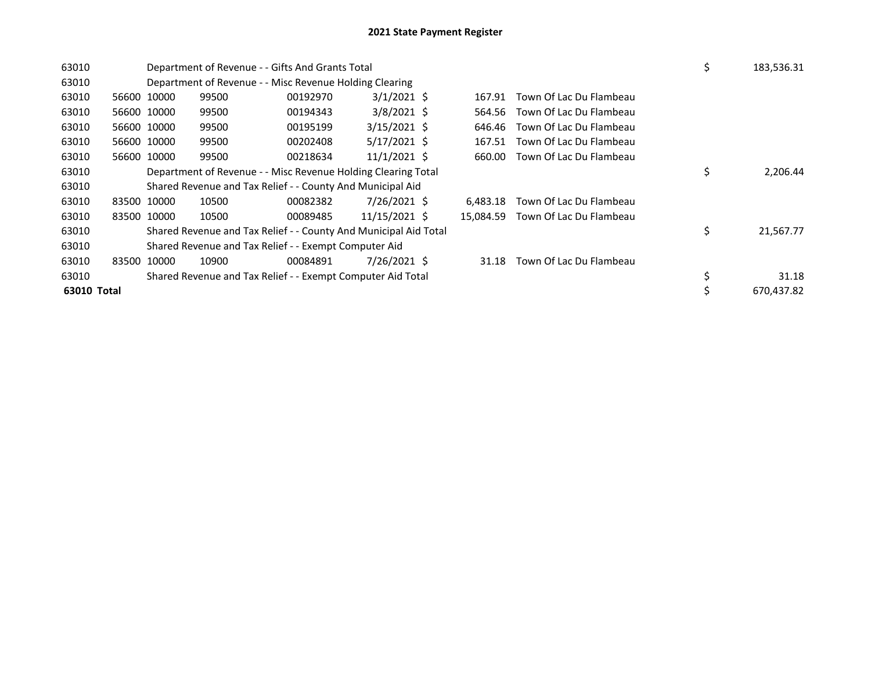| 63010 |             |                                                               | Department of Revenue - - Gifts And Grants Total                 |          | \$                | 183,536.31 |           |                         |    |            |
|-------|-------------|---------------------------------------------------------------|------------------------------------------------------------------|----------|-------------------|------------|-----------|-------------------------|----|------------|
| 63010 |             |                                                               | Department of Revenue - - Misc Revenue Holding Clearing          |          |                   |            |           |                         |    |            |
| 63010 |             | 56600 10000                                                   | 99500                                                            | 00192970 | $3/1/2021$ \$     |            | 167.91    | Town Of Lac Du Flambeau |    |            |
| 63010 |             | 56600 10000                                                   | 99500                                                            | 00194343 | $3/8/2021$ \$     |            | 564.56    | Town Of Lac Du Flambeau |    |            |
| 63010 |             | 56600 10000                                                   | 99500                                                            | 00195199 | $3/15/2021$ \$    |            | 646.46    | Town Of Lac Du Flambeau |    |            |
| 63010 |             | 56600 10000                                                   | 99500                                                            | 00202408 | $5/17/2021$ \$    |            | 167.51    | Town Of Lac Du Flambeau |    |            |
| 63010 |             | 56600 10000                                                   | 99500                                                            | 00218634 | $11/1/2021 \;$ \$ |            | 660.00    | Town Of Lac Du Flambeau |    |            |
| 63010 |             | Department of Revenue - - Misc Revenue Holding Clearing Total |                                                                  | \$       | 2,206.44          |            |           |                         |    |            |
| 63010 |             |                                                               | Shared Revenue and Tax Relief - - County And Municipal Aid       |          |                   |            |           |                         |    |            |
| 63010 | 83500 10000 |                                                               | 10500                                                            | 00082382 | 7/26/2021 \$      |            | 6.483.18  | Town Of Lac Du Flambeau |    |            |
| 63010 |             | 83500 10000                                                   | 10500                                                            | 00089485 | 11/15/2021 \$     |            | 15,084.59 | Town Of Lac Du Flambeau |    |            |
| 63010 |             |                                                               | Shared Revenue and Tax Relief - - County And Municipal Aid Total |          |                   |            |           |                         | \$ | 21,567.77  |
| 63010 |             |                                                               | Shared Revenue and Tax Relief - - Exempt Computer Aid            |          |                   |            |           |                         |    |            |
| 63010 | 83500 10000 |                                                               | 10900                                                            | 00084891 | 7/26/2021 \$      |            | 31.18     | Town Of Lac Du Flambeau |    |            |
| 63010 |             |                                                               | Shared Revenue and Tax Relief - - Exempt Computer Aid Total      |          |                   |            |           |                         | \$ | 31.18      |
|       | 63010 Total |                                                               |                                                                  |          |                   |            |           |                         |    | 670.437.82 |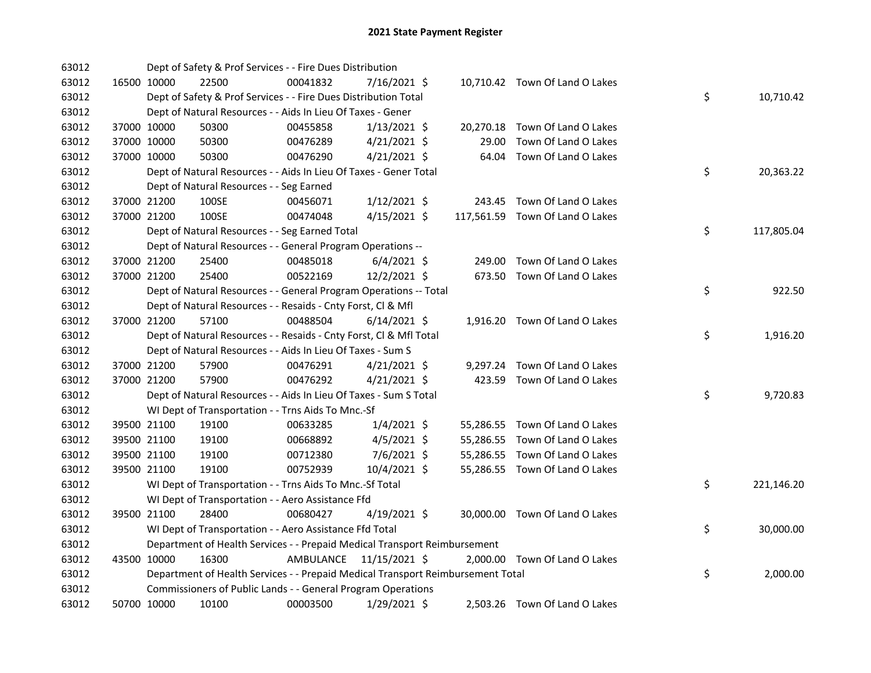| 63012 |             | Dept of Safety & Prof Services - - Fire Dues Distribution                       |           |                |       |                                 |    |            |
|-------|-------------|---------------------------------------------------------------------------------|-----------|----------------|-------|---------------------------------|----|------------|
| 63012 | 16500 10000 | 22500                                                                           | 00041832  | 7/16/2021 \$   |       | 10,710.42 Town Of Land O Lakes  |    |            |
| 63012 |             | Dept of Safety & Prof Services - - Fire Dues Distribution Total                 |           |                |       |                                 | \$ | 10,710.42  |
| 63012 |             | Dept of Natural Resources - - Aids In Lieu Of Taxes - Gener                     |           |                |       |                                 |    |            |
| 63012 | 37000 10000 | 50300                                                                           | 00455858  | $1/13/2021$ \$ |       | 20,270.18 Town Of Land O Lakes  |    |            |
| 63012 | 37000 10000 | 50300                                                                           | 00476289  | $4/21/2021$ \$ | 29.00 | Town Of Land O Lakes            |    |            |
| 63012 | 37000 10000 | 50300                                                                           | 00476290  | $4/21/2021$ \$ |       | 64.04 Town Of Land O Lakes      |    |            |
| 63012 |             | Dept of Natural Resources - - Aids In Lieu Of Taxes - Gener Total               |           |                |       |                                 | \$ | 20,363.22  |
| 63012 |             | Dept of Natural Resources - - Seg Earned                                        |           |                |       |                                 |    |            |
| 63012 | 37000 21200 | 100SE                                                                           | 00456071  | $1/12/2021$ \$ |       | 243.45 Town Of Land O Lakes     |    |            |
| 63012 | 37000 21200 | 100SE                                                                           | 00474048  | $4/15/2021$ \$ |       | 117,561.59 Town Of Land O Lakes |    |            |
| 63012 |             | Dept of Natural Resources - - Seg Earned Total                                  |           |                |       |                                 | \$ | 117,805.04 |
| 63012 |             | Dept of Natural Resources - - General Program Operations --                     |           |                |       |                                 |    |            |
| 63012 | 37000 21200 | 25400                                                                           | 00485018  | $6/4/2021$ \$  |       | 249.00 Town Of Land O Lakes     |    |            |
| 63012 | 37000 21200 | 25400                                                                           | 00522169  | 12/2/2021 \$   |       | 673.50 Town Of Land O Lakes     |    |            |
| 63012 |             | Dept of Natural Resources - - General Program Operations -- Total               |           |                |       |                                 | \$ | 922.50     |
| 63012 |             | Dept of Natural Resources - - Resaids - Cnty Forst, Cl & Mfl                    |           |                |       |                                 |    |            |
| 63012 | 37000 21200 | 57100                                                                           | 00488504  | $6/14/2021$ \$ |       | 1,916.20 Town Of Land O Lakes   |    |            |
| 63012 |             | Dept of Natural Resources - - Resaids - Cnty Forst, CI & Mfl Total              |           |                |       |                                 | \$ | 1,916.20   |
| 63012 |             | Dept of Natural Resources - - Aids In Lieu Of Taxes - Sum S                     |           |                |       |                                 |    |            |
| 63012 | 37000 21200 | 57900                                                                           | 00476291  | $4/21/2021$ \$ |       | 9,297.24 Town Of Land O Lakes   |    |            |
| 63012 | 37000 21200 | 57900                                                                           | 00476292  | $4/21/2021$ \$ |       | 423.59 Town Of Land O Lakes     |    |            |
| 63012 |             | Dept of Natural Resources - - Aids In Lieu Of Taxes - Sum S Total               |           |                |       |                                 | \$ | 9,720.83   |
| 63012 |             | WI Dept of Transportation - - Trns Aids To Mnc.-Sf                              |           |                |       |                                 |    |            |
| 63012 | 39500 21100 | 19100                                                                           | 00633285  | $1/4/2021$ \$  |       | 55,286.55 Town Of Land O Lakes  |    |            |
| 63012 | 39500 21100 | 19100                                                                           | 00668892  | $4/5/2021$ \$  |       | 55,286.55 Town Of Land O Lakes  |    |            |
| 63012 | 39500 21100 | 19100                                                                           | 00712380  | 7/6/2021 \$    |       | 55,286.55 Town Of Land O Lakes  |    |            |
| 63012 | 39500 21100 | 19100                                                                           | 00752939  | 10/4/2021 \$   |       | 55,286.55 Town Of Land O Lakes  |    |            |
| 63012 |             | WI Dept of Transportation - - Trns Aids To Mnc.-Sf Total                        |           |                |       |                                 | \$ | 221,146.20 |
| 63012 |             | WI Dept of Transportation - - Aero Assistance Ffd                               |           |                |       |                                 |    |            |
| 63012 | 39500 21100 | 28400                                                                           | 00680427  | 4/19/2021 \$   |       | 30,000.00 Town Of Land O Lakes  |    |            |
| 63012 |             | WI Dept of Transportation - - Aero Assistance Ffd Total                         |           |                |       |                                 | \$ | 30,000.00  |
| 63012 |             | Department of Health Services - - Prepaid Medical Transport Reimbursement       |           |                |       |                                 |    |            |
| 63012 | 43500 10000 | 16300                                                                           | AMBULANCE | 11/15/2021 \$  |       | 2,000.00 Town Of Land O Lakes   |    |            |
| 63012 |             | Department of Health Services - - Prepaid Medical Transport Reimbursement Total |           |                |       |                                 | \$ | 2,000.00   |
| 63012 |             | Commissioners of Public Lands - - General Program Operations                    |           |                |       |                                 |    |            |
| 63012 | 50700 10000 | 10100                                                                           | 00003500  | 1/29/2021 \$   |       | 2,503.26 Town Of Land O Lakes   |    |            |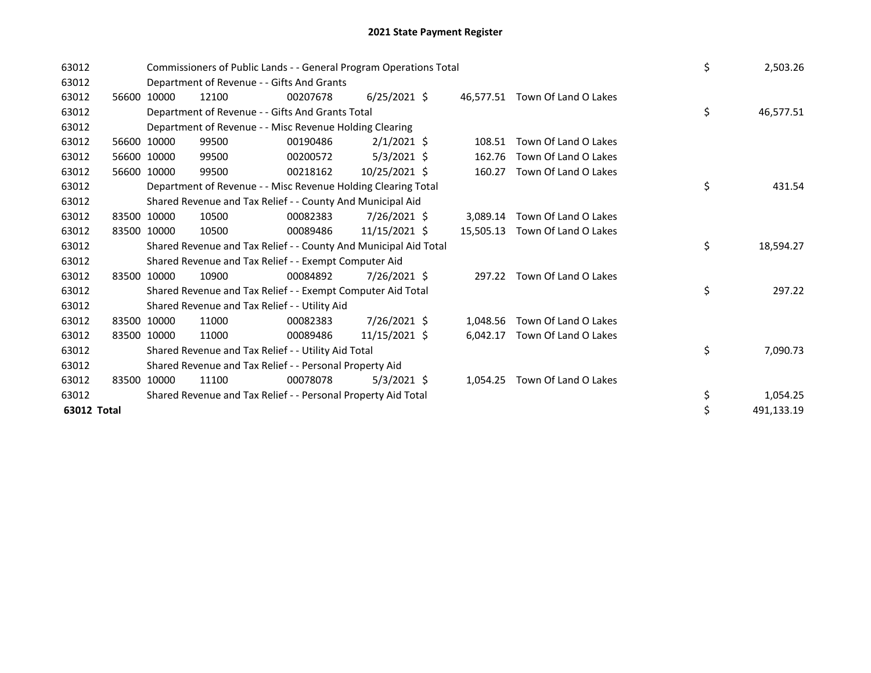| 63012       |       |             | Commissioners of Public Lands - - General Program Operations Total |          | \$             | 2,503.26 |           |                                |  |    |            |
|-------------|-------|-------------|--------------------------------------------------------------------|----------|----------------|----------|-----------|--------------------------------|--|----|------------|
| 63012       |       |             | Department of Revenue - - Gifts And Grants                         |          |                |          |           |                                |  |    |            |
| 63012       |       | 56600 10000 | 12100                                                              | 00207678 | $6/25/2021$ \$ |          |           | 46.577.51 Town Of Land O Lakes |  |    |            |
| 63012       |       |             | Department of Revenue - - Gifts And Grants Total                   |          |                |          |           |                                |  | \$ | 46,577.51  |
| 63012       |       |             | Department of Revenue - - Misc Revenue Holding Clearing            |          |                |          |           |                                |  |    |            |
| 63012       |       | 56600 10000 | 99500                                                              | 00190486 | $2/1/2021$ \$  |          | 108.51    | Town Of Land O Lakes           |  |    |            |
| 63012       |       | 56600 10000 | 99500                                                              | 00200572 | $5/3/2021$ \$  |          | 162.76    | Town Of Land O Lakes           |  |    |            |
| 63012       | 56600 | 10000       | 99500                                                              | 00218162 | 10/25/2021 \$  |          | 160.27    | Town Of Land O Lakes           |  |    |            |
| 63012       |       |             | Department of Revenue - - Misc Revenue Holding Clearing Total      |          |                |          |           |                                |  | \$ | 431.54     |
| 63012       |       |             | Shared Revenue and Tax Relief - - County And Municipal Aid         |          |                |          |           |                                |  |    |            |
| 63012       | 83500 | 10000       | 10500                                                              | 00082383 | $7/26/2021$ \$ |          |           | 3,089.14 Town Of Land O Lakes  |  |    |            |
| 63012       |       | 83500 10000 | 10500                                                              | 00089486 | 11/15/2021 \$  |          | 15,505.13 | Town Of Land O Lakes           |  |    |            |
| 63012       |       |             | Shared Revenue and Tax Relief - - County And Municipal Aid Total   |          |                |          |           |                                |  | \$ | 18,594.27  |
| 63012       |       |             | Shared Revenue and Tax Relief - - Exempt Computer Aid              |          |                |          |           |                                |  |    |            |
| 63012       |       | 83500 10000 | 10900                                                              | 00084892 | 7/26/2021 \$   |          | 297.22    | Town Of Land O Lakes           |  |    |            |
| 63012       |       |             | Shared Revenue and Tax Relief - - Exempt Computer Aid Total        |          |                |          |           |                                |  | \$ | 297.22     |
| 63012       |       |             | Shared Revenue and Tax Relief - - Utility Aid                      |          |                |          |           |                                |  |    |            |
| 63012       | 83500 | 10000       | 11000                                                              | 00082383 | 7/26/2021 \$   |          | 1,048.56  | Town Of Land O Lakes           |  |    |            |
| 63012       |       | 83500 10000 | 11000                                                              | 00089486 | 11/15/2021 \$  |          | 6,042.17  | Town Of Land O Lakes           |  |    |            |
| 63012       |       |             | Shared Revenue and Tax Relief - - Utility Aid Total                |          |                |          |           |                                |  |    | 7,090.73   |
| 63012       |       |             | Shared Revenue and Tax Relief - - Personal Property Aid            |          |                |          |           |                                |  |    |            |
| 63012       | 83500 | 10000       | 11100                                                              | 00078078 | $5/3/2021$ \$  |          | 1,054.25  | Town Of Land O Lakes           |  |    |            |
| 63012       |       |             | Shared Revenue and Tax Relief - - Personal Property Aid Total      |          | \$             | 1,054.25 |           |                                |  |    |            |
| 63012 Total |       |             |                                                                    |          |                |          |           |                                |  |    | 491,133.19 |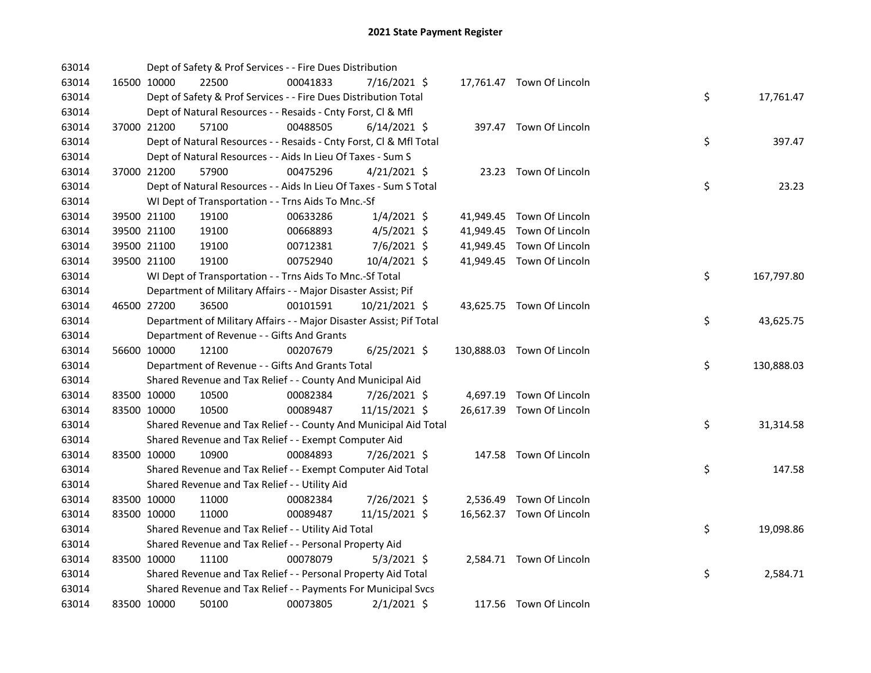| 63014 |             | Dept of Safety & Prof Services - - Fire Dues Distribution           |          |                |  |                            |    |            |
|-------|-------------|---------------------------------------------------------------------|----------|----------------|--|----------------------------|----|------------|
| 63014 | 16500 10000 | 22500                                                               | 00041833 | 7/16/2021 \$   |  | 17,761.47 Town Of Lincoln  |    |            |
| 63014 |             | Dept of Safety & Prof Services - - Fire Dues Distribution Total     |          |                |  |                            | \$ | 17,761.47  |
| 63014 |             | Dept of Natural Resources - - Resaids - Cnty Forst, Cl & Mfl        |          |                |  |                            |    |            |
| 63014 | 37000 21200 | 57100                                                               | 00488505 | $6/14/2021$ \$ |  | 397.47 Town Of Lincoln     |    |            |
| 63014 |             | Dept of Natural Resources - - Resaids - Cnty Forst, Cl & Mfl Total  |          |                |  |                            | \$ | 397.47     |
| 63014 |             | Dept of Natural Resources - - Aids In Lieu Of Taxes - Sum S         |          |                |  |                            |    |            |
| 63014 | 37000 21200 | 57900                                                               | 00475296 | $4/21/2021$ \$ |  | 23.23 Town Of Lincoln      |    |            |
| 63014 |             | Dept of Natural Resources - - Aids In Lieu Of Taxes - Sum S Total   |          |                |  |                            | \$ | 23.23      |
| 63014 |             | WI Dept of Transportation - - Trns Aids To Mnc.-Sf                  |          |                |  |                            |    |            |
| 63014 | 39500 21100 | 19100                                                               | 00633286 | $1/4/2021$ \$  |  | 41,949.45 Town Of Lincoln  |    |            |
| 63014 | 39500 21100 | 19100                                                               | 00668893 | $4/5/2021$ \$  |  | 41,949.45 Town Of Lincoln  |    |            |
| 63014 | 39500 21100 | 19100                                                               | 00712381 | 7/6/2021 \$    |  | 41,949.45 Town Of Lincoln  |    |            |
| 63014 | 39500 21100 | 19100                                                               | 00752940 | 10/4/2021 \$   |  | 41,949.45 Town Of Lincoln  |    |            |
| 63014 |             | WI Dept of Transportation - - Trns Aids To Mnc.-Sf Total            |          |                |  |                            | \$ | 167,797.80 |
| 63014 |             | Department of Military Affairs - - Major Disaster Assist; Pif       |          |                |  |                            |    |            |
| 63014 | 46500 27200 | 36500                                                               | 00101591 | 10/21/2021 \$  |  | 43,625.75 Town Of Lincoln  |    |            |
| 63014 |             | Department of Military Affairs - - Major Disaster Assist; Pif Total |          |                |  |                            | \$ | 43,625.75  |
| 63014 |             | Department of Revenue - - Gifts And Grants                          |          |                |  |                            |    |            |
| 63014 | 56600 10000 | 12100                                                               | 00207679 | $6/25/2021$ \$ |  | 130,888.03 Town Of Lincoln |    |            |
| 63014 |             | Department of Revenue - - Gifts And Grants Total                    |          |                |  |                            | \$ | 130,888.03 |
| 63014 |             | Shared Revenue and Tax Relief - - County And Municipal Aid          |          |                |  |                            |    |            |
| 63014 | 83500 10000 | 10500                                                               | 00082384 | 7/26/2021 \$   |  | 4,697.19 Town Of Lincoln   |    |            |
| 63014 | 83500 10000 | 10500                                                               | 00089487 | 11/15/2021 \$  |  | 26,617.39 Town Of Lincoln  |    |            |
| 63014 |             | Shared Revenue and Tax Relief - - County And Municipal Aid Total    |          |                |  |                            | \$ | 31,314.58  |
| 63014 |             | Shared Revenue and Tax Relief - - Exempt Computer Aid               |          |                |  |                            |    |            |
| 63014 | 83500 10000 | 10900                                                               | 00084893 | 7/26/2021 \$   |  | 147.58 Town Of Lincoln     |    |            |
| 63014 |             | Shared Revenue and Tax Relief - - Exempt Computer Aid Total         |          |                |  |                            | \$ | 147.58     |
| 63014 |             | Shared Revenue and Tax Relief - - Utility Aid                       |          |                |  |                            |    |            |
| 63014 | 83500 10000 | 11000                                                               | 00082384 | 7/26/2021 \$   |  | 2,536.49 Town Of Lincoln   |    |            |
| 63014 | 83500 10000 | 11000                                                               | 00089487 | 11/15/2021 \$  |  | 16,562.37 Town Of Lincoln  |    |            |
| 63014 |             | Shared Revenue and Tax Relief - - Utility Aid Total                 |          |                |  |                            | \$ | 19,098.86  |
| 63014 |             | Shared Revenue and Tax Relief - - Personal Property Aid             |          |                |  |                            |    |            |
| 63014 | 83500 10000 | 11100                                                               | 00078079 | $5/3/2021$ \$  |  | 2,584.71 Town Of Lincoln   |    |            |
| 63014 |             | Shared Revenue and Tax Relief - - Personal Property Aid Total       |          |                |  |                            | \$ | 2,584.71   |
| 63014 |             | Shared Revenue and Tax Relief - - Payments For Municipal Svcs       |          |                |  |                            |    |            |
| 63014 | 83500 10000 | 50100                                                               | 00073805 | $2/1/2021$ \$  |  | 117.56 Town Of Lincoln     |    |            |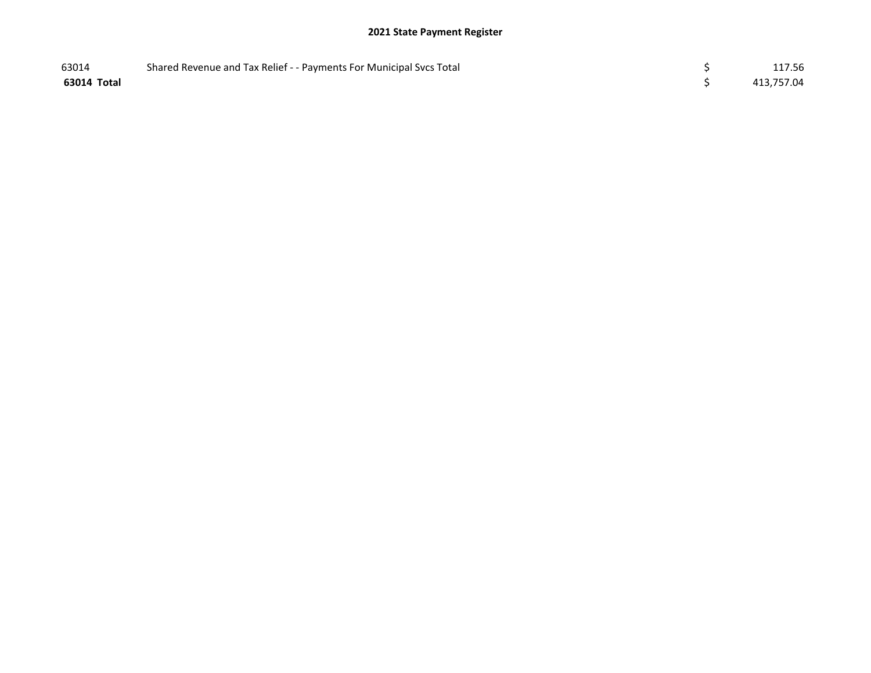## 2021 State Payment Register

| 63014       | Shared Revenue and Tax Relief - - Payments For Municipal Svcs Total | 117.56     |
|-------------|---------------------------------------------------------------------|------------|
| 63014 Total |                                                                     | 413,757.04 |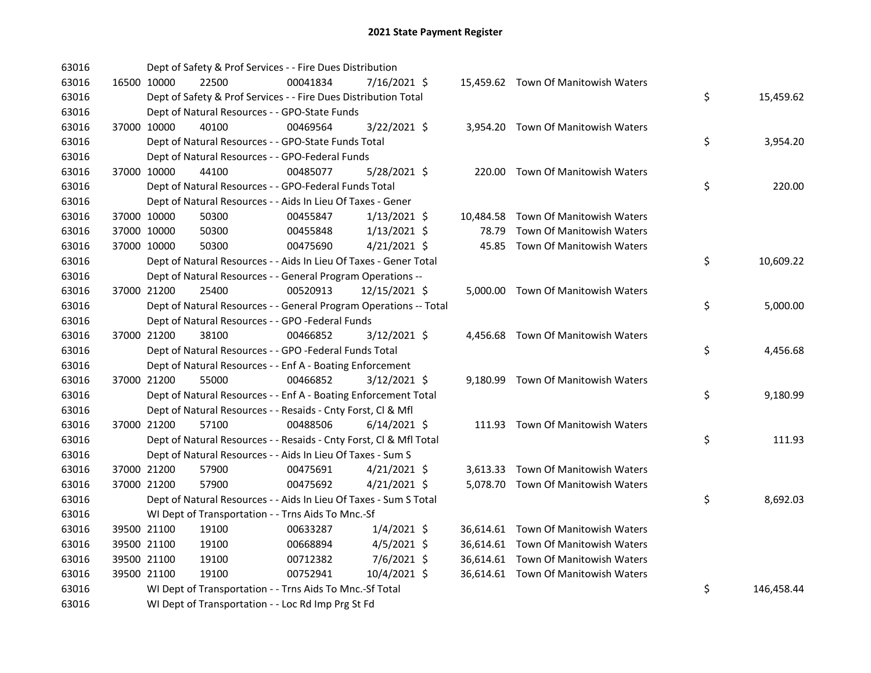| 63016 |             |             | Dept of Safety & Prof Services - - Fire Dues Distribution          |          |                |           |                                     |                  |
|-------|-------------|-------------|--------------------------------------------------------------------|----------|----------------|-----------|-------------------------------------|------------------|
| 63016 |             | 16500 10000 | 22500                                                              | 00041834 | 7/16/2021 \$   |           | 15,459.62 Town Of Manitowish Waters |                  |
| 63016 |             |             | Dept of Safety & Prof Services - - Fire Dues Distribution Total    |          |                |           |                                     | \$<br>15,459.62  |
| 63016 |             |             | Dept of Natural Resources - - GPO-State Funds                      |          |                |           |                                     |                  |
| 63016 | 37000 10000 |             | 40100                                                              | 00469564 | $3/22/2021$ \$ |           | 3,954.20 Town Of Manitowish Waters  |                  |
| 63016 |             |             | Dept of Natural Resources - - GPO-State Funds Total                |          |                |           |                                     | \$<br>3,954.20   |
| 63016 |             |             | Dept of Natural Resources - - GPO-Federal Funds                    |          |                |           |                                     |                  |
| 63016 | 37000 10000 |             | 44100                                                              | 00485077 | $5/28/2021$ \$ |           | 220.00 Town Of Manitowish Waters    |                  |
| 63016 |             |             | Dept of Natural Resources - - GPO-Federal Funds Total              |          |                |           |                                     | \$<br>220.00     |
| 63016 |             |             | Dept of Natural Resources - - Aids In Lieu Of Taxes - Gener        |          |                |           |                                     |                  |
| 63016 |             | 37000 10000 | 50300                                                              | 00455847 | $1/13/2021$ \$ | 10,484.58 | Town Of Manitowish Waters           |                  |
| 63016 |             | 37000 10000 | 50300                                                              | 00455848 | $1/13/2021$ \$ | 78.79     | Town Of Manitowish Waters           |                  |
| 63016 | 37000 10000 |             | 50300                                                              | 00475690 | $4/21/2021$ \$ |           | 45.85 Town Of Manitowish Waters     |                  |
| 63016 |             |             | Dept of Natural Resources - - Aids In Lieu Of Taxes - Gener Total  |          |                |           |                                     | \$<br>10,609.22  |
| 63016 |             |             | Dept of Natural Resources - - General Program Operations --        |          |                |           |                                     |                  |
| 63016 | 37000 21200 |             | 25400                                                              | 00520913 | 12/15/2021 \$  |           | 5,000.00 Town Of Manitowish Waters  |                  |
| 63016 |             |             | Dept of Natural Resources - - General Program Operations -- Total  |          |                |           |                                     | \$<br>5,000.00   |
| 63016 |             |             | Dept of Natural Resources - - GPO -Federal Funds                   |          |                |           |                                     |                  |
| 63016 |             | 37000 21200 | 38100                                                              | 00466852 | 3/12/2021 \$   |           | 4,456.68 Town Of Manitowish Waters  |                  |
| 63016 |             |             | Dept of Natural Resources - - GPO -Federal Funds Total             |          |                |           |                                     | \$<br>4,456.68   |
| 63016 |             |             | Dept of Natural Resources - - Enf A - Boating Enforcement          |          |                |           |                                     |                  |
| 63016 |             | 37000 21200 | 55000                                                              | 00466852 | 3/12/2021 \$   |           | 9,180.99 Town Of Manitowish Waters  |                  |
| 63016 |             |             | Dept of Natural Resources - - Enf A - Boating Enforcement Total    |          |                |           |                                     | \$<br>9,180.99   |
| 63016 |             |             | Dept of Natural Resources - - Resaids - Cnty Forst, Cl & Mfl       |          |                |           |                                     |                  |
| 63016 |             | 37000 21200 | 57100                                                              | 00488506 | $6/14/2021$ \$ |           | 111.93 Town Of Manitowish Waters    |                  |
| 63016 |             |             | Dept of Natural Resources - - Resaids - Cnty Forst, Cl & Mfl Total |          |                |           |                                     | \$<br>111.93     |
| 63016 |             |             | Dept of Natural Resources - - Aids In Lieu Of Taxes - Sum S        |          |                |           |                                     |                  |
| 63016 |             | 37000 21200 | 57900                                                              | 00475691 | $4/21/2021$ \$ |           | 3,613.33 Town Of Manitowish Waters  |                  |
| 63016 |             | 37000 21200 | 57900                                                              | 00475692 | $4/21/2021$ \$ |           | 5,078.70 Town Of Manitowish Waters  |                  |
| 63016 |             |             | Dept of Natural Resources - - Aids In Lieu Of Taxes - Sum S Total  |          |                |           |                                     | \$<br>8,692.03   |
| 63016 |             |             | WI Dept of Transportation - - Trns Aids To Mnc.-Sf                 |          |                |           |                                     |                  |
| 63016 |             | 39500 21100 | 19100                                                              | 00633287 | $1/4/2021$ \$  |           | 36,614.61 Town Of Manitowish Waters |                  |
| 63016 |             | 39500 21100 | 19100                                                              | 00668894 | $4/5/2021$ \$  |           | 36,614.61 Town Of Manitowish Waters |                  |
| 63016 | 39500 21100 |             | 19100                                                              | 00712382 | 7/6/2021 \$    |           | 36,614.61 Town Of Manitowish Waters |                  |
| 63016 | 39500 21100 |             | 19100                                                              | 00752941 | 10/4/2021 \$   |           | 36,614.61 Town Of Manitowish Waters |                  |
| 63016 |             |             | WI Dept of Transportation - - Trns Aids To Mnc.-Sf Total           |          |                |           |                                     | \$<br>146,458.44 |
| 63016 |             |             | WI Dept of Transportation - - Loc Rd Imp Prg St Fd                 |          |                |           |                                     |                  |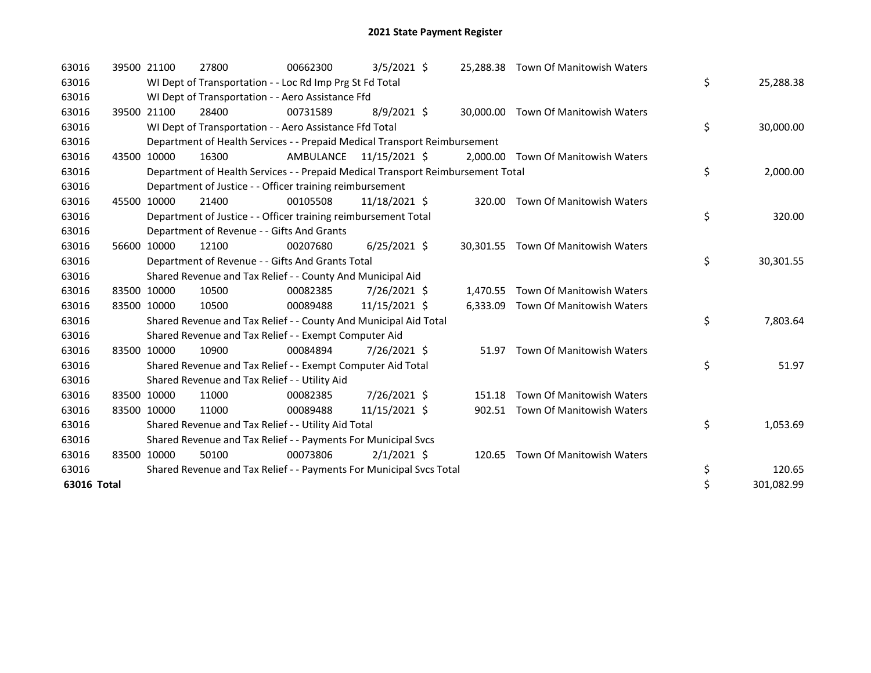| 63016       |       | 39500 21100 | 27800                                                                           | 00662300  | $3/5/2021$ \$  |           | 25,288.38 Town Of Manitowish Waters |                  |
|-------------|-------|-------------|---------------------------------------------------------------------------------|-----------|----------------|-----------|-------------------------------------|------------------|
| 63016       |       |             | WI Dept of Transportation - - Loc Rd Imp Prg St Fd Total                        |           |                |           |                                     | \$<br>25,288.38  |
| 63016       |       |             | WI Dept of Transportation - - Aero Assistance Ffd                               |           |                |           |                                     |                  |
| 63016       |       | 39500 21100 | 28400                                                                           | 00731589  | $8/9/2021$ \$  |           | 30,000.00 Town Of Manitowish Waters |                  |
| 63016       |       |             | WI Dept of Transportation - - Aero Assistance Ffd Total                         |           |                |           |                                     | \$<br>30,000.00  |
| 63016       |       |             | Department of Health Services - - Prepaid Medical Transport Reimbursement       |           |                |           |                                     |                  |
| 63016       | 43500 | 10000       | 16300                                                                           | AMBULANCE | 11/15/2021 \$  |           | 2,000.00 Town Of Manitowish Waters  |                  |
| 63016       |       |             | Department of Health Services - - Prepaid Medical Transport Reimbursement Total |           |                |           |                                     | \$<br>2,000.00   |
| 63016       |       |             | Department of Justice - - Officer training reimbursement                        |           |                |           |                                     |                  |
| 63016       |       | 45500 10000 | 21400                                                                           | 00105508  | 11/18/2021 \$  |           | 320.00 Town Of Manitowish Waters    |                  |
| 63016       |       |             | Department of Justice - - Officer training reimbursement Total                  |           |                |           |                                     | \$<br>320.00     |
| 63016       |       |             | Department of Revenue - - Gifts And Grants                                      |           |                |           |                                     |                  |
| 63016       |       | 56600 10000 | 12100                                                                           | 00207680  | $6/25/2021$ \$ | 30.301.55 | Town Of Manitowish Waters           |                  |
| 63016       |       |             | Department of Revenue - - Gifts And Grants Total                                |           |                |           |                                     | \$<br>30,301.55  |
| 63016       |       |             | Shared Revenue and Tax Relief - - County And Municipal Aid                      |           |                |           |                                     |                  |
| 63016       |       | 83500 10000 | 10500                                                                           | 00082385  | 7/26/2021 \$   | 1,470.55  | Town Of Manitowish Waters           |                  |
| 63016       |       | 83500 10000 | 10500                                                                           | 00089488  | 11/15/2021 \$  |           | 6,333.09 Town Of Manitowish Waters  |                  |
| 63016       |       |             | Shared Revenue and Tax Relief - - County And Municipal Aid Total                |           |                |           |                                     | \$<br>7,803.64   |
| 63016       |       |             | Shared Revenue and Tax Relief - - Exempt Computer Aid                           |           |                |           |                                     |                  |
| 63016       |       | 83500 10000 | 10900                                                                           | 00084894  | 7/26/2021 \$   | 51.97     | Town Of Manitowish Waters           |                  |
| 63016       |       |             | Shared Revenue and Tax Relief - - Exempt Computer Aid Total                     |           |                |           |                                     | \$<br>51.97      |
| 63016       |       |             | Shared Revenue and Tax Relief - - Utility Aid                                   |           |                |           |                                     |                  |
| 63016       |       | 83500 10000 | 11000                                                                           | 00082385  | 7/26/2021 \$   | 151.18    | Town Of Manitowish Waters           |                  |
| 63016       |       | 83500 10000 | 11000                                                                           | 00089488  | 11/15/2021 \$  |           | 902.51 Town Of Manitowish Waters    |                  |
| 63016       |       |             | Shared Revenue and Tax Relief - - Utility Aid Total                             |           |                |           |                                     | \$<br>1,053.69   |
| 63016       |       |             | Shared Revenue and Tax Relief - - Payments For Municipal Svcs                   |           |                |           |                                     |                  |
| 63016       |       | 83500 10000 | 50100                                                                           | 00073806  | $2/1/2021$ \$  |           | 120.65 Town Of Manitowish Waters    |                  |
| 63016       |       |             | Shared Revenue and Tax Relief - - Payments For Municipal Svcs Total             |           |                |           |                                     | \$<br>120.65     |
| 63016 Total |       |             |                                                                                 |           |                |           |                                     | \$<br>301,082.99 |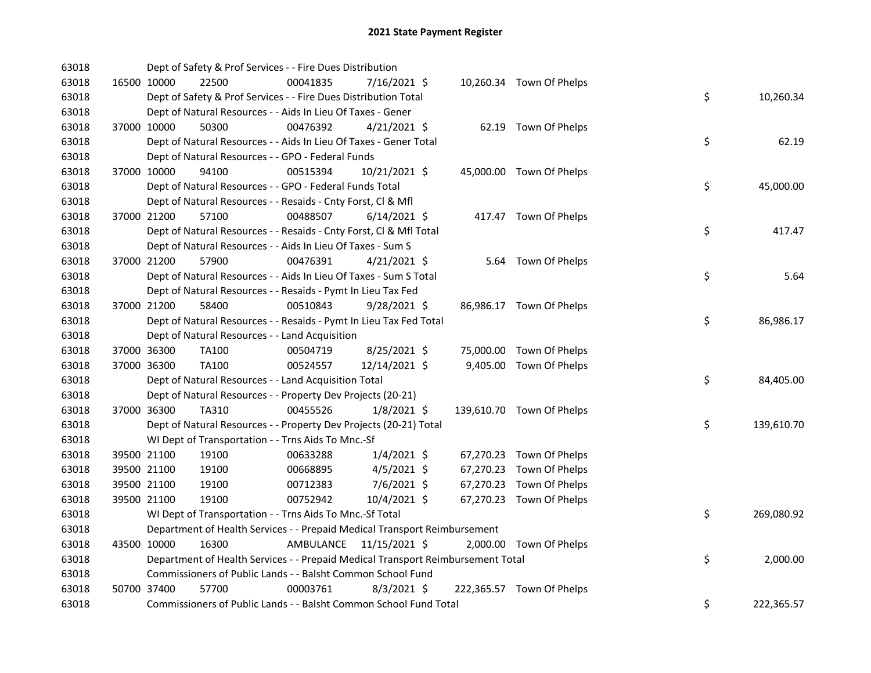| 63018 |             | Dept of Safety & Prof Services - - Fire Dues Distribution                       |           |                |  |                           |    |            |
|-------|-------------|---------------------------------------------------------------------------------|-----------|----------------|--|---------------------------|----|------------|
| 63018 |             | 16500 10000<br>22500                                                            | 00041835  | 7/16/2021 \$   |  | 10,260.34 Town Of Phelps  |    |            |
| 63018 |             | Dept of Safety & Prof Services - - Fire Dues Distribution Total                 |           |                |  |                           | \$ | 10,260.34  |
| 63018 |             | Dept of Natural Resources - - Aids In Lieu Of Taxes - Gener                     |           |                |  |                           |    |            |
| 63018 | 37000 10000 | 50300                                                                           | 00476392  | $4/21/2021$ \$ |  | 62.19 Town Of Phelps      |    |            |
| 63018 |             | Dept of Natural Resources - - Aids In Lieu Of Taxes - Gener Total               |           |                |  |                           | \$ | 62.19      |
| 63018 |             | Dept of Natural Resources - - GPO - Federal Funds                               |           |                |  |                           |    |            |
| 63018 | 37000 10000 | 94100                                                                           | 00515394  | 10/21/2021 \$  |  | 45,000.00 Town Of Phelps  |    |            |
| 63018 |             | Dept of Natural Resources - - GPO - Federal Funds Total                         |           |                |  |                           | \$ | 45,000.00  |
| 63018 |             | Dept of Natural Resources - - Resaids - Cnty Forst, Cl & Mfl                    |           |                |  |                           |    |            |
| 63018 | 37000 21200 | 57100                                                                           | 00488507  | $6/14/2021$ \$ |  | 417.47 Town Of Phelps     |    |            |
| 63018 |             | Dept of Natural Resources - - Resaids - Cnty Forst, Cl & Mfl Total              |           |                |  |                           | \$ | 417.47     |
| 63018 |             | Dept of Natural Resources - - Aids In Lieu Of Taxes - Sum S                     |           |                |  |                           |    |            |
| 63018 | 37000 21200 | 57900                                                                           | 00476391  | $4/21/2021$ \$ |  | 5.64 Town Of Phelps       |    |            |
| 63018 |             | Dept of Natural Resources - - Aids In Lieu Of Taxes - Sum S Total               |           |                |  |                           | \$ | 5.64       |
| 63018 |             | Dept of Natural Resources - - Resaids - Pymt In Lieu Tax Fed                    |           |                |  |                           |    |            |
| 63018 | 37000 21200 | 58400                                                                           | 00510843  | $9/28/2021$ \$ |  | 86,986.17 Town Of Phelps  |    |            |
| 63018 |             | Dept of Natural Resources - - Resaids - Pymt In Lieu Tax Fed Total              |           |                |  |                           | \$ | 86,986.17  |
| 63018 |             | Dept of Natural Resources - - Land Acquisition                                  |           |                |  |                           |    |            |
| 63018 |             | TA100<br>37000 36300                                                            | 00504719  | $8/25/2021$ \$ |  | 75,000.00 Town Of Phelps  |    |            |
| 63018 | 37000 36300 | TA100                                                                           | 00524557  | 12/14/2021 \$  |  | 9,405.00 Town Of Phelps   |    |            |
| 63018 |             | Dept of Natural Resources - - Land Acquisition Total                            |           |                |  |                           | \$ | 84,405.00  |
| 63018 |             | Dept of Natural Resources - - Property Dev Projects (20-21)                     |           |                |  |                           |    |            |
| 63018 |             | 37000 36300<br>TA310                                                            | 00455526  | $1/8/2021$ \$  |  | 139,610.70 Town Of Phelps |    |            |
| 63018 |             | Dept of Natural Resources - - Property Dev Projects (20-21) Total               |           |                |  |                           | \$ | 139,610.70 |
| 63018 |             | WI Dept of Transportation - - Trns Aids To Mnc.-Sf                              |           |                |  |                           |    |            |
| 63018 |             | 39500 21100<br>19100                                                            | 00633288  | $1/4/2021$ \$  |  | 67,270.23 Town Of Phelps  |    |            |
| 63018 | 39500 21100 | 19100                                                                           | 00668895  | $4/5/2021$ \$  |  | 67,270.23 Town Of Phelps  |    |            |
| 63018 | 39500 21100 | 19100                                                                           | 00712383  | 7/6/2021 \$    |  | 67,270.23 Town Of Phelps  |    |            |
| 63018 | 39500 21100 | 19100                                                                           | 00752942  | 10/4/2021 \$   |  | 67,270.23 Town Of Phelps  |    |            |
| 63018 |             | WI Dept of Transportation - - Trns Aids To Mnc.-Sf Total                        |           |                |  |                           | \$ | 269,080.92 |
| 63018 |             | Department of Health Services - - Prepaid Medical Transport Reimbursement       |           |                |  |                           |    |            |
| 63018 |             | 16300<br>43500 10000                                                            | AMBULANCE | 11/15/2021 \$  |  | 2,000.00 Town Of Phelps   |    |            |
| 63018 |             | Department of Health Services - - Prepaid Medical Transport Reimbursement Total |           |                |  |                           | \$ | 2,000.00   |
| 63018 |             | Commissioners of Public Lands - - Balsht Common School Fund                     |           |                |  |                           |    |            |
| 63018 | 50700 37400 | 57700                                                                           | 00003761  | $8/3/2021$ \$  |  | 222,365.57 Town Of Phelps |    |            |
| 63018 |             | Commissioners of Public Lands - - Balsht Common School Fund Total               |           |                |  |                           | \$ | 222,365.57 |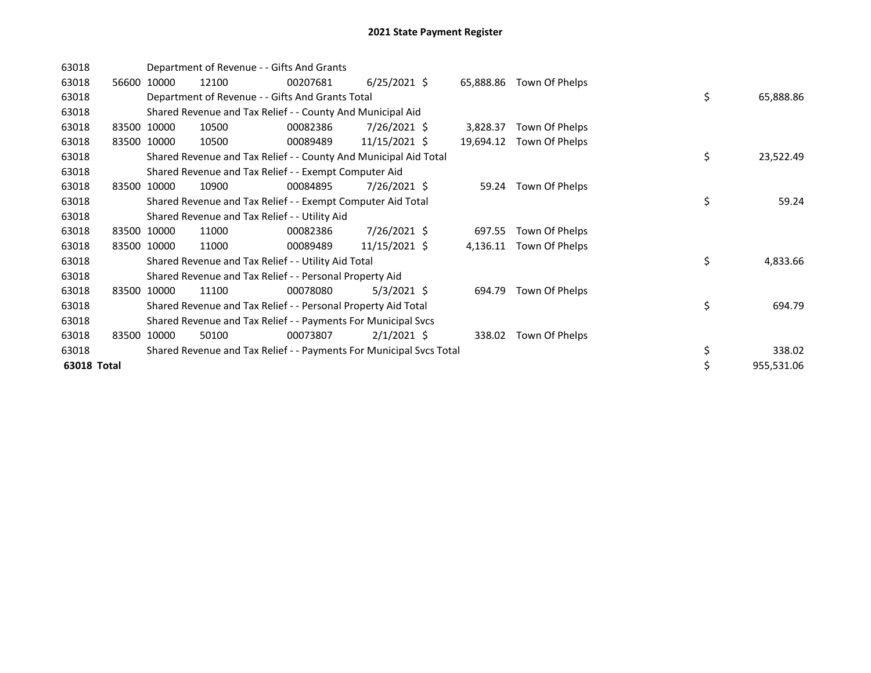| 63018       |       |             | Department of Revenue - - Gifts And Grants    |                                                                     |                 |           |                          |    |            |
|-------------|-------|-------------|-----------------------------------------------|---------------------------------------------------------------------|-----------------|-----------|--------------------------|----|------------|
| 63018       | 56600 | 10000       | 12100                                         | 00207681                                                            | $6/25/2021$ \$  |           | 65,888.86 Town Of Phelps |    |            |
| 63018       |       |             |                                               | Department of Revenue - - Gifts And Grants Total                    |                 |           |                          | \$ | 65,888.86  |
| 63018       |       |             |                                               | Shared Revenue and Tax Relief - - County And Municipal Aid          |                 |           |                          |    |            |
| 63018       |       | 83500 10000 | 10500                                         | 00082386                                                            | $7/26/2021$ \$  | 3,828.37  | Town Of Phelps           |    |            |
| 63018       |       | 83500 10000 | 10500                                         | 00089489                                                            | $11/15/2021$ \$ | 19,694.12 | Town Of Phelps           |    |            |
| 63018       |       |             |                                               | Shared Revenue and Tax Relief - - County And Municipal Aid Total    |                 |           |                          | \$ | 23,522.49  |
| 63018       |       |             |                                               | Shared Revenue and Tax Relief - - Exempt Computer Aid               |                 |           |                          |    |            |
| 63018       | 83500 | 10000       | 10900                                         | 00084895                                                            | 7/26/2021 \$    | 59.24     | Town Of Phelps           |    |            |
| 63018       |       |             |                                               | Shared Revenue and Tax Relief - - Exempt Computer Aid Total         |                 |           |                          | \$ | 59.24      |
| 63018       |       |             | Shared Revenue and Tax Relief - - Utility Aid |                                                                     |                 |           |                          |    |            |
| 63018       |       | 83500 10000 | 11000                                         | 00082386                                                            | $7/26/2021$ \$  | 697.55    | Town Of Phelps           |    |            |
| 63018       | 83500 | 10000       | 11000                                         | 00089489                                                            | 11/15/2021 \$   | 4,136.11  | Town Of Phelps           |    |            |
| 63018       |       |             |                                               | Shared Revenue and Tax Relief - - Utility Aid Total                 |                 |           |                          | \$ | 4,833.66   |
| 63018       |       |             |                                               | Shared Revenue and Tax Relief - - Personal Property Aid             |                 |           |                          |    |            |
| 63018       |       | 83500 10000 | 11100                                         | 00078080                                                            | $5/3/2021$ \$   | 694.79    | Town Of Phelps           |    |            |
| 63018       |       |             |                                               | Shared Revenue and Tax Relief - - Personal Property Aid Total       |                 |           |                          | \$ | 694.79     |
| 63018       |       |             |                                               | Shared Revenue and Tax Relief - - Payments For Municipal Svcs       |                 |           |                          |    |            |
| 63018       | 83500 | 10000       | 50100                                         | 00073807                                                            | $2/1/2021$ \$   | 338.02    | Town Of Phelps           |    |            |
| 63018       |       |             |                                               | Shared Revenue and Tax Relief - - Payments For Municipal Svcs Total |                 |           |                          | \$ | 338.02     |
| 63018 Total |       |             |                                               |                                                                     |                 |           |                          | \$ | 955,531.06 |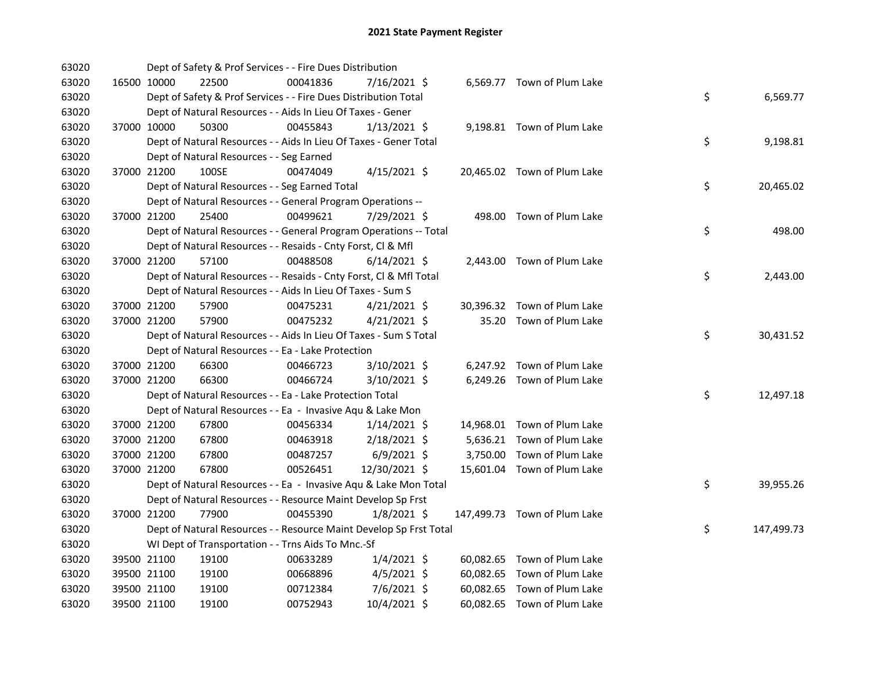| 63020 |             | Dept of Safety & Prof Services - - Fire Dues Distribution          |          |                |  |                              |    |            |
|-------|-------------|--------------------------------------------------------------------|----------|----------------|--|------------------------------|----|------------|
| 63020 | 16500 10000 | 22500                                                              | 00041836 | 7/16/2021 \$   |  | 6,569.77 Town of Plum Lake   |    |            |
| 63020 |             | Dept of Safety & Prof Services - - Fire Dues Distribution Total    |          |                |  |                              | \$ | 6,569.77   |
| 63020 |             | Dept of Natural Resources - - Aids In Lieu Of Taxes - Gener        |          |                |  |                              |    |            |
| 63020 | 37000 10000 | 50300                                                              | 00455843 | $1/13/2021$ \$ |  | 9,198.81 Town of Plum Lake   |    |            |
| 63020 |             | Dept of Natural Resources - - Aids In Lieu Of Taxes - Gener Total  |          |                |  |                              | \$ | 9,198.81   |
| 63020 |             | Dept of Natural Resources - - Seg Earned                           |          |                |  |                              |    |            |
| 63020 | 37000 21200 | 100SE                                                              | 00474049 | $4/15/2021$ \$ |  | 20,465.02 Town of Plum Lake  |    |            |
| 63020 |             | Dept of Natural Resources - - Seg Earned Total                     |          |                |  |                              | \$ | 20,465.02  |
| 63020 |             | Dept of Natural Resources - - General Program Operations --        |          |                |  |                              |    |            |
| 63020 | 37000 21200 | 25400                                                              | 00499621 | 7/29/2021 \$   |  | 498.00 Town of Plum Lake     |    |            |
| 63020 |             | Dept of Natural Resources - - General Program Operations -- Total  |          |                |  |                              | \$ | 498.00     |
| 63020 |             | Dept of Natural Resources - - Resaids - Cnty Forst, Cl & Mfl       |          |                |  |                              |    |            |
| 63020 | 37000 21200 | 57100                                                              | 00488508 | $6/14/2021$ \$ |  | 2,443.00 Town of Plum Lake   |    |            |
| 63020 |             | Dept of Natural Resources - - Resaids - Cnty Forst, Cl & Mfl Total |          |                |  |                              | \$ | 2,443.00   |
| 63020 |             | Dept of Natural Resources - - Aids In Lieu Of Taxes - Sum S        |          |                |  |                              |    |            |
| 63020 | 37000 21200 | 57900                                                              | 00475231 | $4/21/2021$ \$ |  | 30,396.32 Town of Plum Lake  |    |            |
| 63020 | 37000 21200 | 57900                                                              | 00475232 | $4/21/2021$ \$ |  | 35.20 Town of Plum Lake      |    |            |
| 63020 |             | Dept of Natural Resources - - Aids In Lieu Of Taxes - Sum S Total  |          |                |  |                              | \$ | 30,431.52  |
| 63020 |             | Dept of Natural Resources - - Ea - Lake Protection                 |          |                |  |                              |    |            |
| 63020 | 37000 21200 | 66300                                                              | 00466723 | 3/10/2021 \$   |  | 6,247.92 Town of Plum Lake   |    |            |
| 63020 | 37000 21200 | 66300                                                              | 00466724 | 3/10/2021 \$   |  | 6,249.26 Town of Plum Lake   |    |            |
| 63020 |             | Dept of Natural Resources - - Ea - Lake Protection Total           |          |                |  |                              | \$ | 12,497.18  |
| 63020 |             | Dept of Natural Resources - - Ea - Invasive Aqu & Lake Mon         |          |                |  |                              |    |            |
| 63020 | 37000 21200 | 67800                                                              | 00456334 | $1/14/2021$ \$ |  | 14,968.01 Town of Plum Lake  |    |            |
| 63020 | 37000 21200 | 67800                                                              | 00463918 | $2/18/2021$ \$ |  | 5,636.21 Town of Plum Lake   |    |            |
| 63020 | 37000 21200 | 67800                                                              | 00487257 | $6/9/2021$ \$  |  | 3,750.00 Town of Plum Lake   |    |            |
| 63020 | 37000 21200 | 67800                                                              | 00526451 | 12/30/2021 \$  |  | 15,601.04 Town of Plum Lake  |    |            |
| 63020 |             | Dept of Natural Resources - - Ea - Invasive Aqu & Lake Mon Total   |          |                |  |                              | \$ | 39,955.26  |
| 63020 |             | Dept of Natural Resources - - Resource Maint Develop Sp Frst       |          |                |  |                              |    |            |
| 63020 | 37000 21200 | 77900                                                              | 00455390 | $1/8/2021$ \$  |  | 147,499.73 Town of Plum Lake |    |            |
| 63020 |             | Dept of Natural Resources - - Resource Maint Develop Sp Frst Total |          |                |  |                              | \$ | 147,499.73 |
| 63020 |             | WI Dept of Transportation - - Trns Aids To Mnc.-Sf                 |          |                |  |                              |    |            |
| 63020 | 39500 21100 | 19100                                                              | 00633289 | $1/4/2021$ \$  |  | 60,082.65 Town of Plum Lake  |    |            |
| 63020 | 39500 21100 | 19100                                                              | 00668896 | $4/5/2021$ \$  |  | 60,082.65 Town of Plum Lake  |    |            |
| 63020 | 39500 21100 | 19100                                                              | 00712384 | $7/6/2021$ \$  |  | 60,082.65 Town of Plum Lake  |    |            |
| 63020 | 39500 21100 | 19100                                                              | 00752943 | 10/4/2021 \$   |  | 60,082.65 Town of Plum Lake  |    |            |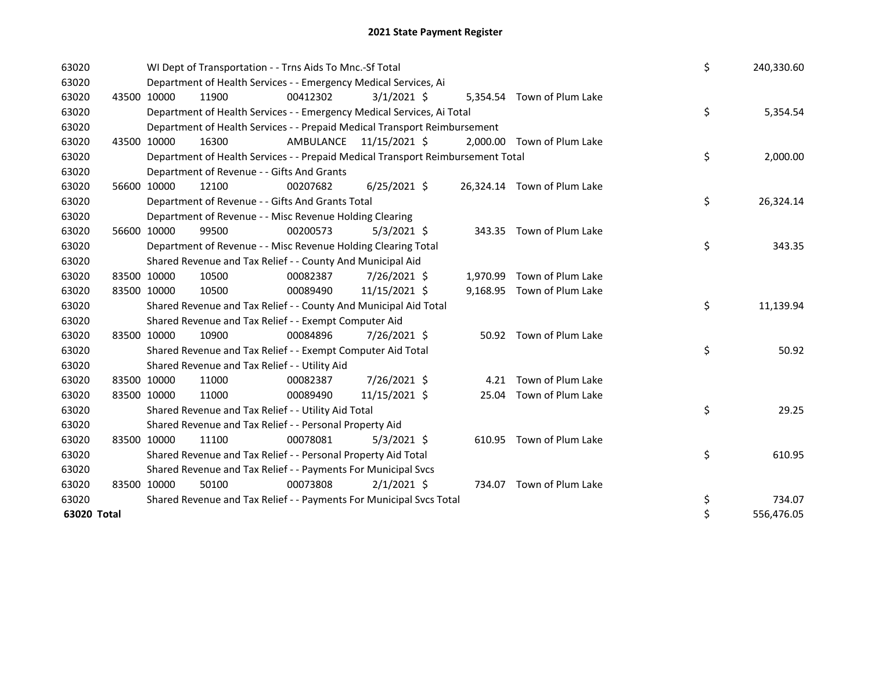| 63020       |             | WI Dept of Transportation - - Trns Aids To Mnc.-Sf Total                        |           |                |          |                             | \$<br>240,330.60 |
|-------------|-------------|---------------------------------------------------------------------------------|-----------|----------------|----------|-----------------------------|------------------|
| 63020       |             | Department of Health Services - - Emergency Medical Services, Ai                |           |                |          |                             |                  |
| 63020       | 43500 10000 | 11900                                                                           | 00412302  | $3/1/2021$ \$  |          | 5,354.54 Town of Plum Lake  |                  |
| 63020       |             | Department of Health Services - - Emergency Medical Services, Ai Total          |           |                |          |                             | \$<br>5,354.54   |
| 63020       |             | Department of Health Services - - Prepaid Medical Transport Reimbursement       |           |                |          |                             |                  |
| 63020       | 43500 10000 | 16300                                                                           | AMBULANCE | 11/15/2021 \$  |          | 2,000.00 Town of Plum Lake  |                  |
| 63020       |             | Department of Health Services - - Prepaid Medical Transport Reimbursement Total |           |                |          |                             | \$<br>2,000.00   |
| 63020       |             | Department of Revenue - - Gifts And Grants                                      |           |                |          |                             |                  |
| 63020       | 56600 10000 | 12100                                                                           | 00207682  | $6/25/2021$ \$ |          | 26,324.14 Town of Plum Lake |                  |
| 63020       |             | Department of Revenue - - Gifts And Grants Total                                |           |                |          |                             | \$<br>26,324.14  |
| 63020       |             | Department of Revenue - - Misc Revenue Holding Clearing                         |           |                |          |                             |                  |
| 63020       | 56600 10000 | 99500                                                                           | 00200573  | $5/3/2021$ \$  |          | 343.35 Town of Plum Lake    |                  |
| 63020       |             | Department of Revenue - - Misc Revenue Holding Clearing Total                   |           |                |          |                             | \$<br>343.35     |
| 63020       |             | Shared Revenue and Tax Relief - - County And Municipal Aid                      |           |                |          |                             |                  |
| 63020       | 83500 10000 | 10500                                                                           | 00082387  | 7/26/2021 \$   | 1,970.99 | Town of Plum Lake           |                  |
| 63020       | 83500 10000 | 10500                                                                           | 00089490  | 11/15/2021 \$  |          | 9,168.95 Town of Plum Lake  |                  |
| 63020       |             | Shared Revenue and Tax Relief - - County And Municipal Aid Total                |           |                |          |                             | \$<br>11,139.94  |
| 63020       |             | Shared Revenue and Tax Relief - - Exempt Computer Aid                           |           |                |          |                             |                  |
| 63020       | 83500 10000 | 10900                                                                           | 00084896  | 7/26/2021 \$   |          | 50.92 Town of Plum Lake     |                  |
| 63020       |             | Shared Revenue and Tax Relief - - Exempt Computer Aid Total                     |           |                |          |                             | \$<br>50.92      |
| 63020       |             | Shared Revenue and Tax Relief - - Utility Aid                                   |           |                |          |                             |                  |
| 63020       | 83500 10000 | 11000                                                                           | 00082387  | 7/26/2021 \$   | 4.21     | Town of Plum Lake           |                  |
| 63020       | 83500 10000 | 11000                                                                           | 00089490  | 11/15/2021 \$  | 25.04    | Town of Plum Lake           |                  |
| 63020       |             | Shared Revenue and Tax Relief - - Utility Aid Total                             |           |                |          |                             | \$<br>29.25      |
| 63020       |             | Shared Revenue and Tax Relief - - Personal Property Aid                         |           |                |          |                             |                  |
| 63020       | 83500 10000 | 11100                                                                           | 00078081  | $5/3/2021$ \$  |          | 610.95 Town of Plum Lake    |                  |
| 63020       |             | Shared Revenue and Tax Relief - - Personal Property Aid Total                   |           |                |          |                             | \$<br>610.95     |
| 63020       |             | Shared Revenue and Tax Relief - - Payments For Municipal Svcs                   |           |                |          |                             |                  |
| 63020       | 83500 10000 | 50100                                                                           | 00073808  | $2/1/2021$ \$  |          | 734.07 Town of Plum Lake    |                  |
| 63020       |             | Shared Revenue and Tax Relief - - Payments For Municipal Svcs Total             |           |                |          |                             | \$<br>734.07     |
| 63020 Total |             |                                                                                 |           |                |          |                             | \$<br>556,476.05 |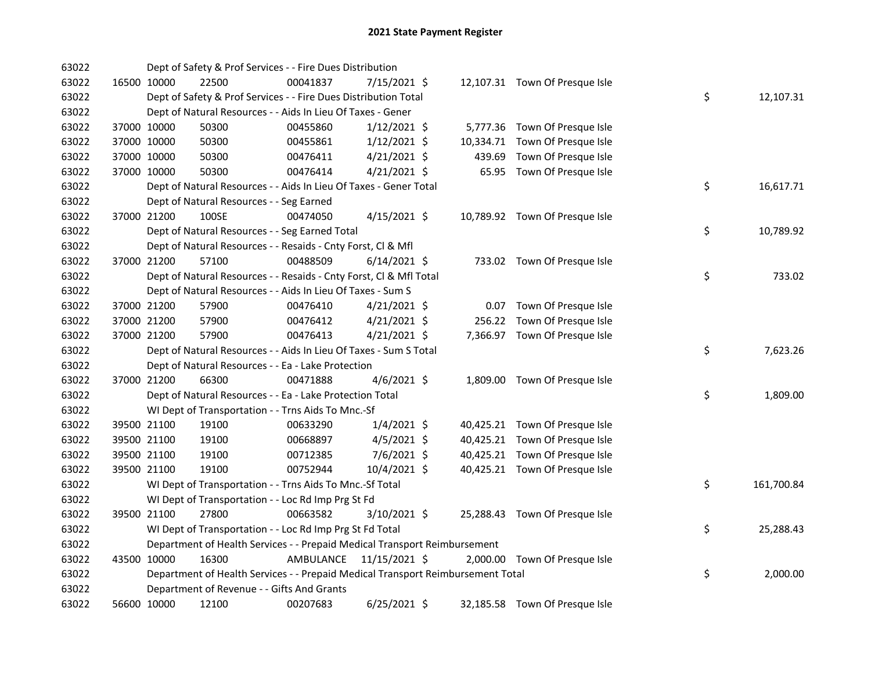| 63022 |             | Dept of Safety & Prof Services - - Fire Dues Distribution                       |           |                |        |                                |    |            |
|-------|-------------|---------------------------------------------------------------------------------|-----------|----------------|--------|--------------------------------|----|------------|
| 63022 | 16500 10000 | 22500                                                                           | 00041837  | 7/15/2021 \$   |        | 12,107.31 Town Of Presque Isle |    |            |
| 63022 |             | Dept of Safety & Prof Services - - Fire Dues Distribution Total                 |           |                |        |                                | \$ | 12,107.31  |
| 63022 |             | Dept of Natural Resources - - Aids In Lieu Of Taxes - Gener                     |           |                |        |                                |    |            |
| 63022 | 37000 10000 | 50300                                                                           | 00455860  | $1/12/2021$ \$ |        | 5,777.36 Town Of Presque Isle  |    |            |
| 63022 | 37000 10000 | 50300                                                                           | 00455861  | $1/12/2021$ \$ |        | 10,334.71 Town Of Presque Isle |    |            |
| 63022 | 37000 10000 | 50300                                                                           | 00476411  | $4/21/2021$ \$ | 439.69 | Town Of Presque Isle           |    |            |
| 63022 | 37000 10000 | 50300                                                                           | 00476414  | $4/21/2021$ \$ |        | 65.95 Town Of Presque Isle     |    |            |
| 63022 |             | Dept of Natural Resources - - Aids In Lieu Of Taxes - Gener Total               |           |                |        |                                | \$ | 16,617.71  |
| 63022 |             | Dept of Natural Resources - - Seg Earned                                        |           |                |        |                                |    |            |
| 63022 | 37000 21200 | 100SE                                                                           | 00474050  | $4/15/2021$ \$ |        | 10,789.92 Town Of Presque Isle |    |            |
| 63022 |             | Dept of Natural Resources - - Seg Earned Total                                  |           |                |        |                                | \$ | 10,789.92  |
| 63022 |             | Dept of Natural Resources - - Resaids - Cnty Forst, Cl & Mfl                    |           |                |        |                                |    |            |
| 63022 | 37000 21200 | 57100                                                                           | 00488509  | $6/14/2021$ \$ |        | 733.02 Town Of Presque Isle    |    |            |
| 63022 |             | Dept of Natural Resources - - Resaids - Cnty Forst, Cl & Mfl Total              |           |                |        |                                | \$ | 733.02     |
| 63022 |             | Dept of Natural Resources - - Aids In Lieu Of Taxes - Sum S                     |           |                |        |                                |    |            |
| 63022 | 37000 21200 | 57900                                                                           | 00476410  | $4/21/2021$ \$ |        | 0.07 Town Of Presque Isle      |    |            |
| 63022 | 37000 21200 | 57900                                                                           | 00476412  | $4/21/2021$ \$ |        | 256.22 Town Of Presque Isle    |    |            |
| 63022 | 37000 21200 | 57900                                                                           | 00476413  | $4/21/2021$ \$ |        | 7,366.97 Town Of Presque Isle  |    |            |
| 63022 |             | Dept of Natural Resources - - Aids In Lieu Of Taxes - Sum S Total               |           |                |        |                                | \$ | 7,623.26   |
| 63022 |             | Dept of Natural Resources - - Ea - Lake Protection                              |           |                |        |                                |    |            |
| 63022 | 37000 21200 | 66300                                                                           | 00471888  | $4/6/2021$ \$  |        | 1,809.00 Town Of Presque Isle  |    |            |
| 63022 |             | Dept of Natural Resources - - Ea - Lake Protection Total                        |           |                |        |                                | \$ | 1,809.00   |
| 63022 |             | WI Dept of Transportation - - Trns Aids To Mnc.-Sf                              |           |                |        |                                |    |            |
| 63022 | 39500 21100 | 19100                                                                           | 00633290  | $1/4/2021$ \$  |        | 40,425.21 Town Of Presque Isle |    |            |
| 63022 | 39500 21100 | 19100                                                                           | 00668897  | $4/5/2021$ \$  |        | 40,425.21 Town Of Presque Isle |    |            |
| 63022 | 39500 21100 | 19100                                                                           | 00712385  | 7/6/2021 \$    |        | 40,425.21 Town Of Presque Isle |    |            |
| 63022 | 39500 21100 | 19100                                                                           | 00752944  | 10/4/2021 \$   |        | 40,425.21 Town Of Presque Isle |    |            |
| 63022 |             | WI Dept of Transportation - - Trns Aids To Mnc.-Sf Total                        |           |                |        |                                | \$ | 161,700.84 |
| 63022 |             | WI Dept of Transportation - - Loc Rd Imp Prg St Fd                              |           |                |        |                                |    |            |
| 63022 | 39500 21100 | 27800                                                                           | 00663582  | 3/10/2021 \$   |        | 25,288.43 Town Of Presque Isle |    |            |
| 63022 |             | WI Dept of Transportation - - Loc Rd Imp Prg St Fd Total                        |           |                |        |                                | \$ | 25,288.43  |
| 63022 |             | Department of Health Services - - Prepaid Medical Transport Reimbursement       |           |                |        |                                |    |            |
| 63022 | 43500 10000 | 16300                                                                           | AMBULANCE | 11/15/2021 \$  |        | 2,000.00 Town Of Presque Isle  |    |            |
| 63022 |             | Department of Health Services - - Prepaid Medical Transport Reimbursement Total |           |                |        |                                | \$ | 2,000.00   |
| 63022 |             | Department of Revenue - - Gifts And Grants                                      |           |                |        |                                |    |            |
| 63022 | 56600 10000 | 12100                                                                           | 00207683  | $6/25/2021$ \$ |        | 32,185.58 Town Of Presque Isle |    |            |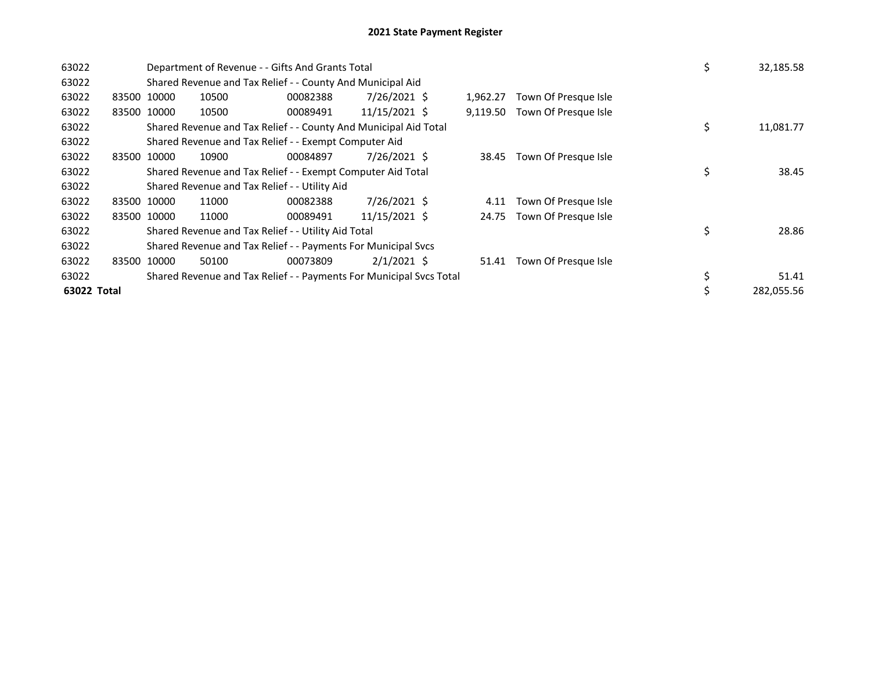| 63022       |             | Department of Revenue - - Gifts And Grants Total                    |          | \$<br>32,185.58 |          |                      |                  |
|-------------|-------------|---------------------------------------------------------------------|----------|-----------------|----------|----------------------|------------------|
| 63022       |             | Shared Revenue and Tax Relief - - County And Municipal Aid          |          |                 |          |                      |                  |
| 63022       | 83500 10000 | 10500                                                               | 00082388 | 7/26/2021 \$    | 1.962.27 | Town Of Presque Isle |                  |
| 63022       | 83500 10000 | 10500                                                               | 00089491 | 11/15/2021 \$   | 9,119.50 | Town Of Presque Isle |                  |
| 63022       |             | Shared Revenue and Tax Relief - - County And Municipal Aid Total    |          |                 |          |                      | \$<br>11,081.77  |
| 63022       |             | Shared Revenue and Tax Relief - - Exempt Computer Aid               |          |                 |          |                      |                  |
| 63022       | 83500 10000 | 10900                                                               | 00084897 | 7/26/2021 \$    | 38.45    | Town Of Presque Isle |                  |
| 63022       |             | Shared Revenue and Tax Relief - - Exempt Computer Aid Total         |          |                 |          |                      | \$<br>38.45      |
| 63022       |             | Shared Revenue and Tax Relief - - Utility Aid                       |          |                 |          |                      |                  |
| 63022       | 83500 10000 | 11000                                                               | 00082388 | 7/26/2021 \$    | 4.11     | Town Of Presque Isle |                  |
| 63022       | 83500 10000 | 11000                                                               | 00089491 | 11/15/2021 \$   | 24.75    | Town Of Presque Isle |                  |
| 63022       |             | Shared Revenue and Tax Relief - - Utility Aid Total                 |          |                 |          |                      | \$<br>28.86      |
| 63022       |             | Shared Revenue and Tax Relief - - Payments For Municipal Svcs       |          |                 |          |                      |                  |
| 63022       | 83500 10000 | 50100                                                               | 00073809 | $2/1/2021$ \$   | 51.41    | Town Of Presque Isle |                  |
| 63022       |             | Shared Revenue and Tax Relief - - Payments For Municipal Svcs Total |          |                 |          |                      | \$<br>51.41      |
| 63022 Total |             |                                                                     |          |                 |          |                      | \$<br>282,055.56 |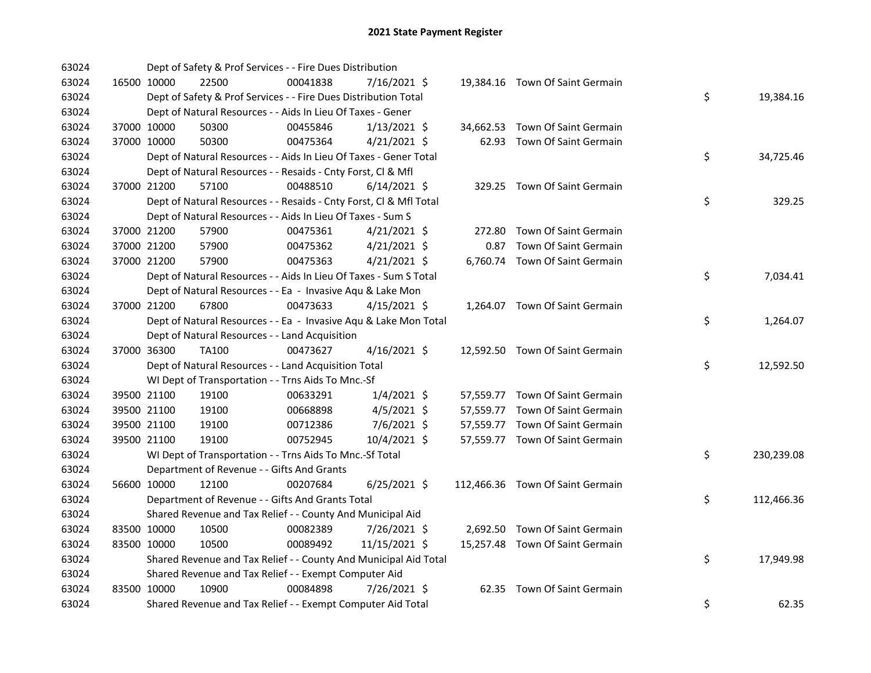| 63024 |             | Dept of Safety & Prof Services - - Fire Dues Distribution          |          |                |      |                                  |    |            |
|-------|-------------|--------------------------------------------------------------------|----------|----------------|------|----------------------------------|----|------------|
| 63024 | 16500 10000 | 22500                                                              | 00041838 | 7/16/2021 \$   |      | 19,384.16 Town Of Saint Germain  |    |            |
| 63024 |             | Dept of Safety & Prof Services - - Fire Dues Distribution Total    |          |                |      |                                  | \$ | 19,384.16  |
| 63024 |             | Dept of Natural Resources - - Aids In Lieu Of Taxes - Gener        |          |                |      |                                  |    |            |
| 63024 | 37000 10000 | 50300                                                              | 00455846 | $1/13/2021$ \$ |      | 34,662.53 Town Of Saint Germain  |    |            |
| 63024 | 37000 10000 | 50300                                                              | 00475364 | $4/21/2021$ \$ |      | 62.93 Town Of Saint Germain      |    |            |
| 63024 |             | Dept of Natural Resources - - Aids In Lieu Of Taxes - Gener Total  |          |                |      |                                  | \$ | 34,725.46  |
| 63024 |             | Dept of Natural Resources - - Resaids - Cnty Forst, Cl & Mfl       |          |                |      |                                  |    |            |
| 63024 | 37000 21200 | 57100                                                              | 00488510 | $6/14/2021$ \$ |      | 329.25 Town Of Saint Germain     |    |            |
| 63024 |             | Dept of Natural Resources - - Resaids - Cnty Forst, Cl & Mfl Total |          |                |      |                                  | \$ | 329.25     |
| 63024 |             | Dept of Natural Resources - - Aids In Lieu Of Taxes - Sum S        |          |                |      |                                  |    |            |
| 63024 | 37000 21200 | 57900                                                              | 00475361 | $4/21/2021$ \$ |      | 272.80 Town Of Saint Germain     |    |            |
| 63024 | 37000 21200 | 57900                                                              | 00475362 | $4/21/2021$ \$ | 0.87 | Town Of Saint Germain            |    |            |
| 63024 | 37000 21200 | 57900                                                              | 00475363 | $4/21/2021$ \$ |      | 6,760.74 Town Of Saint Germain   |    |            |
| 63024 |             | Dept of Natural Resources - - Aids In Lieu Of Taxes - Sum S Total  |          |                |      |                                  | \$ | 7,034.41   |
| 63024 |             | Dept of Natural Resources - - Ea - Invasive Aqu & Lake Mon         |          |                |      |                                  |    |            |
| 63024 | 37000 21200 | 67800                                                              | 00473633 | $4/15/2021$ \$ |      | 1,264.07 Town Of Saint Germain   |    |            |
| 63024 |             | Dept of Natural Resources - - Ea - Invasive Aqu & Lake Mon Total   |          |                |      |                                  | \$ | 1,264.07   |
| 63024 |             | Dept of Natural Resources - - Land Acquisition                     |          |                |      |                                  |    |            |
| 63024 | 37000 36300 | TA100                                                              | 00473627 | $4/16/2021$ \$ |      | 12,592.50 Town Of Saint Germain  |    |            |
| 63024 |             | Dept of Natural Resources - - Land Acquisition Total               |          |                |      |                                  | \$ | 12,592.50  |
| 63024 |             | WI Dept of Transportation - - Trns Aids To Mnc.-Sf                 |          |                |      |                                  |    |            |
| 63024 | 39500 21100 | 19100                                                              | 00633291 | $1/4/2021$ \$  |      | 57,559.77 Town Of Saint Germain  |    |            |
| 63024 | 39500 21100 | 19100                                                              | 00668898 | $4/5/2021$ \$  |      | 57,559.77 Town Of Saint Germain  |    |            |
| 63024 | 39500 21100 | 19100                                                              | 00712386 | 7/6/2021 \$    |      | 57,559.77 Town Of Saint Germain  |    |            |
| 63024 | 39500 21100 | 19100                                                              | 00752945 | 10/4/2021 \$   |      | 57,559.77 Town Of Saint Germain  |    |            |
| 63024 |             | WI Dept of Transportation - - Trns Aids To Mnc.-Sf Total           |          |                |      |                                  | \$ | 230,239.08 |
| 63024 |             | Department of Revenue - - Gifts And Grants                         |          |                |      |                                  |    |            |
| 63024 | 56600 10000 | 12100                                                              | 00207684 | $6/25/2021$ \$ |      | 112,466.36 Town Of Saint Germain |    |            |
| 63024 |             | Department of Revenue - - Gifts And Grants Total                   |          |                |      |                                  | \$ | 112,466.36 |
| 63024 |             | Shared Revenue and Tax Relief - - County And Municipal Aid         |          |                |      |                                  |    |            |
| 63024 | 83500 10000 | 10500                                                              | 00082389 | 7/26/2021 \$   |      | 2,692.50 Town Of Saint Germain   |    |            |
| 63024 | 83500 10000 | 10500                                                              | 00089492 | 11/15/2021 \$  |      | 15,257.48 Town Of Saint Germain  |    |            |
| 63024 |             | Shared Revenue and Tax Relief - - County And Municipal Aid Total   |          |                |      |                                  | \$ | 17,949.98  |
| 63024 |             | Shared Revenue and Tax Relief - - Exempt Computer Aid              |          |                |      |                                  |    |            |
| 63024 | 83500 10000 | 10900                                                              | 00084898 | 7/26/2021 \$   |      | 62.35 Town Of Saint Germain      |    |            |
| 63024 |             | Shared Revenue and Tax Relief - - Exempt Computer Aid Total        |          |                |      |                                  | \$ | 62.35      |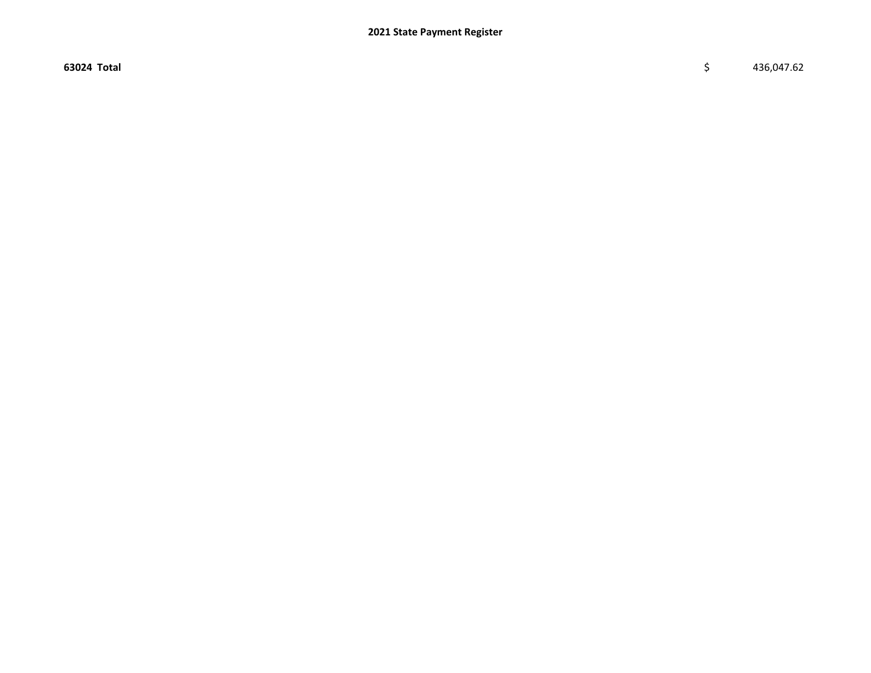$63024$  Total  $\zeta$  436,047.62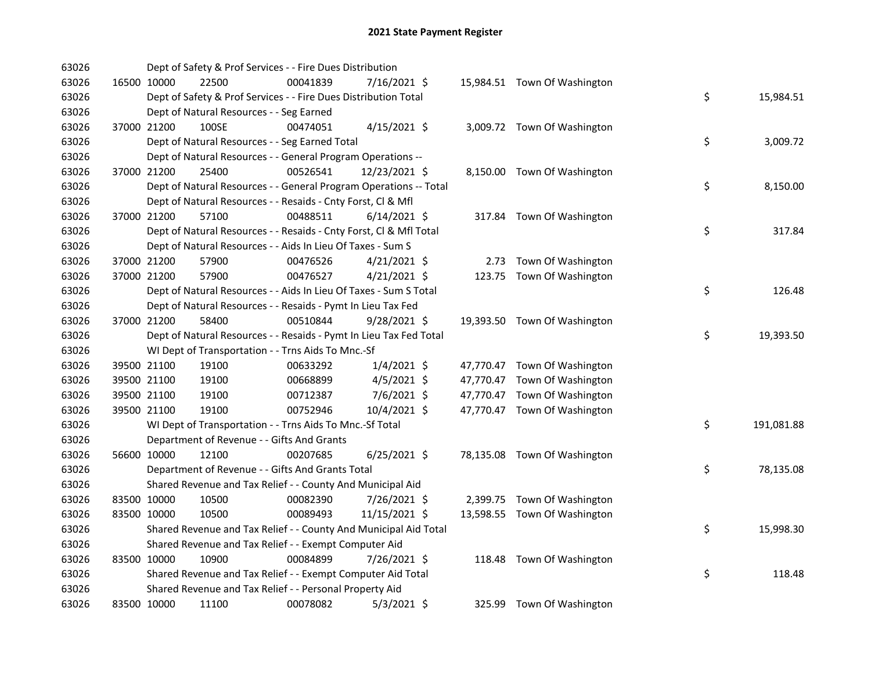| 63026 |             | Dept of Safety & Prof Services - - Fire Dues Distribution          |          |                |  |                              |    |            |
|-------|-------------|--------------------------------------------------------------------|----------|----------------|--|------------------------------|----|------------|
| 63026 | 16500 10000 | 22500                                                              | 00041839 | 7/16/2021 \$   |  | 15,984.51 Town Of Washington |    |            |
| 63026 |             | Dept of Safety & Prof Services - - Fire Dues Distribution Total    |          |                |  |                              | \$ | 15,984.51  |
| 63026 |             | Dept of Natural Resources - - Seg Earned                           |          |                |  |                              |    |            |
| 63026 | 37000 21200 | 100SE                                                              | 00474051 | $4/15/2021$ \$ |  | 3,009.72 Town Of Washington  |    |            |
| 63026 |             | Dept of Natural Resources - - Seg Earned Total                     |          |                |  |                              | \$ | 3,009.72   |
| 63026 |             | Dept of Natural Resources - - General Program Operations --        |          |                |  |                              |    |            |
| 63026 | 37000 21200 | 25400                                                              | 00526541 | 12/23/2021 \$  |  | 8,150.00 Town Of Washington  |    |            |
| 63026 |             | Dept of Natural Resources - - General Program Operations -- Total  |          |                |  |                              | \$ | 8,150.00   |
| 63026 |             | Dept of Natural Resources - - Resaids - Cnty Forst, Cl & Mfl       |          |                |  |                              |    |            |
| 63026 | 37000 21200 | 57100                                                              | 00488511 | $6/14/2021$ \$ |  | 317.84 Town Of Washington    |    |            |
| 63026 |             | Dept of Natural Resources - - Resaids - Cnty Forst, Cl & Mfl Total |          |                |  |                              | \$ | 317.84     |
| 63026 |             | Dept of Natural Resources - - Aids In Lieu Of Taxes - Sum S        |          |                |  |                              |    |            |
| 63026 | 37000 21200 | 57900                                                              | 00476526 | $4/21/2021$ \$ |  | 2.73 Town Of Washington      |    |            |
| 63026 | 37000 21200 | 57900                                                              | 00476527 | $4/21/2021$ \$ |  | 123.75 Town Of Washington    |    |            |
| 63026 |             | Dept of Natural Resources - - Aids In Lieu Of Taxes - Sum S Total  |          |                |  |                              | \$ | 126.48     |
| 63026 |             | Dept of Natural Resources - - Resaids - Pymt In Lieu Tax Fed       |          |                |  |                              |    |            |
| 63026 | 37000 21200 | 58400                                                              | 00510844 | $9/28/2021$ \$ |  | 19,393.50 Town Of Washington |    |            |
| 63026 |             | Dept of Natural Resources - - Resaids - Pymt In Lieu Tax Fed Total |          |                |  |                              | \$ | 19,393.50  |
| 63026 |             | WI Dept of Transportation - - Trns Aids To Mnc.-Sf                 |          |                |  |                              |    |            |
| 63026 | 39500 21100 | 19100                                                              | 00633292 | $1/4/2021$ \$  |  | 47,770.47 Town Of Washington |    |            |
| 63026 | 39500 21100 | 19100                                                              | 00668899 | $4/5/2021$ \$  |  | 47,770.47 Town Of Washington |    |            |
| 63026 | 39500 21100 | 19100                                                              | 00712387 | 7/6/2021 \$    |  | 47,770.47 Town Of Washington |    |            |
| 63026 | 39500 21100 | 19100                                                              | 00752946 | 10/4/2021 \$   |  | 47,770.47 Town Of Washington |    |            |
| 63026 |             | WI Dept of Transportation - - Trns Aids To Mnc.-Sf Total           |          |                |  |                              | \$ | 191,081.88 |
| 63026 |             | Department of Revenue - - Gifts And Grants                         |          |                |  |                              |    |            |
| 63026 | 56600 10000 | 12100                                                              | 00207685 | $6/25/2021$ \$ |  | 78,135.08 Town Of Washington |    |            |
| 63026 |             | Department of Revenue - - Gifts And Grants Total                   |          |                |  |                              | \$ | 78,135.08  |
| 63026 |             | Shared Revenue and Tax Relief - - County And Municipal Aid         |          |                |  |                              |    |            |
| 63026 | 83500 10000 | 10500                                                              | 00082390 | 7/26/2021 \$   |  | 2,399.75 Town Of Washington  |    |            |
| 63026 | 83500 10000 | 10500                                                              | 00089493 | 11/15/2021 \$  |  | 13,598.55 Town Of Washington |    |            |
| 63026 |             | Shared Revenue and Tax Relief - - County And Municipal Aid Total   |          |                |  |                              | \$ | 15,998.30  |
| 63026 |             | Shared Revenue and Tax Relief - - Exempt Computer Aid              |          |                |  |                              |    |            |
| 63026 | 83500 10000 | 10900                                                              | 00084899 | 7/26/2021 \$   |  | 118.48 Town Of Washington    |    |            |
| 63026 |             | Shared Revenue and Tax Relief - - Exempt Computer Aid Total        |          |                |  |                              | \$ | 118.48     |
| 63026 |             | Shared Revenue and Tax Relief - - Personal Property Aid            |          |                |  |                              |    |            |
| 63026 | 83500 10000 | 11100                                                              | 00078082 | $5/3/2021$ \$  |  | 325.99 Town Of Washington    |    |            |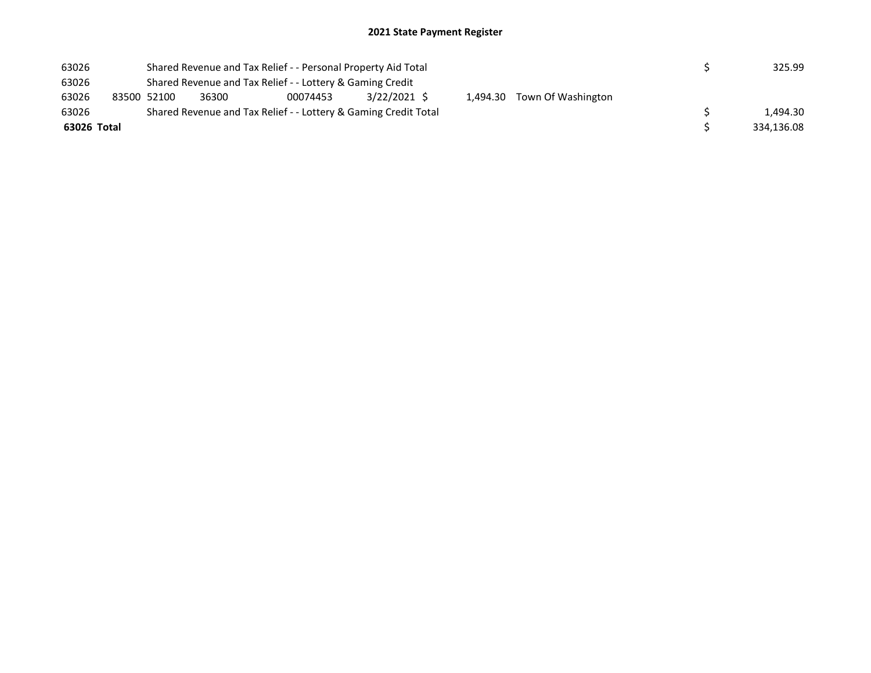## 2021 State Payment Register

| 63026       | Shared Revenue and Tax Relief - - Personal Property Aid Total |             |       |                                                                 |              |  |  |                             | 325.99   |
|-------------|---------------------------------------------------------------|-------------|-------|-----------------------------------------------------------------|--------------|--|--|-----------------------------|----------|
| 63026       | Shared Revenue and Tax Relief - - Lottery & Gaming Credit     |             |       |                                                                 |              |  |  |                             |          |
| 63026       |                                                               | 83500 52100 | 36300 | 00074453                                                        | 3/22/2021 \$ |  |  | 1,494.30 Town Of Washington |          |
| 63026       |                                                               |             |       | Shared Revenue and Tax Relief - - Lottery & Gaming Credit Total |              |  |  |                             | 1.494.30 |
| 63026 Total |                                                               |             |       |                                                                 |              |  |  | 334,136.08                  |          |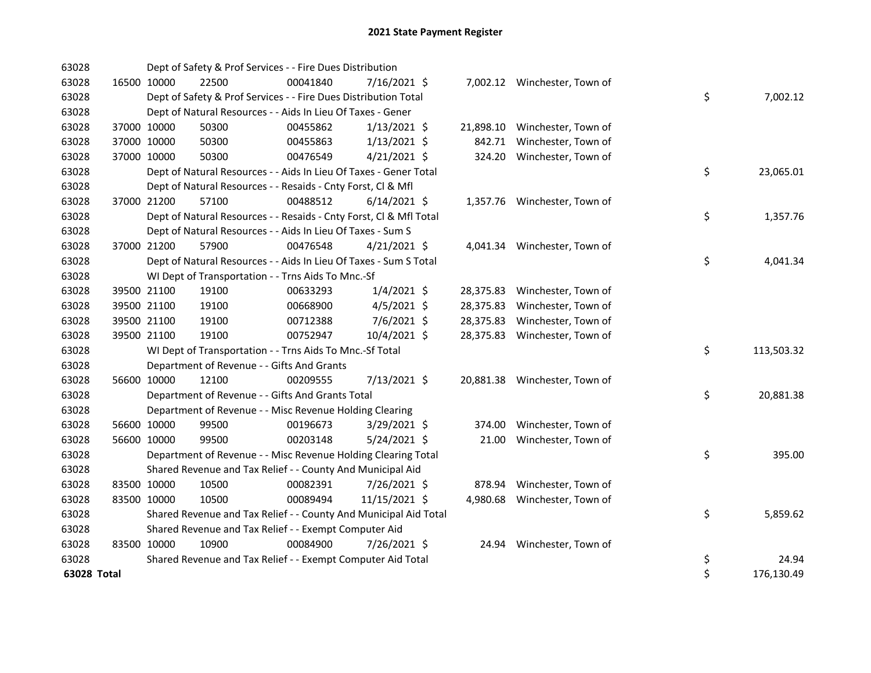| 63028       | Dept of Safety & Prof Services - - Fire Dues Distribution       |                                                                    |          |                |  |           |                               |  |    |            |
|-------------|-----------------------------------------------------------------|--------------------------------------------------------------------|----------|----------------|--|-----------|-------------------------------|--|----|------------|
| 63028       | 16500 10000                                                     | 22500                                                              | 00041840 | 7/16/2021 \$   |  |           | 7,002.12 Winchester, Town of  |  |    |            |
| 63028       | Dept of Safety & Prof Services - - Fire Dues Distribution Total |                                                                    |          |                |  |           |                               |  | \$ | 7,002.12   |
| 63028       | Dept of Natural Resources - - Aids In Lieu Of Taxes - Gener     |                                                                    |          |                |  |           |                               |  |    |            |
| 63028       | 37000 10000                                                     | 50300                                                              | 00455862 | $1/13/2021$ \$ |  |           | 21,898.10 Winchester, Town of |  |    |            |
| 63028       | 37000 10000                                                     | 50300                                                              | 00455863 | $1/13/2021$ \$ |  | 842.71    | Winchester, Town of           |  |    |            |
| 63028       | 37000 10000                                                     | 50300                                                              | 00476549 | $4/21/2021$ \$ |  |           | 324.20 Winchester, Town of    |  |    |            |
| 63028       |                                                                 | Dept of Natural Resources - - Aids In Lieu Of Taxes - Gener Total  |          |                |  |           |                               |  | \$ | 23,065.01  |
| 63028       |                                                                 | Dept of Natural Resources - - Resaids - Cnty Forst, Cl & Mfl       |          |                |  |           |                               |  |    |            |
| 63028       | 37000 21200                                                     | 57100                                                              | 00488512 | $6/14/2021$ \$ |  |           | 1,357.76 Winchester, Town of  |  |    |            |
| 63028       |                                                                 | Dept of Natural Resources - - Resaids - Cnty Forst, Cl & Mfl Total |          |                |  |           |                               |  | \$ | 1,357.76   |
| 63028       |                                                                 | Dept of Natural Resources - - Aids In Lieu Of Taxes - Sum S        |          |                |  |           |                               |  |    |            |
| 63028       | 37000 21200                                                     | 57900                                                              | 00476548 | $4/21/2021$ \$ |  |           | 4,041.34 Winchester, Town of  |  |    |            |
| 63028       |                                                                 | Dept of Natural Resources - - Aids In Lieu Of Taxes - Sum S Total  |          |                |  |           |                               |  | \$ | 4,041.34   |
| 63028       |                                                                 | WI Dept of Transportation - - Trns Aids To Mnc.-Sf                 |          |                |  |           |                               |  |    |            |
| 63028       | 39500 21100                                                     | 19100                                                              | 00633293 | $1/4/2021$ \$  |  |           | 28,375.83 Winchester, Town of |  |    |            |
| 63028       | 39500 21100                                                     | 19100                                                              | 00668900 | $4/5/2021$ \$  |  | 28,375.83 | Winchester, Town of           |  |    |            |
| 63028       | 39500 21100                                                     | 19100                                                              | 00712388 | 7/6/2021 \$    |  | 28,375.83 | Winchester, Town of           |  |    |            |
| 63028       | 39500 21100                                                     | 19100                                                              | 00752947 | 10/4/2021 \$   |  |           | 28,375.83 Winchester, Town of |  |    |            |
| 63028       |                                                                 | WI Dept of Transportation - - Trns Aids To Mnc.-Sf Total           |          |                |  |           |                               |  | \$ | 113,503.32 |
| 63028       |                                                                 | Department of Revenue - - Gifts And Grants                         |          |                |  |           |                               |  |    |            |
| 63028       | 56600 10000                                                     | 12100                                                              | 00209555 | 7/13/2021 \$   |  |           | 20,881.38 Winchester, Town of |  |    |            |
| 63028       |                                                                 | Department of Revenue - - Gifts And Grants Total                   |          |                |  |           |                               |  | \$ | 20,881.38  |
| 63028       |                                                                 | Department of Revenue - - Misc Revenue Holding Clearing            |          |                |  |           |                               |  |    |            |
| 63028       | 56600 10000                                                     | 99500                                                              | 00196673 | 3/29/2021 \$   |  | 374.00    | Winchester, Town of           |  |    |            |
| 63028       | 56600 10000                                                     | 99500                                                              | 00203148 | $5/24/2021$ \$ |  | 21.00     | Winchester, Town of           |  |    |            |
| 63028       |                                                                 | Department of Revenue - - Misc Revenue Holding Clearing Total      |          |                |  |           |                               |  | \$ | 395.00     |
| 63028       |                                                                 | Shared Revenue and Tax Relief - - County And Municipal Aid         |          |                |  |           |                               |  |    |            |
| 63028       | 83500 10000                                                     | 10500                                                              | 00082391 | 7/26/2021 \$   |  | 878.94    | Winchester, Town of           |  |    |            |
| 63028       | 83500 10000                                                     | 10500                                                              | 00089494 | 11/15/2021 \$  |  | 4,980.68  | Winchester, Town of           |  |    |            |
| 63028       |                                                                 | Shared Revenue and Tax Relief - - County And Municipal Aid Total   |          |                |  |           |                               |  | \$ | 5,859.62   |
| 63028       | Shared Revenue and Tax Relief - - Exempt Computer Aid           |                                                                    |          |                |  |           |                               |  |    |            |
| 63028       | 83500 10000                                                     | 10900                                                              | 00084900 | 7/26/2021 \$   |  |           | 24.94 Winchester, Town of     |  |    |            |
| 63028       |                                                                 | Shared Revenue and Tax Relief - - Exempt Computer Aid Total        |          |                |  |           |                               |  | \$ | 24.94      |
| 63028 Total |                                                                 |                                                                    |          |                |  |           |                               |  | \$ | 176,130.49 |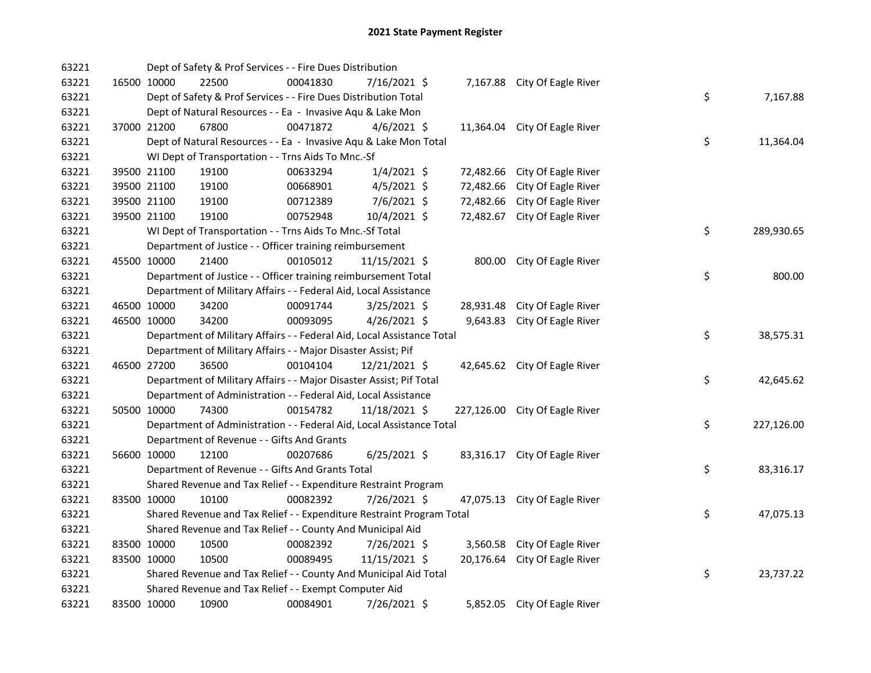| 63221 |             | Dept of Safety & Prof Services - - Fire Dues Distribution              |          |                |           |           |                                |  |    |            |
|-------|-------------|------------------------------------------------------------------------|----------|----------------|-----------|-----------|--------------------------------|--|----|------------|
| 63221 |             | 16500 10000<br>22500                                                   | 00041830 | 7/16/2021 \$   |           |           | 7,167.88 City Of Eagle River   |  |    |            |
| 63221 |             | Dept of Safety & Prof Services - - Fire Dues Distribution Total        |          |                |           |           |                                |  | \$ | 7,167.88   |
| 63221 |             | Dept of Natural Resources - - Ea - Invasive Aqu & Lake Mon             |          |                |           |           |                                |  |    |            |
| 63221 | 37000 21200 | 67800                                                                  | 00471872 | $4/6/2021$ \$  |           | 11,364.04 | City Of Eagle River            |  |    |            |
| 63221 |             | Dept of Natural Resources - - Ea - Invasive Aqu & Lake Mon Total       |          |                |           |           |                                |  | \$ | 11,364.04  |
| 63221 |             | WI Dept of Transportation - - Trns Aids To Mnc.-Sf                     |          |                |           |           |                                |  |    |            |
| 63221 |             | 39500 21100<br>19100                                                   | 00633294 | $1/4/2021$ \$  |           | 72,482.66 | City Of Eagle River            |  |    |            |
| 63221 |             | 39500 21100<br>19100                                                   | 00668901 | $4/5/2021$ \$  |           | 72,482.66 | City Of Eagle River            |  |    |            |
| 63221 |             | 39500 21100<br>19100                                                   | 00712389 | 7/6/2021 \$    |           | 72,482.66 | City Of Eagle River            |  |    |            |
| 63221 | 39500 21100 | 19100                                                                  | 00752948 | 10/4/2021 \$   |           | 72,482.67 | City Of Eagle River            |  |    |            |
| 63221 |             | WI Dept of Transportation - - Trns Aids To Mnc.-Sf Total               |          |                |           |           |                                |  | \$ | 289,930.65 |
| 63221 |             | Department of Justice - - Officer training reimbursement               |          |                |           |           |                                |  |    |            |
| 63221 | 45500 10000 | 21400                                                                  | 00105012 | 11/15/2021 \$  |           |           | 800.00 City Of Eagle River     |  |    |            |
| 63221 |             | Department of Justice - - Officer training reimbursement Total         |          |                |           |           |                                |  | \$ | 800.00     |
| 63221 |             | Department of Military Affairs - - Federal Aid, Local Assistance       |          |                |           |           |                                |  |    |            |
| 63221 |             | 46500 10000<br>34200                                                   | 00091744 | $3/25/2021$ \$ |           | 28,931.48 | City Of Eagle River            |  |    |            |
| 63221 |             | 46500 10000<br>34200                                                   | 00093095 | $4/26/2021$ \$ |           | 9,643.83  | City Of Eagle River            |  |    |            |
| 63221 |             | Department of Military Affairs - - Federal Aid, Local Assistance Total |          | \$             | 38,575.31 |           |                                |  |    |            |
| 63221 |             | Department of Military Affairs - - Major Disaster Assist; Pif          |          |                |           |           |                                |  |    |            |
| 63221 | 46500 27200 | 36500                                                                  | 00104104 | 12/21/2021 \$  |           |           | 42,645.62 City Of Eagle River  |  |    |            |
| 63221 |             | Department of Military Affairs - - Major Disaster Assist; Pif Total    |          |                |           |           |                                |  | \$ | 42,645.62  |
| 63221 |             | Department of Administration - - Federal Aid, Local Assistance         |          |                |           |           |                                |  |    |            |
| 63221 |             | 50500 10000<br>74300                                                   | 00154782 | 11/18/2021 \$  |           |           | 227,126.00 City Of Eagle River |  |    |            |
| 63221 |             | Department of Administration - - Federal Aid, Local Assistance Total   |          |                |           |           |                                |  | \$ | 227,126.00 |
| 63221 |             | Department of Revenue - - Gifts And Grants                             |          |                |           |           |                                |  |    |            |
| 63221 |             | 56600 10000<br>12100                                                   | 00207686 | $6/25/2021$ \$ |           |           | 83,316.17 City Of Eagle River  |  |    |            |
| 63221 |             | Department of Revenue - - Gifts And Grants Total                       |          |                |           |           |                                |  | \$ | 83,316.17  |
| 63221 |             | Shared Revenue and Tax Relief - - Expenditure Restraint Program        |          |                |           |           |                                |  |    |            |
| 63221 | 83500 10000 | 10100                                                                  | 00082392 | 7/26/2021 \$   |           |           | 47,075.13 City Of Eagle River  |  |    |            |
| 63221 |             | Shared Revenue and Tax Relief - - Expenditure Restraint Program Total  |          |                |           |           |                                |  | \$ | 47,075.13  |
| 63221 |             | Shared Revenue and Tax Relief - - County And Municipal Aid             |          |                |           |           |                                |  |    |            |
| 63221 | 83500 10000 | 10500                                                                  | 00082392 | 7/26/2021 \$   |           |           | 3,560.58 City Of Eagle River   |  |    |            |
| 63221 | 83500 10000 | 10500                                                                  | 00089495 | 11/15/2021 \$  |           | 20,176.64 | City Of Eagle River            |  |    |            |
| 63221 |             | Shared Revenue and Tax Relief - - County And Municipal Aid Total       |          |                |           |           |                                |  | \$ | 23,737.22  |
| 63221 |             | Shared Revenue and Tax Relief - - Exempt Computer Aid                  |          |                |           |           |                                |  |    |            |
| 63221 |             | 83500 10000<br>10900                                                   | 00084901 | 7/26/2021 \$   |           |           | 5,852.05 City Of Eagle River   |  |    |            |